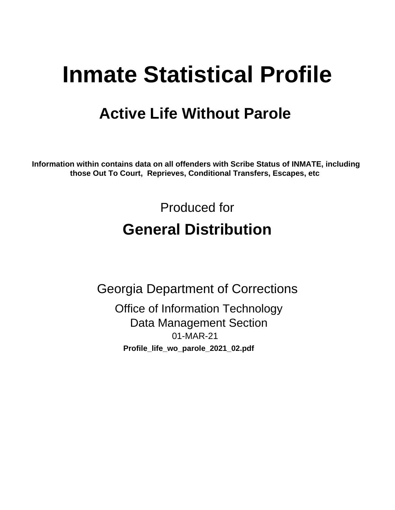# **Inmate Statistical Profile**

# **Active Life Without Parole**

Information within contains data on all offenders with Scribe Status of INMATE, including those Out To Court, Reprieves, Conditional Transfers, Escapes, etc

> Produced for **General Distribution**

**Georgia Department of Corrections Office of Information Technology Data Management Section** 01-MAR-21 Profile\_life\_wo\_parole\_2021\_02.pdf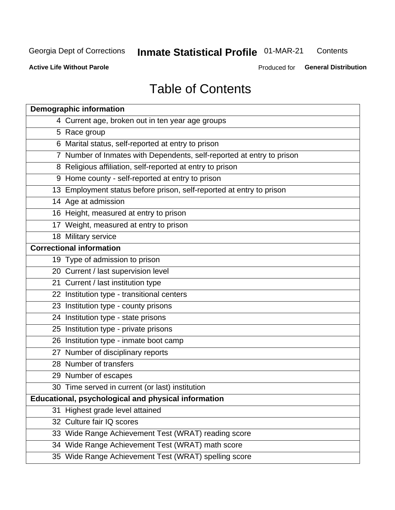#### **Inmate Statistical Profile 01-MAR-21** Contents

**Active Life Without Parole** 

Produced for General Distribution

# **Table of Contents**

|    | <b>Demographic information</b>                                        |
|----|-----------------------------------------------------------------------|
|    | 4 Current age, broken out in ten year age groups                      |
|    | 5 Race group                                                          |
|    | 6 Marital status, self-reported at entry to prison                    |
|    | 7 Number of Inmates with Dependents, self-reported at entry to prison |
|    | 8 Religious affiliation, self-reported at entry to prison             |
|    | 9 Home county - self-reported at entry to prison                      |
|    | 13 Employment status before prison, self-reported at entry to prison  |
|    | 14 Age at admission                                                   |
|    | 16 Height, measured at entry to prison                                |
|    | 17 Weight, measured at entry to prison                                |
|    | 18 Military service                                                   |
|    | <b>Correctional information</b>                                       |
|    | 19 Type of admission to prison                                        |
|    | 20 Current / last supervision level                                   |
|    | 21 Current / last institution type                                    |
|    | 22 Institution type - transitional centers                            |
|    | 23 Institution type - county prisons                                  |
|    | 24 Institution type - state prisons                                   |
|    | 25 Institution type - private prisons                                 |
|    | 26 Institution type - inmate boot camp                                |
|    | 27 Number of disciplinary reports                                     |
|    | 28 Number of transfers                                                |
|    | 29 Number of escapes                                                  |
|    | 30 Time served in current (or last) institution                       |
|    | Educational, psychological and physical information                   |
| 31 | Highest grade level attained                                          |
|    | 32 Culture fair IQ scores                                             |
|    | 33 Wide Range Achievement Test (WRAT) reading score                   |
|    | 34 Wide Range Achievement Test (WRAT) math score                      |
|    | 35 Wide Range Achievement Test (WRAT) spelling score                  |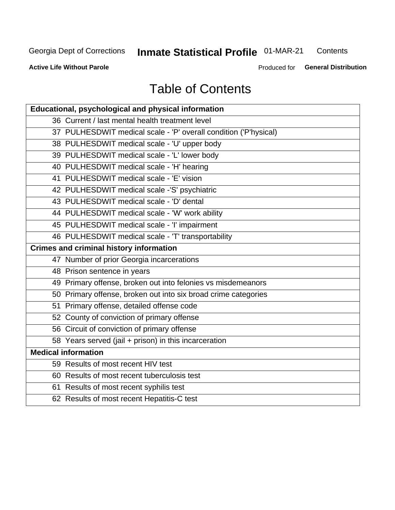# **Inmate Statistical Profile 01-MAR-21**

Contents

**Active Life Without Parole** 

Produced for General Distribution

# **Table of Contents**

| Educational, psychological and physical information              |
|------------------------------------------------------------------|
| 36 Current / last mental health treatment level                  |
| 37 PULHESDWIT medical scale - 'P' overall condition ('P'hysical) |
| 38 PULHESDWIT medical scale - 'U' upper body                     |
| 39 PULHESDWIT medical scale - 'L' lower body                     |
| 40 PULHESDWIT medical scale - 'H' hearing                        |
| 41 PULHESDWIT medical scale - 'E' vision                         |
| 42 PULHESDWIT medical scale -'S' psychiatric                     |
| 43 PULHESDWIT medical scale - 'D' dental                         |
| 44 PULHESDWIT medical scale - 'W' work ability                   |
| 45 PULHESDWIT medical scale - 'I' impairment                     |
| 46 PULHESDWIT medical scale - 'T' transportability               |
| <b>Crimes and criminal history information</b>                   |
| 47 Number of prior Georgia incarcerations                        |
| 48 Prison sentence in years                                      |
| 49 Primary offense, broken out into felonies vs misdemeanors     |
| 50 Primary offense, broken out into six broad crime categories   |
| 51 Primary offense, detailed offense code                        |
| 52 County of conviction of primary offense                       |
| 56 Circuit of conviction of primary offense                      |
| 58 Years served (jail + prison) in this incarceration            |
| <b>Medical information</b>                                       |
| 59 Results of most recent HIV test                               |
| 60 Results of most recent tuberculosis test                      |
| 61 Results of most recent syphilis test                          |
| 62 Results of most recent Hepatitis-C test                       |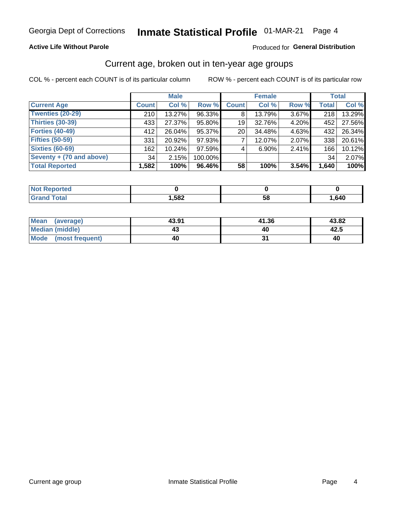#### **Active Life Without Parole**

### Produced for General Distribution

## Current age, broken out in ten-year age groups

COL % - percent each COUNT is of its particular column

|                          | <b>Male</b>  |        |         | <b>Female</b> |        |       |              | <b>Total</b> |  |
|--------------------------|--------------|--------|---------|---------------|--------|-------|--------------|--------------|--|
| <b>Current Age</b>       | <b>Count</b> | Col %  | Row %   | <b>Count</b>  | Col %  | Row % | <b>Total</b> | Col %        |  |
| <b>Twenties (20-29)</b>  | 210          | 13.27% | 96.33%  | 8             | 13.79% | 3.67% | 218          | 13.29%       |  |
| Thirties (30-39)         | 433          | 27.37% | 95.80%  | 19            | 32.76% | 4.20% | 452          | 27.56%       |  |
| <b>Forties (40-49)</b>   | 412          | 26.04% | 95.37%  | 20            | 34.48% | 4.63% | 432          | 26.34%       |  |
| <b>Fifties (50-59)</b>   | 331          | 20.92% | 97.93%  |               | 12.07% | 2.07% | 338          | 20.61%       |  |
| <b>Sixties (60-69)</b>   | 162          | 10.24% | 97.59%  | 4             | 6.90%  | 2.41% | 166          | 10.12%       |  |
| Seventy + (70 and above) | 34           | 2.15%  | 100.00% |               |        |       | 34           | 2.07%        |  |
| <b>Total Reported</b>    | 1,582        | 100%   | 96.46%  | 58            | 100%   | 3.54% | 1,640        | 100%         |  |

| Reported<br><b>NOT</b>           |      |    |      |
|----------------------------------|------|----|------|
| <b>cotal</b><br>$\mathbf{v}$ and | ,582 | 58 | ,640 |

| Mean<br>(average)       | 43.91 | 41.36 | 43.82 |
|-------------------------|-------|-------|-------|
| Median (middle)         | 43    |       | 42.5  |
| Mode<br>(most frequent) | 40    |       | 40    |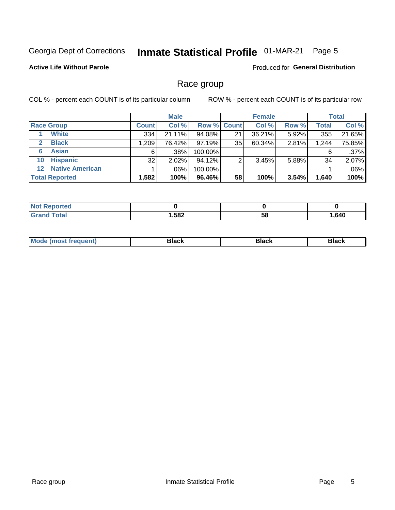#### **Inmate Statistical Profile 01-MAR-21** Page 5

### **Active Life Without Parole**

**Produced for General Distribution** 

## Race group

COL % - percent each COUNT is of its particular column

|                       |                        |              | <b>Male</b> |         |                    | <b>Female</b> |       |              | <b>Total</b> |  |
|-----------------------|------------------------|--------------|-------------|---------|--------------------|---------------|-------|--------------|--------------|--|
| <b>Race Group</b>     |                        | <b>Count</b> | Col %       |         | <b>Row % Count</b> | Col %         | Row % | <b>Total</b> | Col %        |  |
|                       | <b>White</b>           | 334          | 21.11%      | 94.08%  | 21                 | 36.21%        | 5.92% | 355          | 21.65%       |  |
| $\mathbf{2}$          | <b>Black</b>           | 1,209        | 76.42%      | 97.19%  | 35                 | 60.34%        | 2.81% | 1,244        | 75.85%       |  |
| 6                     | <b>Asian</b>           | 6            | .38%        | 100.00% |                    |               |       | 6            | .37%         |  |
| 10                    | <b>Hispanic</b>        | 32           | $2.02\%$    | 94.12%  | ◠                  | 3.45%         | 5.88% | 34           | 2.07%        |  |
| 12 <sup>1</sup>       | <b>Native American</b> |              | .06%        | 100.00% |                    |               |       |              | .06%         |  |
| <b>Total Reported</b> |                        | 1,582        | 100%        | 96.46%  | 58                 | 100%          | 3.54% | 1,640        | 100%         |  |

| <b><i>College College</i></b><br>teo |      |    |      |
|--------------------------------------|------|----|------|
| <b>Total</b>                         | ,582 | 58 | ,640 |

| M | - - - |  |
|---|-------|--|
|   |       |  |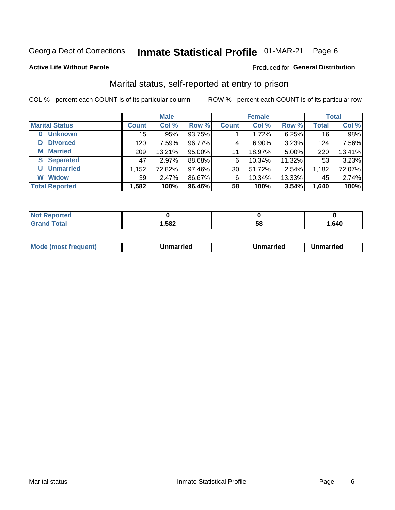#### **Inmate Statistical Profile 01-MAR-21** Page 6

#### **Active Life Without Parole**

### Produced for General Distribution

# Marital status, self-reported at entry to prison

COL % - percent each COUNT is of its particular column

|                            | <b>Male</b>  |        |        | <b>Female</b> |          |        | <b>Total</b> |        |
|----------------------------|--------------|--------|--------|---------------|----------|--------|--------------|--------|
| <b>Marital Status</b>      | <b>Count</b> | Col %  | Row %  | <b>Count</b>  | Col %    | Row %  | <b>Total</b> | Col %  |
| <b>Unknown</b><br>$\bf{0}$ | 15           | .95%   | 93.75% |               | 1.72%    | 6.25%  | 16           | .98%   |
| <b>Divorced</b><br>D       | 120          | 7.59%  | 96.77% | 4             | $6.90\%$ | 3.23%  | 124          | 7.56%  |
| <b>Married</b><br>М        | 209          | 13.21% | 95.00% | 11            | 18.97%   | 5.00%  | 220          | 13.41% |
| <b>Separated</b><br>S.     | 47           | 2.97%  | 88.68% | 6             | 10.34%   | 11.32% | 53           | 3.23%  |
| <b>Unmarried</b><br>U      | 1,152        | 72.82% | 97.46% | 30            | 51.72%   | 2.54%  | 1,182        | 72.07% |
| <b>Widow</b><br>W          | 39           | 2.47%  | 86.67% | 6             | 10.34%   | 13.33% | 45           | 2.74%  |
| <b>Total Reported</b>      | 1,582        | 100%   | 96.46% | 58            | 100%     | 3.54%  | 1,640        | 100%   |

| prted<br>NOT |        |    |      |
|--------------|--------|----|------|
|              | 582, ا | ວດ | .640 |

|  | M | . | Unmarried | າmarried<br>______ |
|--|---|---|-----------|--------------------|
|--|---|---|-----------|--------------------|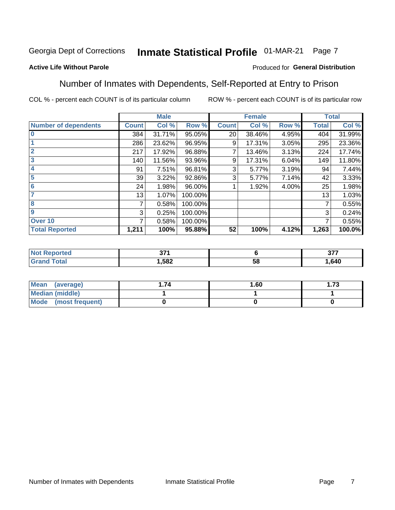#### Inmate Statistical Profile 01-MAR-21 Page 7

#### **Active Life Without Parole**

#### Produced for General Distribution

## Number of Inmates with Dependents, Self-Reported at Entry to Prison

COL % - percent each COUNT is of its particular column

|                             |              | <b>Male</b> |         | <b>Female</b> |        | <b>Total</b> |              |        |
|-----------------------------|--------------|-------------|---------|---------------|--------|--------------|--------------|--------|
| <b>Number of dependents</b> | <b>Count</b> | Col %       | Row %   | <b>Count</b>  | Col %  | Row %        | <b>Total</b> | Col %  |
| $\bf{0}$                    | 384          | 31.71%      | 95.05%  | 20            | 38.46% | 4.95%        | 404          | 31.99% |
|                             | 286          | 23.62%      | 96.95%  | 9             | 17.31% | 3.05%        | 295          | 23.36% |
| $\overline{2}$              | 217          | 17.92%      | 96.88%  |               | 13.46% | 3.13%        | 224          | 17.74% |
| $\overline{\mathbf{3}}$     | 140          | 11.56%      | 93.96%  | 9             | 17.31% | 6.04%        | 149          | 11.80% |
| 4                           | 91           | 7.51%       | 96.81%  | 3             | 5.77%  | 3.19%        | 94           | 7.44%  |
| $\overline{\mathbf{5}}$     | 39           | 3.22%       | 92.86%  | 3             | 5.77%  | 7.14%        | 42           | 3.33%  |
| 6                           | 24           | 1.98%       | 96.00%  |               | 1.92%  | 4.00%        | 25           | 1.98%  |
| 7                           | 13           | 1.07%       | 100.00% |               |        |              | 13           | 1.03%  |
| 8                           | 7            | 0.58%       | 100.00% |               |        |              | 7            | 0.55%  |
| 9                           | 3            | 0.25%       | 100.00% |               |        |              | 3            | 0.24%  |
| Over 10                     | 7            | 0.58%       | 100.00% |               |        |              | 7            | 0.55%  |
| <b>Total Reported</b>       | 1,211        | 100%        | 95.88%  | 52            | 100%   | 4.12%        | 1,263        | 100.0% |

| $-1$<br>$\sim$ |             | ^77<br>, , |
|----------------|-------------|------------|
| ,582           | $\sim$<br>◡ | .640       |

| <b>Mean</b><br>(average) | 1.60 | - 72<br>I. I J |
|--------------------------|------|----------------|
| Median (middle)          |      |                |
| Mode<br>(most frequent)  |      |                |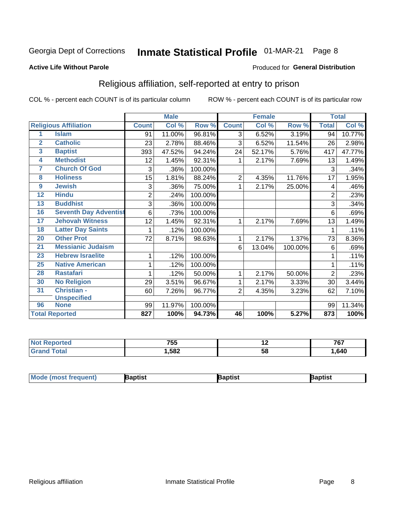#### **Inmate Statistical Profile 01-MAR-21** Page 8

#### **Active Life Without Parole**

#### Produced for General Distribution

# Religious affiliation, self-reported at entry to prison

COL % - percent each COUNT is of its particular column

|                         |                              |                | <b>Male</b> |         |                | <b>Female</b>             |         |                | <b>Total</b> |
|-------------------------|------------------------------|----------------|-------------|---------|----------------|---------------------------|---------|----------------|--------------|
|                         | <b>Religious Affiliation</b> | <b>Count</b>   | Col %       | Row %   | <b>Count</b>   | $\overline{\text{Col}}$ % | Row %   | <b>Total</b>   | Col %        |
| 1                       | <b>Islam</b>                 | 91             | 11.00%      | 96.81%  | 3              | 6.52%                     | 3.19%   | 94             | 10.77%       |
| $\overline{2}$          | <b>Catholic</b>              | 23             | 2.78%       | 88.46%  | 3              | 6.52%                     | 11.54%  | 26             | 2.98%        |
| $\overline{\mathbf{3}}$ | <b>Baptist</b>               | 393            | 47.52%      | 94.24%  | 24             | 52.17%                    | 5.76%   | 417            | 47.77%       |
| $\overline{4}$          | <b>Methodist</b>             | 12             | 1.45%       | 92.31%  |                | 2.17%                     | 7.69%   | 13             | 1.49%        |
| 7                       | <b>Church Of God</b>         | 3              | .36%        | 100.00% |                |                           |         | 3              | .34%         |
| 8                       | <b>Holiness</b>              | 15             | 1.81%       | 88.24%  | $\overline{2}$ | 4.35%                     | 11.76%  | 17             | 1.95%        |
| 9                       | <b>Jewish</b>                | 3              | .36%        | 75.00%  | 1              | 2.17%                     | 25.00%  | 4              | .46%         |
| $\overline{12}$         | <b>Hindu</b>                 | $\overline{2}$ | .24%        | 100.00% |                |                           |         | $\overline{2}$ | .23%         |
| 13                      | <b>Buddhist</b>              | 3              | .36%        | 100.00% |                |                           |         | 3              | .34%         |
| 16                      | <b>Seventh Day Adventist</b> | 6              | .73%        | 100.00% |                |                           |         | 6              | .69%         |
| 17                      | <b>Jehovah Witness</b>       | 12             | 1.45%       | 92.31%  |                | 2.17%                     | 7.69%   | 13             | 1.49%        |
| 18                      | <b>Latter Day Saints</b>     | 1              | .12%        | 100.00% |                |                           |         | 1              | .11%         |
| 20                      | <b>Other Prot</b>            | 72             | 8.71%       | 98.63%  | 1              | 2.17%                     | 1.37%   | 73             | 8.36%        |
| 21                      | <b>Messianic Judaism</b>     |                |             |         | 6              | 13.04%                    | 100.00% | 6              | .69%         |
| 23                      | <b>Hebrew Israelite</b>      | 1              | .12%        | 100.00% |                |                           |         |                | .11%         |
| 25                      | <b>Native American</b>       |                | .12%        | 100.00% |                |                           |         |                | .11%         |
| 28                      | <b>Rastafari</b>             |                | .12%        | 50.00%  | 1              | 2.17%                     | 50.00%  | $\overline{2}$ | .23%         |
| 30                      | <b>No Religion</b>           | 29             | 3.51%       | 96.67%  | 1              | 2.17%                     | 3.33%   | 30             | 3.44%        |
| 31                      | Christian -                  | 60             | 7.26%       | 96.77%  | $\overline{2}$ | 4.35%                     | 3.23%   | 62             | 7.10%        |
|                         | <b>Unspecified</b>           |                |             |         |                |                           |         |                |              |
| 96                      | <b>None</b>                  | 99             | 11.97%      | 100.00% |                |                           |         | 99             | 11.34%       |
|                         | <b>Total Reported</b>        | 827            | 100%        | 94.73%  | 46             | 100%                      | 5.27%   | 873            | 100%         |

| ιеσ | ---<br>755 | . . | 767  |
|-----|------------|-----|------|
|     | 1,582      | ວເ  | .640 |

| <b>Mode (most frequent)</b> | 3aptist | Baptist | Baptist |
|-----------------------------|---------|---------|---------|
|-----------------------------|---------|---------|---------|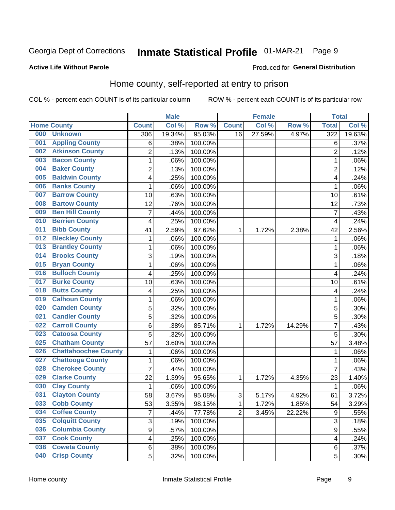#### Inmate Statistical Profile 01-MAR-21 Page 9

#### **Active Life Without Parole**

#### Produced for General Distribution

# Home county, self-reported at entry to prison

COL % - percent each COUNT is of its particular column

|     |                             |                         | <b>Male</b> |         |                | <b>Female</b> |        | <b>Total</b>            |        |
|-----|-----------------------------|-------------------------|-------------|---------|----------------|---------------|--------|-------------------------|--------|
|     | <b>Home County</b>          | <b>Count</b>            | Col %       | Row %   | <b>Count</b>   | Col %         | Row %  | <b>Total</b>            | Col %  |
| 000 | <b>Unknown</b>              | 306                     | 19.34%      | 95.03%  | 16             | 27.59%        | 4.97%  | 322                     | 19.63% |
| 001 | <b>Appling County</b>       | 6                       | .38%        | 100.00% |                |               |        | 6                       | .37%   |
| 002 | <b>Atkinson County</b>      | $\overline{2}$          | .13%        | 100.00% |                |               |        | $\overline{2}$          | .12%   |
| 003 | <b>Bacon County</b>         | $\mathbf 1$             | .06%        | 100.00% |                |               |        | 1                       | .06%   |
| 004 | <b>Baker County</b>         | $\overline{2}$          | .13%        | 100.00% |                |               |        | $\overline{2}$          | .12%   |
| 005 | <b>Baldwin County</b>       | 4                       | .25%        | 100.00% |                |               |        | 4                       | .24%   |
| 006 | <b>Banks County</b>         | $\mathbf{1}$            | .06%        | 100.00% |                |               |        | 1                       | .06%   |
| 007 | <b>Barrow County</b>        | 10                      | .63%        | 100.00% |                |               |        | 10                      | .61%   |
| 008 | <b>Bartow County</b>        | 12                      | .76%        | 100.00% |                |               |        | 12                      | .73%   |
| 009 | <b>Ben Hill County</b>      | $\overline{7}$          | .44%        | 100.00% |                |               |        | 7                       | .43%   |
| 010 | <b>Berrien County</b>       | 4                       | .25%        | 100.00% |                |               |        | $\overline{\mathbf{4}}$ | .24%   |
| 011 | <b>Bibb County</b>          | 41                      | 2.59%       | 97.62%  | 1              | 1.72%         | 2.38%  | 42                      | 2.56%  |
| 012 | <b>Bleckley County</b>      | 1                       | .06%        | 100.00% |                |               |        | 1                       | .06%   |
| 013 | <b>Brantley County</b>      | $\mathbf 1$             | .06%        | 100.00% |                |               |        | 1                       | .06%   |
| 014 | <b>Brooks County</b>        | 3                       | .19%        | 100.00% |                |               |        | 3                       | .18%   |
| 015 | <b>Bryan County</b>         | $\mathbf 1$             | .06%        | 100.00% |                |               |        | 1                       | .06%   |
| 016 | <b>Bulloch County</b>       | 4                       | .25%        | 100.00% |                |               |        | $\overline{4}$          | .24%   |
| 017 | <b>Burke County</b>         | 10                      | .63%        | 100.00% |                |               |        | 10                      | .61%   |
| 018 | <b>Butts County</b>         | 4                       | .25%        | 100.00% |                |               |        | 4                       | .24%   |
| 019 | <b>Calhoun County</b>       | $\mathbf 1$             | .06%        | 100.00% |                |               |        | 1                       | .06%   |
| 020 | <b>Camden County</b>        | 5                       | .32%        | 100.00% |                |               |        | 5                       | .30%   |
| 021 | <b>Candler County</b>       | 5                       | .32%        | 100.00% |                |               |        | 5                       | .30%   |
| 022 | <b>Carroll County</b>       | 6                       | .38%        | 85.71%  | 1              | 1.72%         | 14.29% | 7                       | .43%   |
| 023 | <b>Catoosa County</b>       | 5                       | .32%        | 100.00% |                |               |        | 5                       | .30%   |
| 025 | <b>Chatham County</b>       | 57                      | 3.60%       | 100.00% |                |               |        | 57                      | 3.48%  |
| 026 | <b>Chattahoochee County</b> | $\mathbf 1$             | .06%        | 100.00% |                |               |        | 1                       | .06%   |
| 027 | <b>Chattooga County</b>     | $\mathbf 1$             | .06%        | 100.00% |                |               |        | 1                       | .06%   |
| 028 | <b>Cherokee County</b>      | $\overline{7}$          | .44%        | 100.00% |                |               |        | $\overline{7}$          | .43%   |
| 029 | <b>Clarke County</b>        | 22                      | 1.39%       | 95.65%  | 1              | 1.72%         | 4.35%  | 23                      | 1.40%  |
| 030 | <b>Clay County</b>          | $\mathbf 1$             | .06%        | 100.00% |                |               |        | 1                       | .06%   |
| 031 | <b>Clayton County</b>       | 58                      | 3.67%       | 95.08%  | $\sqrt{3}$     | 5.17%         | 4.92%  | 61                      | 3.72%  |
| 033 | <b>Cobb County</b>          | 53                      | 3.35%       | 98.15%  | 1              | 1.72%         | 1.85%  | 54                      | 3.29%  |
| 034 | <b>Coffee County</b>        | $\overline{7}$          | .44%        | 77.78%  | $\overline{2}$ | 3.45%         | 22.22% | $\boldsymbol{9}$        | .55%   |
| 035 | <b>Colquitt County</b>      | 3                       | .19%        | 100.00% |                |               |        | $\overline{3}$          | .18%   |
| 036 | <b>Columbia County</b>      | $\overline{9}$          | .57%        | 100.00% |                |               |        | 9                       | .55%   |
| 037 | <b>Cook County</b>          | $\overline{\mathbf{4}}$ | .25%        | 100.00% |                |               |        | 4                       | .24%   |
| 038 | <b>Coweta County</b>        | 6                       | .38%        | 100.00% |                |               |        | 6                       | .37%   |
| 040 | <b>Crisp County</b>         | 5                       | .32%        | 100.00% |                |               |        | 5                       | .30%   |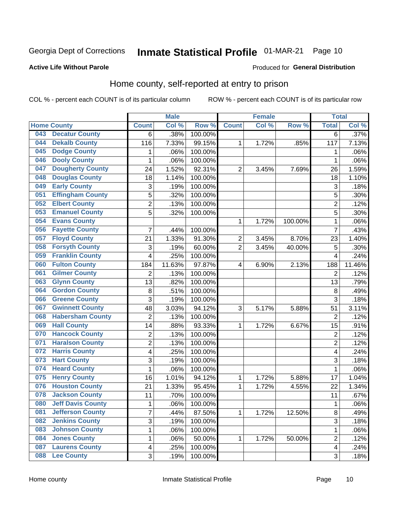# Inmate Statistical Profile 01-MAR-21 Page 10

Produced for General Distribution

### **Active Life Without Parole**

## Home county, self-reported at entry to prison

COL % - percent each COUNT is of its particular column

|     |                          |                         | <b>Male</b> |                  |                | <b>Female</b> |         | <b>Total</b>            |        |
|-----|--------------------------|-------------------------|-------------|------------------|----------------|---------------|---------|-------------------------|--------|
|     | <b>Home County</b>       | <b>Count</b>            | Col %       | Row <sup>%</sup> | <b>Count</b>   | Col %         | Row %   | <b>Total</b>            | Col%   |
| 043 | <b>Decatur County</b>    | 6                       | .38%        | 100.00%          |                |               |         | 6                       | .37%   |
| 044 | <b>Dekalb County</b>     | 116                     | 7.33%       | 99.15%           | 1              | 1.72%         | .85%    | 117                     | 7.13%  |
| 045 | <b>Dodge County</b>      | 1                       | .06%        | 100.00%          |                |               |         | 1                       | .06%   |
| 046 | <b>Dooly County</b>      | 1                       | .06%        | 100.00%          |                |               |         | 1                       | .06%   |
| 047 | <b>Dougherty County</b>  | 24                      | 1.52%       | 92.31%           | $\overline{2}$ | 3.45%         | 7.69%   | 26                      | 1.59%  |
| 048 | <b>Douglas County</b>    | 18                      | 1.14%       | 100.00%          |                |               |         | 18                      | 1.10%  |
| 049 | <b>Early County</b>      | 3                       | .19%        | 100.00%          |                |               |         | 3                       | .18%   |
| 051 | <b>Effingham County</b>  | 5                       | .32%        | 100.00%          |                |               |         | 5                       | .30%   |
| 052 | <b>Elbert County</b>     | $\overline{2}$          | .13%        | 100.00%          |                |               |         | $\overline{2}$          | .12%   |
| 053 | <b>Emanuel County</b>    | 5                       | .32%        | 100.00%          |                |               |         | 5                       | .30%   |
| 054 | <b>Evans County</b>      |                         |             |                  | 1              | 1.72%         | 100.00% | 1                       | .06%   |
| 056 | <b>Fayette County</b>    | 7                       | .44%        | 100.00%          |                |               |         | $\overline{7}$          | .43%   |
| 057 | <b>Floyd County</b>      | 21                      | 1.33%       | 91.30%           | $\overline{2}$ | 3.45%         | 8.70%   | 23                      | 1.40%  |
| 058 | <b>Forsyth County</b>    | 3                       | .19%        | 60.00%           | 2              | 3.45%         | 40.00%  | 5                       | .30%   |
| 059 | <b>Franklin County</b>   | 4                       | .25%        | 100.00%          |                |               |         | $\overline{4}$          | .24%   |
| 060 | <b>Fulton County</b>     | 184                     | 11.63%      | 97.87%           | 4              | 6.90%         | 2.13%   | 188                     | 11.46% |
| 061 | <b>Gilmer County</b>     | $\overline{2}$          | .13%        | 100.00%          |                |               |         | $\overline{2}$          | .12%   |
| 063 | <b>Glynn County</b>      | 13                      | .82%        | 100.00%          |                |               |         | 13                      | .79%   |
| 064 | <b>Gordon County</b>     | 8                       | .51%        | 100.00%          |                |               |         | 8                       | .49%   |
| 066 | <b>Greene County</b>     | 3                       | .19%        | 100.00%          |                |               |         | $\overline{3}$          | .18%   |
| 067 | <b>Gwinnett County</b>   | 48                      | 3.03%       | 94.12%           | 3              | 5.17%         | 5.88%   | 51                      | 3.11%  |
| 068 | <b>Habersham County</b>  | $\overline{2}$          | .13%        | 100.00%          |                |               |         | $\overline{2}$          | .12%   |
| 069 | <b>Hall County</b>       | 14                      | .88%        | 93.33%           | 1              | 1.72%         | 6.67%   | 15                      | .91%   |
| 070 | <b>Hancock County</b>    | 2                       | .13%        | 100.00%          |                |               |         | $\overline{2}$          | .12%   |
| 071 | <b>Haralson County</b>   | $\overline{c}$          | .13%        | 100.00%          |                |               |         | $\overline{2}$          | .12%   |
| 072 | <b>Harris County</b>     | 4                       | .25%        | 100.00%          |                |               |         | 4                       | .24%   |
| 073 | <b>Hart County</b>       | 3                       | .19%        | 100.00%          |                |               |         | 3                       | .18%   |
| 074 | <b>Heard County</b>      | 1                       | .06%        | 100.00%          |                |               |         | 1                       | .06%   |
| 075 | <b>Henry County</b>      | 16                      | 1.01%       | 94.12%           | 1              | 1.72%         | 5.88%   | 17                      | 1.04%  |
| 076 | <b>Houston County</b>    | 21                      | 1.33%       | 95.45%           | 1              | 1.72%         | 4.55%   | 22                      | 1.34%  |
| 078 | <b>Jackson County</b>    | 11                      | .70%        | 100.00%          |                |               |         | 11                      | .67%   |
| 080 | <b>Jeff Davis County</b> | $\mathbf 1$             | .06%        | 100.00%          |                |               |         | 1                       | .06%   |
| 081 | <b>Jefferson County</b>  | $\overline{7}$          | .44%        | 87.50%           | 1              | 1.72%         | 12.50%  | 8                       | .49%   |
| 082 | <b>Jenkins County</b>    | 3                       | .19%        | 100.00%          |                |               |         | 3                       | .18%   |
| 083 | <b>Johnson County</b>    | $\mathbf{1}$            | .06%        | 100.00%          |                |               |         | 1                       | .06%   |
| 084 | <b>Jones County</b>      | 1                       | .06%        | 50.00%           | 1              | 1.72%         | 50.00%  | $\overline{2}$          | .12%   |
| 087 | <b>Laurens County</b>    | $\overline{\mathbf{4}}$ | .25%        | 100.00%          |                |               |         | $\overline{\mathbf{4}}$ | .24%   |
| 088 | <b>Lee County</b>        | 3                       | .19%        | 100.00%          |                |               |         | 3                       | .18%   |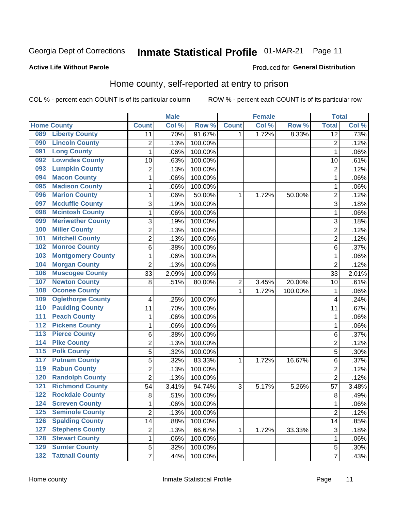#### **Inmate Statistical Profile 01-MAR-21** Page 11

Produced for General Distribution

### **Active Life Without Parole**

## Home county, self-reported at entry to prison

COL % - percent each COUNT is of its particular column

|                  |                          |                | <b>Male</b> |         |                         | <b>Female</b> |         | <b>Total</b>    |       |
|------------------|--------------------------|----------------|-------------|---------|-------------------------|---------------|---------|-----------------|-------|
|                  | <b>Home County</b>       | <b>Count</b>   | Col%        | Row %   | <b>Count</b>            | Col %         | Row %   | <b>Total</b>    | Col%  |
| 089              | <b>Liberty County</b>    | 11             | .70%        | 91.67%  | 1                       | 1.72%         | 8.33%   | $\overline{12}$ | .73%  |
| 090              | <b>Lincoln County</b>    | $\overline{2}$ | .13%        | 100.00% |                         |               |         | $\overline{2}$  | .12%  |
| 091              | <b>Long County</b>       | $\mathbf{1}$   | .06%        | 100.00% |                         |               |         | 1               | .06%  |
| 092              | <b>Lowndes County</b>    | 10             | .63%        | 100.00% |                         |               |         | 10              | .61%  |
| 093              | <b>Lumpkin County</b>    | $\overline{2}$ | .13%        | 100.00% |                         |               |         | $\overline{2}$  | .12%  |
| 094              | <b>Macon County</b>      | $\mathbf 1$    | .06%        | 100.00% |                         |               |         | 1               | .06%  |
| 095              | <b>Madison County</b>    | $\mathbf 1$    | .06%        | 100.00% |                         |               |         | 1               | .06%  |
| 096              | <b>Marion County</b>     | 1              | .06%        | 50.00%  | 1                       | 1.72%         | 50.00%  | $\overline{c}$  | .12%  |
| 097              | <b>Mcduffie County</b>   | 3              | .19%        | 100.00% |                         |               |         | 3               | .18%  |
| 098              | <b>Mcintosh County</b>   | $\mathbf 1$    | .06%        | 100.00% |                         |               |         | 1               | .06%  |
| 099              | <b>Meriwether County</b> | 3              | .19%        | 100.00% |                         |               |         | 3               | .18%  |
| 100              | <b>Miller County</b>     | $\overline{c}$ | .13%        | 100.00% |                         |               |         | $\overline{2}$  | .12%  |
| 101              | <b>Mitchell County</b>   | $\overline{2}$ | .13%        | 100.00% |                         |               |         | $\overline{2}$  | .12%  |
| 102              | <b>Monroe County</b>     | 6              | .38%        | 100.00% |                         |               |         | $6\phantom{1}6$ | .37%  |
| 103              | <b>Montgomery County</b> | $\mathbf 1$    | .06%        | 100.00% |                         |               |         | 1               | .06%  |
| 104              | <b>Morgan County</b>     | $\overline{2}$ | .13%        | 100.00% |                         |               |         | $\overline{2}$  | .12%  |
| 106              | <b>Muscogee County</b>   | 33             | 2.09%       | 100.00% |                         |               |         | 33              | 2.01% |
| 107              | <b>Newton County</b>     | 8              | .51%        | 80.00%  | $\overline{\mathbf{c}}$ | 3.45%         | 20.00%  | 10              | .61%  |
| 108              | <b>Oconee County</b>     |                |             |         | 1                       | 1.72%         | 100.00% | 1               | .06%  |
| 109              | <b>Oglethorpe County</b> | 4              | .25%        | 100.00% |                         |               |         | 4               | .24%  |
| 110              | <b>Paulding County</b>   | 11             | .70%        | 100.00% |                         |               |         | 11              | .67%  |
| 111              | <b>Peach County</b>      | $\mathbf 1$    | .06%        | 100.00% |                         |               |         | 1               | .06%  |
| 112              | <b>Pickens County</b>    | $\mathbf 1$    | .06%        | 100.00% |                         |               |         | 1               | .06%  |
| 113              | <b>Pierce County</b>     | 6              | .38%        | 100.00% |                         |               |         | $\,6$           | .37%  |
| 114              | <b>Pike County</b>       | $\overline{c}$ | .13%        | 100.00% |                         |               |         | $\overline{c}$  | .12%  |
| $\overline{115}$ | <b>Polk County</b>       | 5              | .32%        | 100.00% |                         |               |         | 5               | .30%  |
| 117              | <b>Putnam County</b>     | 5              | .32%        | 83.33%  | 1                       | 1.72%         | 16.67%  | 6               | .37%  |
| 119              | <b>Rabun County</b>      | $\overline{2}$ | .13%        | 100.00% |                         |               |         | $\overline{2}$  | .12%  |
| 120              | <b>Randolph County</b>   | $\overline{2}$ | .13%        | 100.00% |                         |               |         | $\overline{2}$  | .12%  |
| 121              | <b>Richmond County</b>   | 54             | 3.41%       | 94.74%  | 3                       | 5.17%         | 5.26%   | 57              | 3.48% |
| 122              | <b>Rockdale County</b>   | 8              | .51%        | 100.00% |                         |               |         | 8               | .49%  |
| 124              | <b>Screven County</b>    | $\mathbf 1$    | .06%        | 100.00% |                         |               |         | 1               | .06%  |
| 125              | <b>Seminole County</b>   | $\overline{2}$ | .13%        | 100.00% |                         |               |         | $\overline{2}$  | .12%  |
| 126              | <b>Spalding County</b>   | 14             | .88%        | 100.00% |                         |               |         | 14              | .85%  |
| 127              | <b>Stephens County</b>   | $\overline{c}$ | .13%        | 66.67%  | 1                       | 1.72%         | 33.33%  | $\sqrt{3}$      | .18%  |
| 128              | <b>Stewart County</b>    | $\mathbf{1}$   | .06%        | 100.00% |                         |               |         | 1               | .06%  |
| 129              | <b>Sumter County</b>     | 5              | .32%        | 100.00% |                         |               |         | 5               | .30%  |
| 132              | <b>Tattnall County</b>   | $\overline{7}$ | .44%        | 100.00% |                         |               |         | 7               | .43%  |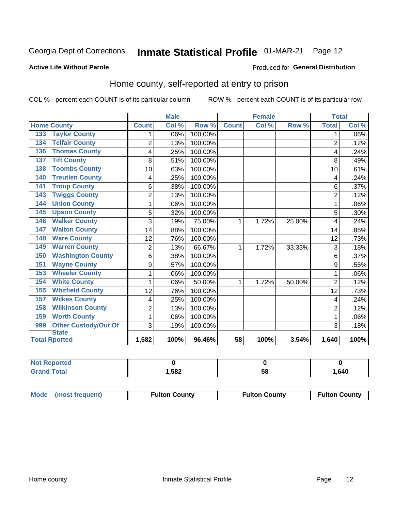# Inmate Statistical Profile 01-MAR-21 Page 12

#### **Active Life Without Parole**

#### Produced for General Distribution

## Home county, self-reported at entry to prison

COL % - percent each COUNT is of its particular column

|                                    |                | <b>Male</b> |         | <b>Female</b> |       |        | <b>Total</b>   |         |
|------------------------------------|----------------|-------------|---------|---------------|-------|--------|----------------|---------|
| <b>Home County</b>                 | <b>Count</b>   | Col %       | Row %   | <b>Count</b>  | Col % | Row %  | <b>Total</b>   | Col %   |
| <b>Taylor County</b><br>133        | 1              | .06%        | 100.00% |               |       |        | 1              | $.06\%$ |
| <b>Telfair County</b><br>134       | $\overline{2}$ | .13%        | 100.00% |               |       |        | $\overline{2}$ | .12%    |
| <b>Thomas County</b><br>136        | 4              | .25%        | 100.00% |               |       |        | 4              | .24%    |
| <b>Tift County</b><br>137          | 8              | .51%        | 100.00% |               |       |        | 8              | .49%    |
| <b>Toombs County</b><br>138        | 10             | .63%        | 100.00% |               |       |        | 10             | .61%    |
| <b>Treutlen County</b><br>140      | 4              | .25%        | 100.00% |               |       |        | 4              | .24%    |
| <b>Troup County</b><br>141         | 6              | .38%        | 100.00% |               |       |        | 6              | .37%    |
| <b>Twiggs County</b><br>143        | $\overline{2}$ | .13%        | 100.00% |               |       |        | $\overline{2}$ | .12%    |
| <b>Union County</b><br>144         | 1              | .06%        | 100.00% |               |       |        |                | .06%    |
| <b>Upson County</b><br>145         | 5              | .32%        | 100.00% |               |       |        | 5              | .30%    |
| <b>Walker County</b><br>146        | 3              | .19%        | 75.00%  | 1             | 1.72% | 25.00% | 4              | .24%    |
| <b>Walton County</b><br>147        | 14             | .88%        | 100.00% |               |       |        | 14             | .85%    |
| <b>Ware County</b><br>148          | 12             | .76%        | 100.00% |               |       |        | 12             | .73%    |
| <b>Warren County</b><br>149        | $\overline{2}$ | .13%        | 66.67%  | 1             | 1.72% | 33.33% | 3              | .18%    |
| <b>Washington County</b><br>150    | 6              | .38%        | 100.00% |               |       |        | 6              | .37%    |
| <b>Wayne County</b><br>151         | 9              | .57%        | 100.00% |               |       |        | 9              | .55%    |
| <b>Wheeler County</b><br>153       | 1              | .06%        | 100.00% |               |       |        | 1              | .06%    |
| <b>White County</b><br>154         | 1              | .06%        | 50.00%  | 1             | 1.72% | 50.00% | $\overline{2}$ | .12%    |
| <b>Whitfield County</b><br>155     | 12             | .76%        | 100.00% |               |       |        | 12             | .73%    |
| <b>Wilkes County</b><br>157        | 4              | .25%        | 100.00% |               |       |        | 4              | .24%    |
| <b>Wilkinson County</b><br>158     | $\overline{2}$ | .13%        | 100.00% |               |       |        | $\overline{2}$ | .12%    |
| <b>Worth County</b><br>159         | 1              | .06%        | 100.00% |               |       |        | 1              | .06%    |
| <b>Other Custody/Out Of</b><br>999 | 3              | .19%        | 100.00% |               |       |        | 3              | .18%    |
| <b>State</b>                       |                |             |         |               |       |        |                |         |
| <b>Total Rported</b>               | 1,582          | 100%        | 96.46%  | 58            | 100%  | 3.54%  | 1,640          | 100%    |

| <b>Not Reported</b> |      |    |      |
|---------------------|------|----|------|
| `otal               | ,582 | ວດ | .640 |

| Mode (most frequent) | <b>Fulton County</b> | <b>Fulton County</b> | <b>Fulton County</b> |
|----------------------|----------------------|----------------------|----------------------|
|----------------------|----------------------|----------------------|----------------------|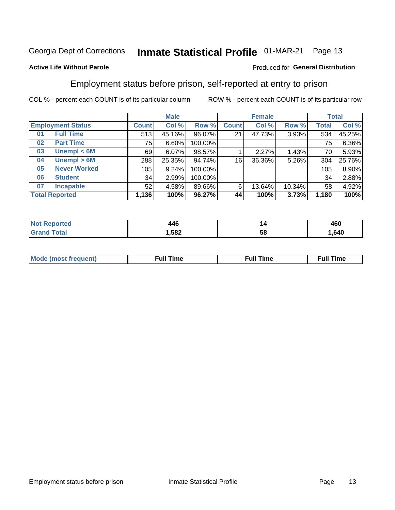#### **Inmate Statistical Profile 01-MAR-21** Page 13

### **Active Life Without Parole**

### Produced for General Distribution

## Employment status before prison, self-reported at entry to prison

COL % - percent each COUNT is of its particular column

|                           |              | <b>Male</b> |         |              | <b>Female</b> |        |       | <b>Total</b> |
|---------------------------|--------------|-------------|---------|--------------|---------------|--------|-------|--------------|
| <b>Employment Status</b>  | <b>Count</b> | Col %       | Row %   | <b>Count</b> | Col %         | Row %  | Total | Col %        |
| <b>Full Time</b><br>01    | 513          | 45.16%      | 96.07%  | 21           | 47.73%        | 3.93%  | 534   | 45.25%       |
| <b>Part Time</b><br>02    | 75           | 6.60%       | 100.00% |              |               |        | 75    | 6.36%        |
| Unempl $<$ 6M<br>03       | 69           | 6.07%       | 98.57%  |              | 2.27%         | 1.43%  | 70    | 5.93%        |
| Unempl > 6M<br>04         | 288          | 25.35%      | 94.74%  | 16           | 36.36%        | 5.26%  | 304   | 25.76%       |
| <b>Never Worked</b><br>05 | 105          | 9.24%       | 100.00% |              |               |        | 105   | 8.90%        |
| <b>Student</b><br>06      | 34           | 2.99%       | 100.00% |              |               |        | 34    | 2.88%        |
| <b>Incapable</b><br>07    | 52           | 4.58%       | 89.66%  | 6            | 13.64%        | 10.34% | 58    | 4.92%        |
| <b>Total Reported</b>     | 1,136        | 100%        | 96.27%  | 44           | 100%          | 3.73%  | 1,180 | 100%         |

| 14F<br>14 U<br>__ | "  | 460  |
|-------------------|----|------|
| 1,582             | ວເ | .640 |

| Mc | ----<br>me<br>ш | nc<br>. |
|----|-----------------|---------|
|    |                 |         |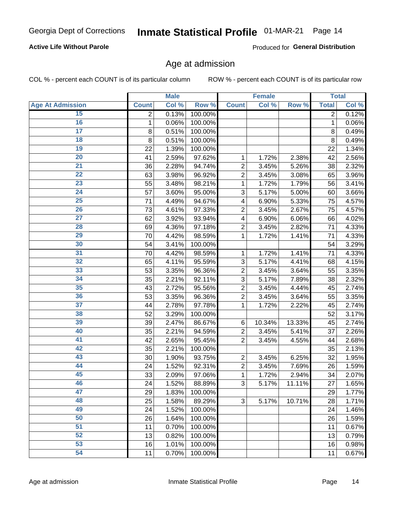### **Active Life Without Parole**

Produced for General Distribution

### Age at admission

COL % - percent each COUNT is of its particular column

|                         |              | <b>Male</b> |         |                | <b>Female</b> |        |              | <b>Total</b> |
|-------------------------|--------------|-------------|---------|----------------|---------------|--------|--------------|--------------|
| <b>Age At Admission</b> | <b>Count</b> | Col %       | Row %   | <b>Count</b>   | Col %         | Row %  | <b>Total</b> | Col %        |
| 15                      | 2            | 0.13%       | 100.00% |                |               |        | 2            | 0.12%        |
| 16                      | 1            | 0.06%       | 100.00% |                |               |        | 1            | 0.06%        |
| $\overline{17}$         | 8            | 0.51%       | 100.00% |                |               |        | 8            | 0.49%        |
| 18                      | 8            | 0.51%       | 100.00% |                |               |        | 8            | 0.49%        |
| 19                      | 22           | 1.39%       | 100.00% |                |               |        | 22           | 1.34%        |
| $\overline{20}$         | 41           | 2.59%       | 97.62%  | 1              | 1.72%         | 2.38%  | 42           | 2.56%        |
| 21                      | 36           | 2.28%       | 94.74%  | $\overline{2}$ | 3.45%         | 5.26%  | 38           | 2.32%        |
| 22                      | 63           | 3.98%       | 96.92%  | $\overline{2}$ | 3.45%         | 3.08%  | 65           | 3.96%        |
| 23                      | 55           | 3.48%       | 98.21%  | 1              | 1.72%         | 1.79%  | 56           | 3.41%        |
| 24                      | 57           | 3.60%       | 95.00%  | 3              | 5.17%         | 5.00%  | 60           | 3.66%        |
| $\overline{25}$         | 71           | 4.49%       | 94.67%  | 4              | 6.90%         | 5.33%  | 75           | 4.57%        |
| 26                      | 73           | 4.61%       | 97.33%  | $\overline{2}$ | 3.45%         | 2.67%  | 75           | 4.57%        |
| $\overline{27}$         | 62           | 3.92%       | 93.94%  | 4              | 6.90%         | 6.06%  | 66           | 4.02%        |
| 28                      | 69           | 4.36%       | 97.18%  | $\overline{2}$ | 3.45%         | 2.82%  | 71           | 4.33%        |
| 29                      | 70           | 4.42%       | 98.59%  | 1              | 1.72%         | 1.41%  | 71           | 4.33%        |
| 30                      | 54           | 3.41%       | 100.00% |                |               |        | 54           | 3.29%        |
| 31                      | 70           | 4.42%       | 98.59%  | 1              | 1.72%         | 1.41%  | 71           | 4.33%        |
| 32                      | 65           | 4.11%       | 95.59%  | 3              | 5.17%         | 4.41%  | 68           | 4.15%        |
| 33                      | 53           | 3.35%       | 96.36%  | $\overline{2}$ | 3.45%         | 3.64%  | 55           | 3.35%        |
| 34                      | 35           | 2.21%       | 92.11%  | 3              | 5.17%         | 7.89%  | 38           | 2.32%        |
| 35                      | 43           | 2.72%       | 95.56%  | $\overline{2}$ | 3.45%         | 4.44%  | 45           | 2.74%        |
| 36                      | 53           | 3.35%       | 96.36%  | $\overline{2}$ | 3.45%         | 3.64%  | 55           | 3.35%        |
| $\overline{37}$         | 44           | 2.78%       | 97.78%  | 1              | 1.72%         | 2.22%  | 45           | 2.74%        |
| 38                      | 52           | 3.29%       | 100.00% |                |               |        | 52           | 3.17%        |
| 39                      | 39           | 2.47%       | 86.67%  | 6              | 10.34%        | 13.33% | 45           | 2.74%        |
| 40                      | 35           | 2.21%       | 94.59%  | $\overline{2}$ | 3.45%         | 5.41%  | 37           | 2.26%        |
| 41                      | 42           | 2.65%       | 95.45%  | $\overline{2}$ | 3.45%         | 4.55%  | 44           | 2.68%        |
| 42                      | 35           | 2.21%       | 100.00% |                |               |        | 35           | 2.13%        |
| 43                      | 30           | 1.90%       | 93.75%  | $\overline{2}$ | 3.45%         | 6.25%  | 32           | 1.95%        |
| 44                      | 24           | 1.52%       | 92.31%  | $\overline{2}$ | 3.45%         | 7.69%  | 26           | 1.59%        |
| 45                      | 33           | 2.09%       | 97.06%  | 1              | 1.72%         | 2.94%  | 34           | 2.07%        |
| 46                      | 24           | 1.52%       | 88.89%  | 3              | 5.17%         | 11.11% | 27           | 1.65%        |
| 47                      | 29           | 1.83%       | 100.00% |                |               |        | 29           | 1.77%        |
| 48                      | 25           | 1.58%       | 89.29%  | 3              | 5.17%         | 10.71% | 28           | 1.71%        |
| 49                      | 24           | 1.52%       | 100.00% |                |               |        | 24           | 1.46%        |
| 50                      | 26           | 1.64%       | 100.00% |                |               |        | 26           | 1.59%        |
| $\overline{51}$         | 11           | 0.70%       | 100.00% |                |               |        | 11           | 0.67%        |
| 52                      | 13           | 0.82%       | 100.00% |                |               |        | 13           | 0.79%        |
| 53                      | 16           | 1.01%       | 100.00% |                |               |        | 16           | 0.98%        |
| 54                      | 11           | 0.70%       | 100.00% |                |               |        | 11           | 0.67%        |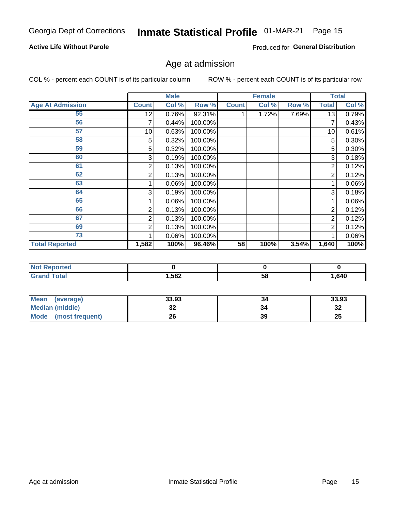### **Active Life Without Parole**

Produced for General Distribution

# Age at admission

COL % - percent each COUNT is of its particular column

|                         |              | <b>Male</b> |         |              | <b>Female</b> |       |       | <b>Total</b> |
|-------------------------|--------------|-------------|---------|--------------|---------------|-------|-------|--------------|
| <b>Age At Admission</b> | <b>Count</b> | Col %       | Row %   | <b>Count</b> | Col %         | Row % | Total | Col %        |
| 55                      | 12           | 0.76%       | 92.31%  |              | 1.72%         | 7.69% | 13    | 0.79%        |
| 56                      | 7            | 0.44%       | 100.00% |              |               |       |       | 0.43%        |
| 57                      | 10           | 0.63%       | 100.00% |              |               |       | 10    | 0.61%        |
| 58                      | 5            | 0.32%       | 100.00% |              |               |       | 5     | 0.30%        |
| 59                      | 5            | 0.32%       | 100.00% |              |               |       | 5     | 0.30%        |
| 60                      | 3            | 0.19%       | 100.00% |              |               |       | 3     | 0.18%        |
| 61                      | 2            | 0.13%       | 100.00% |              |               |       | 2     | 0.12%        |
| 62                      | 2            | 0.13%       | 100.00% |              |               |       | 2     | 0.12%        |
| 63                      |              | 0.06%       | 100.00% |              |               |       |       | 0.06%        |
| 64                      | 3            | 0.19%       | 100.00% |              |               |       | 3     | 0.18%        |
| 65                      |              | 0.06%       | 100.00% |              |               |       |       | 0.06%        |
| 66                      | 2            | 0.13%       | 100.00% |              |               |       | 2     | 0.12%        |
| 67                      | 2            | 0.13%       | 100.00% |              |               |       | 2     | 0.12%        |
| 69                      | 2            | 0.13%       | 100.00% |              |               |       | 2     | 0.12%        |
| 73                      |              | 0.06%       | 100.00% |              |               |       |       | 0.06%        |
| <b>Total Reported</b>   | 1,582        | 100%        | 96.46%  | 58           | 100%          | 3.54% | 1,640 | 100%         |

| <b>Not Reported</b> |      |    |       |
|---------------------|------|----|-------|
| <b>Total</b>        | ,582 | Эō | 1,640 |

| <b>Mean</b><br>(average) | 33.93    | 34 | 33.93     |
|--------------------------|----------|----|-----------|
| <b>Median (middle)</b>   | ^^<br>JŁ |    | n g<br>34 |
| Mode<br>(most frequent)  | 26       | 39 | 25        |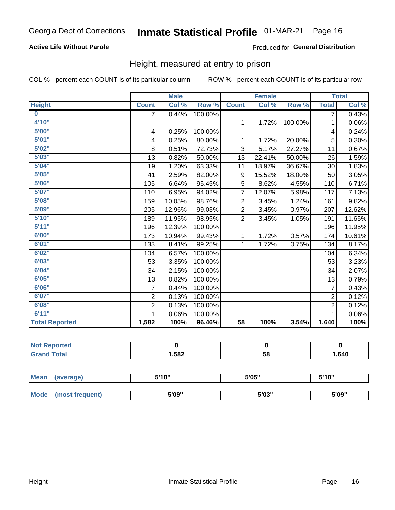### **Active Life Without Parole**

#### Produced for General Distribution

### Height, measured at entry to prison

COL % - percent each COUNT is of its particular column

|                       |                | <b>Male</b> |         |                | <b>Female</b>              |         |                | <b>Total</b> |
|-----------------------|----------------|-------------|---------|----------------|----------------------------|---------|----------------|--------------|
| <b>Height</b>         | <b>Count</b>   | Col %       | Row %   | <b>Count</b>   | $\overline{\text{Col }^9}$ | Row %   | <b>Total</b>   | Col %        |
| $\bf{0}$              | 7              | 0.44%       | 100.00% |                |                            |         | 7              | 0.43%        |
| 4'10"                 |                |             |         | $\mathbf{1}$   | 1.72%                      | 100.00% | 1              | 0.06%        |
| 5'00"                 | 4              | 0.25%       | 100.00% |                |                            |         | 4              | 0.24%        |
| 5'01"                 | 4              | 0.25%       | 80.00%  | 1              | 1.72%                      | 20.00%  | 5              | 0.30%        |
| 5'02"                 | 8              | 0.51%       | 72.73%  | 3              | 5.17%                      | 27.27%  | 11             | 0.67%        |
| 5'03''                | 13             | 0.82%       | 50.00%  | 13             | 22.41%                     | 50.00%  | 26             | 1.59%        |
| 5'04"                 | 19             | 1.20%       | 63.33%  | 11             | 18.97%                     | 36.67%  | 30             | 1.83%        |
| 5'05"                 | 41             | 2.59%       | 82.00%  | 9              | 15.52%                     | 18.00%  | 50             | 3.05%        |
| 5'06''                | 105            | 6.64%       | 95.45%  | 5              | 8.62%                      | 4.55%   | 110            | 6.71%        |
| 5'07"                 | 110            | 6.95%       | 94.02%  | $\overline{7}$ | 12.07%                     | 5.98%   | 117            | 7.13%        |
| 5'08''                | 159            | 10.05%      | 98.76%  | $\overline{2}$ | 3.45%                      | 1.24%   | 161            | 9.82%        |
| 5'09''                | 205            | 12.96%      | 99.03%  | $\overline{2}$ | 3.45%                      | 0.97%   | 207            | 12.62%       |
| 5'10''                | 189            | 11.95%      | 98.95%  | $\overline{2}$ | 3.45%                      | 1.05%   | 191            | 11.65%       |
| 5'11''                | 196            | 12.39%      | 100.00% |                |                            |         | 196            | 11.95%       |
| 6'00''                | 173            | 10.94%      | 99.43%  | $\mathbf{1}$   | 1.72%                      | 0.57%   | 174            | 10.61%       |
| 6'01''                | 133            | 8.41%       | 99.25%  | $\mathbf{1}$   | 1.72%                      | 0.75%   | 134            | 8.17%        |
| 6'02"                 | 104            | 6.57%       | 100.00% |                |                            |         | 104            | 6.34%        |
| 6'03''                | 53             | 3.35%       | 100.00% |                |                            |         | 53             | 3.23%        |
| 6'04"                 | 34             | 2.15%       | 100.00% |                |                            |         | 34             | 2.07%        |
| 6'05"                 | 13             | 0.82%       | 100.00% |                |                            |         | 13             | 0.79%        |
| 6'06''                | 7              | 0.44%       | 100.00% |                |                            |         | 7              | 0.43%        |
| 6'07''                | $\overline{2}$ | 0.13%       | 100.00% |                |                            |         | $\overline{2}$ | 0.12%        |
| 6'08''                | $\overline{2}$ | 0.13%       | 100.00% |                |                            |         | $\overline{2}$ | 0.12%        |
| 6'11''                | 1              | 0.06%       | 100.00% |                |                            |         | 1              | 0.06%        |
| <b>Total Reported</b> | 1,582          | 100%        | 96.46%  | 58             | 100%                       | 3.54%   | 1,640          | 100%         |

| <b>NOT</b><br>rtea<br>a avendi i press<br>$\sim$ |      |    |      |
|--------------------------------------------------|------|----|------|
| $int^{\bullet}$                                  | ,582 | 58 | .640 |

| <b>Mean</b> | (average)       | 5'10" | 5'05" | 5'10"<br>ັ |
|-------------|-----------------|-------|-------|------------|
|             |                 |       |       |            |
| <b>Mode</b> | (most frequent) | 5'09" | 5'03" | 5'09"      |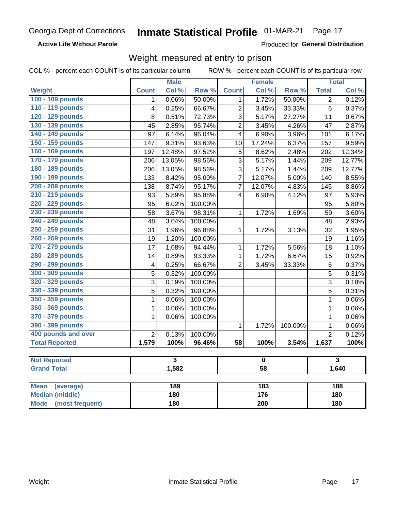#### **Active Life Without Parole**

Produced for General Distribution

## Weight, measured at entry to prison

COL % - percent each COUNT is of its particular column

ROW % - percent each COUNT is of its particular row

|                          |                         | <b>Male</b>             |         |                         | <b>Female</b>    |         |                | <b>Total</b>            |
|--------------------------|-------------------------|-------------------------|---------|-------------------------|------------------|---------|----------------|-------------------------|
| Weight                   | <b>Count</b>            | Col %                   | Row %   | <b>Count</b>            | Col %            | Row %   | <b>Total</b>   | Col %                   |
| 100 - 109 pounds         | 1                       | 0.06%                   | 50.00%  | 1                       | 1.72%            | 50.00%  | $\overline{2}$ | 0.12%                   |
| 110 - 119 pounds         | 4                       | 0.25%                   | 66.67%  | $\overline{2}$          | 3.45%            | 33.33%  | 6              | 0.37%                   |
| 120 - 129 pounds         | 8                       | 0.51%                   | 72.73%  | 3                       | 5.17%            | 27.27%  | 11             | 0.67%                   |
| 130 - 139 pounds         | 45                      | 2.85%                   | 95.74%  | $\overline{2}$          | 3.45%            | 4.26%   | 47             | 2.87%                   |
| 140 - 149 pounds         | 97                      | 6.14%                   | 96.04%  | 4                       | 6.90%            | 3.96%   | 101            | 6.17%                   |
| 150 - 159 pounds         | 147                     | 9.31%                   | 93.63%  | 10                      | 17.24%           | 6.37%   | 157            | 9.59%                   |
| 160 - 169 pounds         | 197                     | 12.48%                  | 97.52%  | 5                       | 8.62%            | 2.48%   | 202            | 12.34%                  |
| 170 - 179 pounds         | 206                     | 13.05%                  | 98.56%  | 3                       | 5.17%            | 1.44%   | 209            | 12.77%                  |
| 180 - 189 pounds         | 206                     | 13.05%                  | 98.56%  | $\overline{3}$          | 5.17%            | 1.44%   | 209            | 12.77%                  |
| 190 - 199 pounds         | 133                     | 8.42%                   | 95.00%  | $\overline{7}$          | 12.07%           | 5.00%   | 140            | 8.55%                   |
| 200 - 209 pounds         | 138                     | 8.74%                   | 95.17%  | $\overline{7}$          | 12.07%           | 4.83%   | 145            | 8.86%                   |
| 210 - 219 pounds         | 93                      | 5.89%                   | 95.88%  | $\overline{\mathbf{4}}$ | 6.90%            | 4.12%   | 97             | 5.93%                   |
| 220 - 229 pounds         | 95                      | 6.02%                   | 100.00% |                         |                  |         | 95             | 5.80%                   |
| 230 - 239 pounds         | 58                      | 3.67%                   | 98.31%  | 1                       | 1.72%            | 1.69%   | 59             | 3.60%                   |
| 240 - 249 pounds         | 48                      | 3.04%                   | 100.00% |                         |                  |         | 48             | 2.93%                   |
| 250 - 259 pounds         | 31                      | 1.96%                   | 96.88%  | 1                       | 1.72%            | 3.13%   | 32             | 1.95%                   |
| 260 - 269 pounds         | 19                      | 1.20%                   | 100.00% |                         |                  |         | 19             | 1.16%                   |
| 270 - 279 pounds         | 17                      | 1.08%                   | 94.44%  | 1                       | 1.72%            | 5.56%   | 18             | 1.10%                   |
| 280 - 289 pounds         | 14                      | 0.89%                   | 93.33%  | 1                       | 1.72%            | 6.67%   | 15             | 0.92%                   |
| 290 - 299 pounds         | $\overline{\mathbf{4}}$ | 0.25%                   | 66.67%  | $\overline{2}$          | 3.45%            | 33.33%  | $\,6$          | 0.37%                   |
| 300 - 309 pounds         | 5                       | 0.32%                   | 100.00% |                         |                  |         | 5              | 0.31%                   |
| 320 - 329 pounds         | 3                       | 0.19%                   | 100.00% |                         |                  |         | 3              | 0.18%                   |
| 330 - 339 pounds         | 5                       | 0.32%                   | 100.00% |                         |                  |         | 5              | 0.31%                   |
| 350 - 359 pounds         | 1                       | 0.06%                   | 100.00% |                         |                  |         | $\mathbf 1$    | 0.06%                   |
| 360 - 369 pounds         | 1                       | 0.06%                   | 100.00% |                         |                  |         | $\mathbf{1}$   | 0.06%                   |
| 370 - 379 pounds         | 1                       | 0.06%                   | 100.00% |                         |                  |         | $\mathbf{1}$   | 0.06%                   |
| 390 - 399 pounds         |                         |                         |         | 1                       | 1.72%            | 100.00% | $\mathbf{1}$   | 0.06%                   |
| 400 pounds and over      | $\overline{2}$          | 0.13%                   | 100.00% |                         |                  |         | $\overline{2}$ | 0.12%                   |
| <b>Total Reported</b>    | 1,579                   | 100%                    | 96.46%  | $\overline{58}$         | 100%             | 3.54%   | 1,637          | 100%                    |
|                          |                         |                         |         |                         |                  |         |                |                         |
| <b>Not Reported</b>      |                         | $\overline{\mathbf{3}}$ |         | $\mathbf 0$             |                  |         |                | $\overline{\mathbf{3}}$ |
| <b>Grand Total</b>       |                         | 1,582                   |         | $\overline{58}$         |                  |         | 1,640          |                         |
|                          |                         |                         |         |                         |                  |         |                |                         |
| <b>Mean</b><br>(average) |                         | 189                     |         |                         | $\overline{183}$ |         |                | 188                     |
| <b>Median (middle)</b>   | 180                     |                         |         | 176                     |                  | 180     |                |                         |

**Mode** 

(most frequent)

 $\overline{200}$ 

 $180$ 

 $180$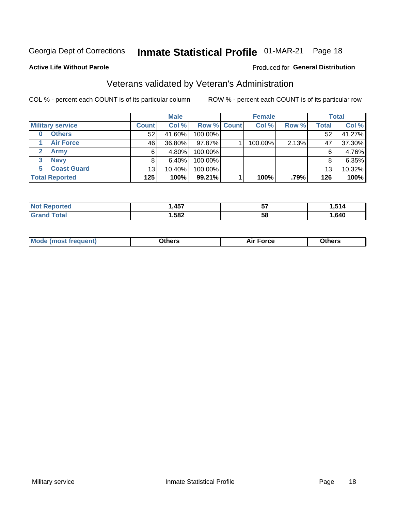# Inmate Statistical Profile 01-MAR-21 Page 18

#### **Active Life Without Parole**

#### Produced for General Distribution

# Veterans validated by Veteran's Administration

COL % - percent each COUNT is of its particular column

|                          |              | <b>Male</b> |                    | <b>Female</b> |       |       | <b>Total</b> |
|--------------------------|--------------|-------------|--------------------|---------------|-------|-------|--------------|
| <b>Military service</b>  | <b>Count</b> | Col %       | <b>Row % Count</b> | Col %         | Row % | Total | Col %        |
| <b>Others</b><br>0       | 52           | 41.60%      | 100.00%            |               |       | 52    | 41.27%       |
| <b>Air Force</b>         | 46           | 36.80%      | 97.87%             | 100.00%       | 2.13% | 47    | 37.30%       |
| <b>Army</b>              | 6            | 4.80%       | 100.00%            |               |       | 6     | 4.76%        |
| <b>Navy</b><br>3         |              | $6.40\%$    | 100.00%            |               |       | 8     | 6.35%        |
| <b>Coast Guard</b><br>5. | 13           | 10.40%      | 100.00%            |               |       | 13    | 10.32%       |
| <b>Total Reported</b>    | 125          | 100%        | 99.21%             | 100%          | .79%  | 126   | 100%         |

| neo         | A57  | --<br>IJ | . .  |
|-------------|------|----------|------|
| $f = 4 - 7$ | ,582 | 58       | ,640 |

| ____<br>____ |
|--------------|
|--------------|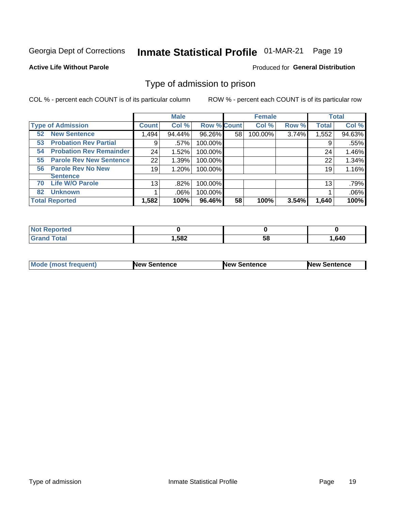# Inmate Statistical Profile 01-MAR-21 Page 19

#### **Active Life Without Parole**

#### **Produced for General Distribution**

## Type of admission to prison

COL % - percent each COUNT is of its particular column

|                                      |              | <b>Male</b> |                    |    | <b>Female</b> |       |              | <b>Total</b> |
|--------------------------------------|--------------|-------------|--------------------|----|---------------|-------|--------------|--------------|
| <b>Type of Admission</b>             | <b>Count</b> | Col %       | <b>Row % Count</b> |    | Col %         | Row % | <b>Total</b> | Col %        |
| <b>New Sentence</b><br>52            | 1,494        | 94.44%      | 96.26%             | 58 | 100.00%       | 3.74% | 1,552        | 94.63%       |
| <b>Probation Rev Partial</b><br>53   | 9            | .57%        | 100.00%            |    |               |       | 9            | .55%         |
| <b>Probation Rev Remainder</b><br>54 | 24           | 1.52%       | 100.00%            |    |               |       | 24           | 1.46%        |
| <b>Parole Rev New Sentence</b><br>55 | 22           | 1.39%       | 100.00%            |    |               |       | 22           | 1.34%        |
| <b>Parole Rev No New</b><br>56       | 19           | 1.20%       | 100.00%            |    |               |       | 19           | 1.16%        |
| <b>Sentence</b>                      |              |             |                    |    |               |       |              |              |
| <b>Life W/O Parole</b><br>70         | 13           | .82%        | 100.00%            |    |               |       | 13           | .79%         |
| <b>Unknown</b><br>82                 |              | .06%        | 100.00%            |    |               |       |              | .06%         |
| <b>Total Reported</b>                | 1,582        | 100%        | 96.46%             | 58 | 100%          | 3.54% | 1,640        | 100%         |

| <b>Not Reported</b> |        |           |        |
|---------------------|--------|-----------|--------|
| Total               | 582, ا | - -<br>Эō | 640. ا |

| <b>Mode (most frequent)</b> | <b>New Sentence</b> | <b>New Sentence</b> | <b>New Sentence</b> |
|-----------------------------|---------------------|---------------------|---------------------|
|                             |                     |                     |                     |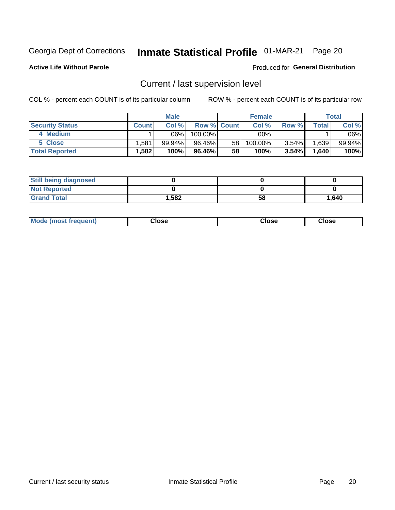# Inmate Statistical Profile 01-MAR-21 Page 20

**Active Life Without Parole** 

Produced for General Distribution

# Current / last supervision level

COL % - percent each COUNT is of its particular column

|                        |         | <b>Male</b> |                    |                 | <b>Female</b> |          |       | <b>Total</b> |
|------------------------|---------|-------------|--------------------|-----------------|---------------|----------|-------|--------------|
| <b>Security Status</b> | Count l | Col%        | <b>Row % Count</b> |                 | Col %         | Row %    | Total | Col %        |
| 4 Medium               |         | $.06\%$     | $100.00\%$         |                 | .00%          |          |       | .06% l       |
| 5 Close                | .581    | 99.94%      | 96.46%             | 58 <sub>1</sub> | 100.00%       | $3.54\%$ | .639  | 99.94%       |
| <b>Total Reported</b>  | .582    | 100%        | 96.46%             | 58              | 100%          | 3.54%    | 1,640 | 100%         |

| <b>Still being diagnosed</b> |       |    |       |
|------------------------------|-------|----|-------|
| <b>Not Reported</b>          |       |    |       |
| <b>Grand Total</b>           | 1,582 | 58 | 1,640 |

| <b>Mode (most frequent)</b> | Close | ∵lose | Close |
|-----------------------------|-------|-------|-------|
|                             |       |       |       |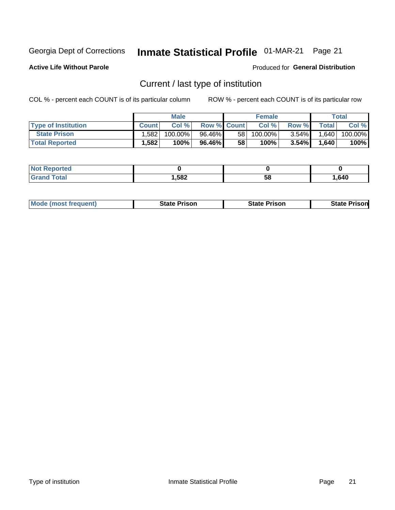# Inmate Statistical Profile 01-MAR-21 Page 21

**Active Life Without Parole** 

**Produced for General Distribution** 

# Current / last type of institution

COL % - percent each COUNT is of its particular column

|                            |              | <b>Male</b> |                    |    | <b>Female</b> |          |       | Total   |
|----------------------------|--------------|-------------|--------------------|----|---------------|----------|-------|---------|
| <b>Type of Institution</b> | <b>Count</b> | Col %       | <b>Row % Count</b> |    | Col %         | Row %    | Total | Col %   |
| <b>State Prison</b>        | .582         | $100.00\%$  | 96.46%             | 58 | $100.00\%$    | $3.54\%$ | 1,640 | 100.00% |
| <b>Total Reported</b>      | 1,582        | 100%        | 96.46%             | 58 | 100%          | $3.54\%$ | 1,640 | 100%    |

| <b>eported</b> |      |    |      |
|----------------|------|----|------|
|                | ,582 | ວເ | .640 |

|  | <b>Mode (most frequent)</b> | State Prison | <b>State Prison</b> | <b>State Prison</b> |
|--|-----------------------------|--------------|---------------------|---------------------|
|--|-----------------------------|--------------|---------------------|---------------------|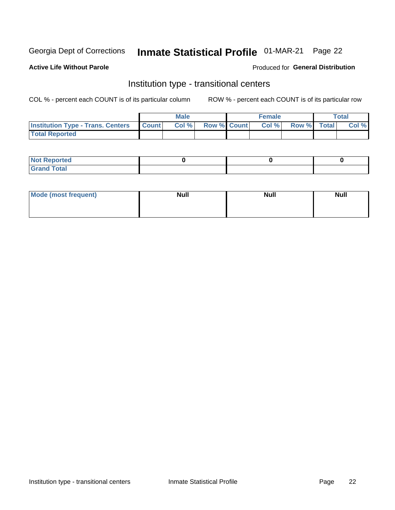# Inmate Statistical Profile 01-MAR-21 Page 22

**Active Life Without Parole** 

### Produced for General Distribution

# Institution type - transitional centers

COL % - percent each COUNT is of its particular column

|                                          |              | <b>Male</b> |             | <b>Female</b> |             | <b>Total</b> |
|------------------------------------------|--------------|-------------|-------------|---------------|-------------|--------------|
| <b>Institution Type - Trans. Centers</b> | <b>Count</b> | Col %       | Row % Count | Col %         | Row % Total | Col %        |
| <b>Total Reported</b>                    |              |             |             |               |             |              |

| <b>Reported</b><br><b>NOT</b><br>$\sim$            |  |  |
|----------------------------------------------------|--|--|
| $f$ $f \circ f \circ f$<br>$C = 1$<br><b>TULAI</b> |  |  |

| Mode (most frequent) | <b>Null</b> | <b>Null</b> | <b>Null</b> |
|----------------------|-------------|-------------|-------------|
|                      |             |             |             |
|                      |             |             |             |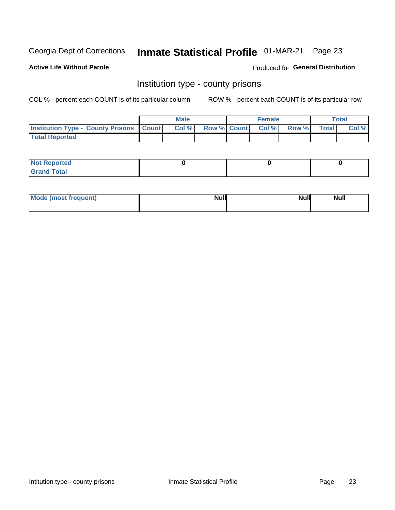# Inmate Statistical Profile 01-MAR-21 Page 23

**Active Life Without Parole** 

Produced for General Distribution

### Institution type - county prisons

COL % - percent each COUNT is of its particular column

|                                                    | <b>Male</b> |       |  | <b>Female</b> |                          |             | <b>Total</b> |       |
|----------------------------------------------------|-------------|-------|--|---------------|--------------------------|-------------|--------------|-------|
| <b>Institution Type - County Prisons   Count  </b> |             | Col % |  |               | <b>Row % Count Col %</b> | Row % Total |              | Col % |
| <b>Total Reported</b>                              |             |       |  |               |                          |             |              |       |

| <b>Not</b><br><b>Reported</b>    |  |  |
|----------------------------------|--|--|
| <b>Total</b><br>Gran<br>$\sim$ . |  |  |

| Mode (most frequent) | <b>Null</b> | <b>Null</b><br><b>Null</b> |
|----------------------|-------------|----------------------------|
|                      |             |                            |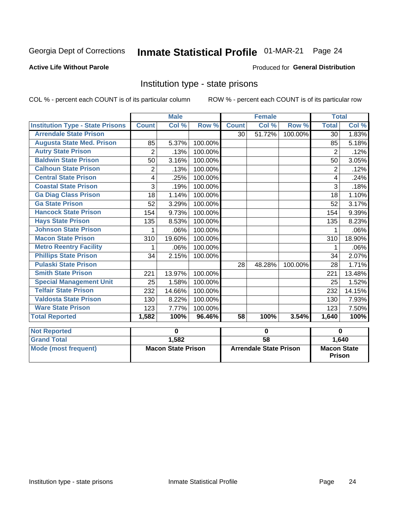# Inmate Statistical Profile 01-MAR-21 Page 24

#### **Active Life Without Parole**

#### **Produced for General Distribution**

## Institution type - state prisons

COL % - percent each COUNT is of its particular column

|                                         | <b>Male</b>               |        |                               |                 | <b>Female</b> |                                     | <b>Total</b>   |        |
|-----------------------------------------|---------------------------|--------|-------------------------------|-----------------|---------------|-------------------------------------|----------------|--------|
| <b>Institution Type - State Prisons</b> | <b>Count</b>              | Col %  | Row %                         | <b>Count</b>    | Col %         | Row %                               | <b>Total</b>   | Col %  |
| <b>Arrendale State Prison</b>           |                           |        |                               | 30              | 51.72%        | 100.00%                             | 30             | 1.83%  |
| <b>Augusta State Med. Prison</b>        | 85                        | 5.37%  | 100.00%                       |                 |               |                                     | 85             | 5.18%  |
| <b>Autry State Prison</b>               | $\overline{2}$            | .13%   | 100.00%                       |                 |               |                                     | $\overline{2}$ | .12%   |
| <b>Baldwin State Prison</b>             | 50                        | 3.16%  | 100.00%                       |                 |               |                                     | 50             | 3.05%  |
| <b>Calhoun State Prison</b>             | 2                         | .13%   | 100.00%                       |                 |               |                                     | 2              | .12%   |
| <b>Central State Prison</b>             | 4                         | .25%   | 100.00%                       |                 |               |                                     | 4              | .24%   |
| <b>Coastal State Prison</b>             | 3                         | .19%   | 100.00%                       |                 |               |                                     | 3              | .18%   |
| <b>Ga Diag Class Prison</b>             | 18                        | 1.14%  | 100.00%                       |                 |               |                                     | 18             | 1.10%  |
| <b>Ga State Prison</b>                  | 52                        | 3.29%  | 100.00%                       |                 |               |                                     | 52             | 3.17%  |
| <b>Hancock State Prison</b>             | 154                       | 9.73%  | 100.00%                       |                 |               |                                     | 154            | 9.39%  |
| <b>Hays State Prison</b>                | 135                       | 8.53%  | 100.00%                       |                 |               |                                     | 135            | 8.23%  |
| <b>Johnson State Prison</b>             | 1                         | .06%   | 100.00%                       |                 |               |                                     | 1              | .06%   |
| <b>Macon State Prison</b>               | 310                       | 19.60% | 100.00%                       |                 |               |                                     | 310            | 18.90% |
| <b>Metro Reentry Facility</b>           | 1                         | .06%   | 100.00%                       |                 |               |                                     | 1              | .06%   |
| <b>Phillips State Prison</b>            | 34                        | 2.15%  | 100.00%                       |                 |               |                                     | 34             | 2.07%  |
| <b>Pulaski State Prison</b>             |                           |        |                               | 28              | 48.28%        | 100.00%                             | 28             | 1.71%  |
| <b>Smith State Prison</b>               | 221                       | 13.97% | 100.00%                       |                 |               |                                     | 221            | 13.48% |
| <b>Special Management Unit</b>          | 25                        | 1.58%  | 100.00%                       |                 |               |                                     | 25             | 1.52%  |
| <b>Telfair State Prison</b>             | 232                       | 14.66% | 100.00%                       |                 |               |                                     | 232            | 14.15% |
| <b>Valdosta State Prison</b>            | 130                       | 8.22%  | 100.00%                       |                 |               |                                     | 130            | 7.93%  |
| <b>Ware State Prison</b>                | 123                       | 7.77%  | 100.00%                       |                 |               |                                     | 123            | 7.50%  |
| <b>Total Reported</b>                   | 1,582                     | 100%   | 96.46%                        | $\overline{58}$ | 100%          | 3.54%                               | 1,640          | 100%   |
| <b>Not Reported</b>                     | $\bf{0}$                  |        | $\bf{0}$                      |                 |               | $\bf{0}$                            |                |        |
| <b>Grand Total</b>                      |                           | 1,582  |                               | $\overline{58}$ |               |                                     |                | 1,640  |
| <b>Mode (most frequent)</b>             | <b>Macon State Prison</b> |        | <b>Arrendale State Prison</b> |                 |               | <b>Macon State</b><br><b>Prison</b> |                |        |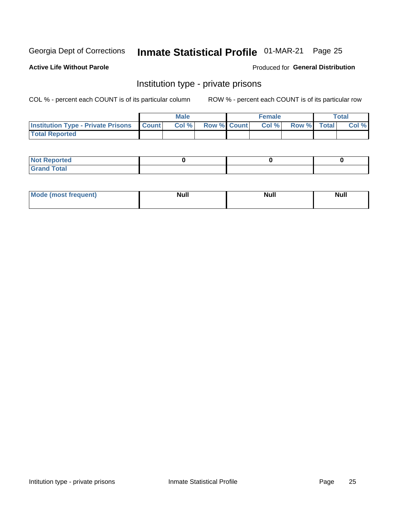# Inmate Statistical Profile 01-MAR-21 Page 25

### **Active Life Without Parole**

#### Produced for General Distribution

## Institution type - private prisons

COL % - percent each COUNT is of its particular column

|                                                 | <b>Male</b> |       |                    | <b>Female</b> |       |             | Total |       |
|-------------------------------------------------|-------------|-------|--------------------|---------------|-------|-------------|-------|-------|
| <b>Institution Type - Private Prisons Count</b> |             | Col % | <b>Row % Count</b> |               | Col % | Row % Total |       | Col % |
| <b>Total Reported</b>                           |             |       |                    |               |       |             |       |       |

| Reported<br>I NOT<br>$\sim$  |  |  |
|------------------------------|--|--|
| <b>c</b> otal<br>.<br>______ |  |  |

| <b>Mo</b><br>frequent) | <b>Null</b> | <b>Null</b> | . . I *<br><b>IVUII</b> |
|------------------------|-------------|-------------|-------------------------|
|                        |             |             |                         |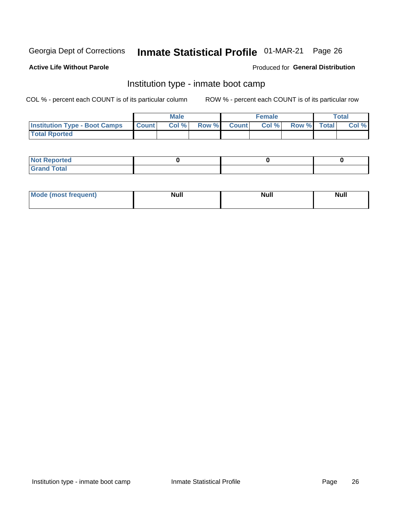# Inmate Statistical Profile 01-MAR-21 Page 26

#### **Active Life Without Parole**

#### Produced for General Distribution

# Institution type - inmate boot camp

COL % - percent each COUNT is of its particular column

|                                      | <b>Male</b>  |       |               |              | <b>Female</b> | <b>Total</b> |  |       |
|--------------------------------------|--------------|-------|---------------|--------------|---------------|--------------|--|-------|
| <b>Institution Type - Boot Camps</b> | <b>Count</b> | Col % | <b>Row %I</b> | <b>Count</b> | Col %         | Row % Total  |  | Col % |
| <b>Total Rported</b>                 |              |       |               |              |               |              |  |       |

| <b>Not Reported</b>            |  |  |
|--------------------------------|--|--|
| <b>Total</b><br>C <sub>r</sub> |  |  |

| Mod<br>uamo | Nul.<br>$- - - - - -$ | <b>Null</b> | <br>uu.<br>------ |
|-------------|-----------------------|-------------|-------------------|
|             |                       |             |                   |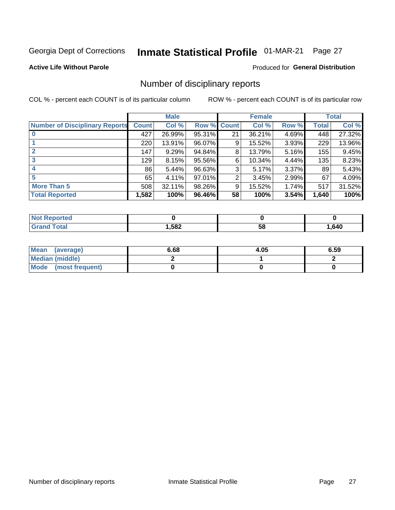# Inmate Statistical Profile 01-MAR-21 Page 27

**Active Life Without Parole** 

**Produced for General Distribution** 

## Number of disciplinary reports

COL % - percent each COUNT is of its particular column

|                                       | <b>Male</b>  |        |                    | <b>Female</b> |        |       | <b>Total</b> |        |
|---------------------------------------|--------------|--------|--------------------|---------------|--------|-------|--------------|--------|
| <b>Number of Disciplinary Reports</b> | <b>Count</b> | Col %  | <b>Row % Count</b> |               | Col %  | Row % | Total        | Col %  |
|                                       | 427          | 26.99% | 95.31%             | 21            | 36.21% | 4.69% | 448          | 27.32% |
|                                       | 220          | 13.91% | 96.07%             | 9             | 15.52% | 3.93% | 229          | 13.96% |
| $\mathbf{2}$                          | 147          | 9.29%  | 94.84%             | 8             | 13.79% | 5.16% | 155          | 9.45%  |
| 3                                     | 129          | 8.15%  | 95.56%             | 6             | 10.34% | 4.44% | 135          | 8.23%  |
|                                       | 86           | 5.44%  | 96.63%             | 3             | 5.17%  | 3.37% | 89           | 5.43%  |
| 5                                     | 65           | 4.11%  | 97.01%             | 2             | 3.45%  | 2.99% | 67           | 4.09%  |
| <b>More Than 5</b>                    | 508          | 32.11% | 98.26%             | 9             | 15.52% | 1.74% | 517          | 31.52% |
| <b>Total Reported</b>                 | 1,582        | 100%   | 96.46%             | 58            | 100%   | 3.54% | 1,640        | 100%   |

| NO    |      |    |      |
|-------|------|----|------|
| Γotal | ,582 | Ⴢჾ | .640 |

| Mean (average)       | 6.68 | 4.05 | 6.59 |
|----------------------|------|------|------|
| Median (middle)      |      |      |      |
| Mode (most frequent) |      |      |      |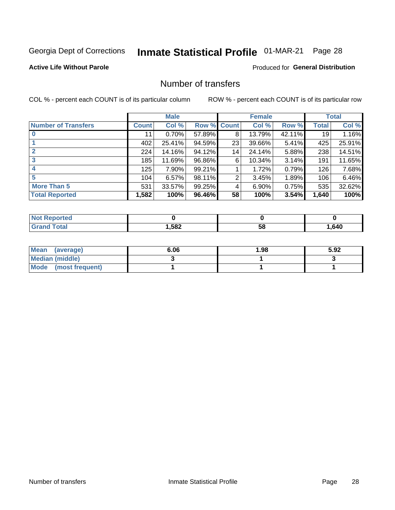# Inmate Statistical Profile 01-MAR-21 Page 28

#### **Active Life Without Parole**

### **Produced for General Distribution**

# Number of transfers

COL % - percent each COUNT is of its particular column

|                            |         | <b>Male</b> |        |              | <b>Female</b> |          |              | <b>Total</b> |
|----------------------------|---------|-------------|--------|--------------|---------------|----------|--------------|--------------|
| <b>Number of Transfers</b> | Count l | Col %       | Row %  | <b>Count</b> | Col %         | Row %    | <b>Total</b> | Col %        |
|                            | 11      | 0.70%       | 57.89% | 8            | 13.79%        | 42.11%   | 19           | 1.16%        |
|                            | 402     | 25.41%      | 94.59% | 23           | 39.66%        | 5.41%    | 425          | 25.91%       |
| $\mathbf{2}$               | 224     | 14.16%      | 94.12% | 14           | 24.14%        | 5.88%    | 238          | 14.51%       |
| 3                          | 185     | 11.69%      | 96.86% | 6            | 10.34%        | $3.14\%$ | 191          | 11.65%       |
|                            | 125     | 7.90%       | 99.21% |              | 1.72%         | 0.79%    | 126          | 7.68%        |
| 5                          | 104     | 6.57%       | 98.11% | 2            | 3.45%         | 1.89%    | 106          | 6.46%        |
| <b>More Than 5</b>         | 531     | 33.57%      | 99.25% | 4            | 6.90%         | 0.75%    | 535          | 32.62%       |
| <b>Total Reported</b>      | 1,582   | 100%        | 96.46% | 58           | 100%          | 3.54%    | 1,640        | 100%         |

| NO    |      |    |      |
|-------|------|----|------|
| Γotal | ,582 | Ⴢჾ | .640 |

| Mean (average)       | 6.06 | 1.98 | 5.92 |
|----------------------|------|------|------|
| Median (middle)      |      |      |      |
| Mode (most frequent) |      |      |      |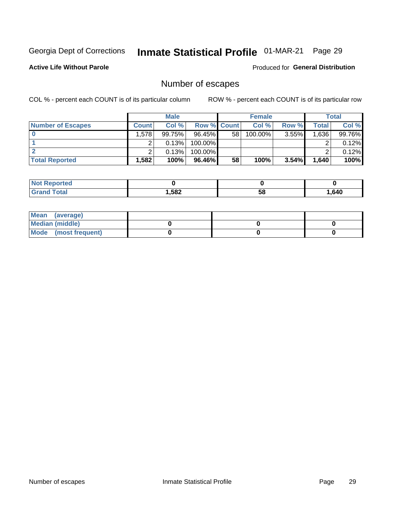# Inmate Statistical Profile 01-MAR-21 Page 29

**Active Life Without Parole** 

Produced for General Distribution

# Number of escapes

COL % - percent each COUNT is of its particular column

|                          | <b>Male</b>  |        |                    | <b>Female</b> |         |          | Total |        |
|--------------------------|--------------|--------|--------------------|---------------|---------|----------|-------|--------|
| <b>Number of Escapes</b> | <b>Count</b> | Col %  | <b>Row % Count</b> |               | Col %   | Row %    | Total | Col %  |
|                          | .578         | 99.75% | $96.45\%$          | 58            | 100.00% | $3.55\%$ | .636  | 99.76% |
|                          |              | 0.13%  | 100.00%            |               |         |          |       | 0.12%  |
|                          |              | 0.13%  | $100.00\%$         |               |         |          |       | 0.12%  |
| <b>Total Reported</b>    | $.582+$      | 100%   | $96.46\%$          | 58            | 100%    | 3.54%    | 1,640 | 100%   |

| <b>Reported</b><br><b>NOT</b> |        |    |      |
|-------------------------------|--------|----|------|
| <b>Total</b>                  | 582, ا | 58 | .640 |

| Mean (average)       |  |  |
|----------------------|--|--|
| Median (middle)      |  |  |
| Mode (most frequent) |  |  |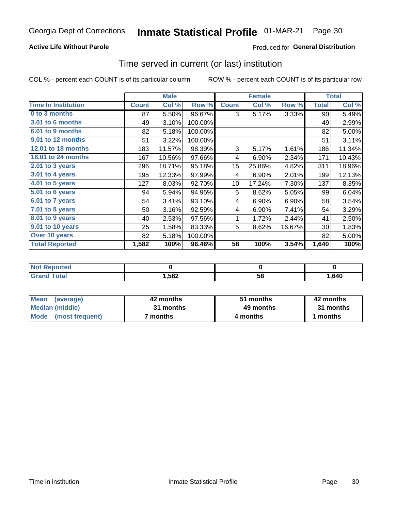### **Active Life Without Parole**

### Produced for General Distribution

### Time served in current (or last) institution

COL % - percent each COUNT is of its particular column

|                            |              | <b>Male</b> |         |              | <b>Female</b> |        | <b>Total</b> |        |
|----------------------------|--------------|-------------|---------|--------------|---------------|--------|--------------|--------|
| <b>Time In Institution</b> | <b>Count</b> | Col %       | Row %   | <b>Count</b> | Col %         | Row %  | <b>Total</b> | Col %  |
| 0 to 3 months              | 87           | 5.50%       | 96.67%  | 3            | 5.17%         | 3.33%  | 90           | 5.49%  |
| <b>3.01 to 6 months</b>    | 49           | 3.10%       | 100.00% |              |               |        | 49           | 2.99%  |
| 6.01 to 9 months           | 82           | 5.18%       | 100.00% |              |               |        | 82           | 5.00%  |
| 9.01 to 12 months          | 51           | 3.22%       | 100.00% |              |               |        | 51           | 3.11%  |
| 12.01 to 18 months         | 183          | 11.57%      | 98.39%  | 3            | 5.17%         | 1.61%  | 186          | 11.34% |
| <b>18.01 to 24 months</b>  | 167          | 10.56%      | 97.66%  | 4            | 6.90%         | 2.34%  | 171          | 10.43% |
| 2.01 to 3 years            | 296          | 18.71%      | 95.18%  | 15           | 25.86%        | 4.82%  | 311          | 18.96% |
| $3.01$ to 4 years          | 195          | 12.33%      | 97.99%  | 4            | 6.90%         | 2.01%  | 199          | 12.13% |
| $4.01$ to 5 years          | 127          | 8.03%       | 92.70%  | 10           | 17.24%        | 7.30%  | 137          | 8.35%  |
| 5.01 to 6 years            | 94           | 5.94%       | 94.95%  | 5            | 8.62%         | 5.05%  | 99           | 6.04%  |
| 6.01 to 7 years            | 54           | 3.41%       | 93.10%  | 4            | 6.90%         | 6.90%  | 58           | 3.54%  |
| $7.01$ to 8 years          | 50           | 3.16%       | 92.59%  | 4            | 6.90%         | 7.41%  | 54           | 3.29%  |
| 8.01 to 9 years            | 40           | 2.53%       | 97.56%  | 1            | 1.72%         | 2.44%  | 41           | 2.50%  |
| 9.01 to 10 years           | 25           | 1.58%       | 83.33%  | 5            | 8.62%         | 16.67% | 30           | 1.83%  |
| Over 10 years              | 82           | 5.18%       | 100.00% |              |               |        | 82           | 5.00%  |
| <b>Total Reported</b>      | 1,582        | 100%        | 96.46%  | 58           | 100%          | 3.54%  | 1,640        | 100%   |

| <b>Not R</b><br><b>Reported</b> |      |    |      |
|---------------------------------|------|----|------|
| <b>Cotal</b>                    | ,582 | vu | ,640 |

| <b>Mean</b><br>(average) | 42 months | 51 months | 42 months |
|--------------------------|-----------|-----------|-----------|
| Median (middle)          | 31 months | 49 months | 31 months |
| Mode (most frequent)     | months `  | 4 months  | 1 months  |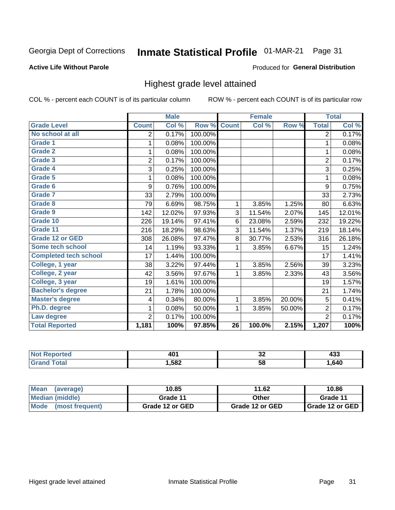#### **Inmate Statistical Profile 01-MAR-21** Page 31

#### **Active Life Without Parole**

#### Produced for General Distribution

## Highest grade level attained

COL % - percent each COUNT is of its particular column

|                              |                | <b>Male</b> |         |                 | <b>Female</b> |        |                | <b>Total</b> |
|------------------------------|----------------|-------------|---------|-----------------|---------------|--------|----------------|--------------|
| <b>Grade Level</b>           | <b>Count</b>   | Col %       | Row %   | <b>Count</b>    | Col %         | Row %  | <b>Total</b>   | Col %        |
| No school at all             | 2              | 0.17%       | 100.00% |                 |               |        | $\overline{2}$ | 0.17%        |
| <b>Grade 1</b>               | 1              | 0.08%       | 100.00% |                 |               |        | 1              | 0.08%        |
| <b>Grade 2</b>               | 1              | 0.08%       | 100.00% |                 |               |        | 1              | 0.08%        |
| <b>Grade 3</b>               | $\overline{2}$ | 0.17%       | 100.00% |                 |               |        | $\overline{2}$ | 0.17%        |
| Grade 4                      | 3              | 0.25%       | 100.00% |                 |               |        | 3              | 0.25%        |
| Grade 5                      | 1              | 0.08%       | 100.00% |                 |               |        | 1              | 0.08%        |
| Grade 6                      | 9              | 0.76%       | 100.00% |                 |               |        | 9              | 0.75%        |
| Grade 7                      | 33             | 2.79%       | 100.00% |                 |               |        | 33             | 2.73%        |
| <b>Grade 8</b>               | 79             | 6.69%       | 98.75%  | 1               | 3.85%         | 1.25%  | 80             | 6.63%        |
| Grade 9                      | 142            | 12.02%      | 97.93%  | 3               | 11.54%        | 2.07%  | 145            | 12.01%       |
| Grade 10                     | 226            | 19.14%      | 97.41%  | 6               | 23.08%        | 2.59%  | 232            | 19.22%       |
| Grade 11                     | 216            | 18.29%      | 98.63%  | 3               | 11.54%        | 1.37%  | 219            | 18.14%       |
| <b>Grade 12 or GED</b>       | 308            | 26.08%      | 97.47%  | 8               | 30.77%        | 2.53%  | 316            | 26.18%       |
| Some tech school             | 14             | 1.19%       | 93.33%  | 1               | 3.85%         | 6.67%  | 15             | 1.24%        |
| <b>Completed tech school</b> | 17             | 1.44%       | 100.00% |                 |               |        | 17             | 1.41%        |
| College, 1 year              | 38             | 3.22%       | 97.44%  | 1               | 3.85%         | 2.56%  | 39             | 3.23%        |
| College, 2 year              | 42             | 3.56%       | 97.67%  | 1               | 3.85%         | 2.33%  | 43             | 3.56%        |
| College, 3 year              | 19             | 1.61%       | 100.00% |                 |               |        | 19             | 1.57%        |
| <b>Bachelor's degree</b>     | 21             | 1.78%       | 100.00% |                 |               |        | 21             | 1.74%        |
| <b>Master's degree</b>       | 4              | 0.34%       | 80.00%  | 1               | 3.85%         | 20.00% | 5              | 0.41%        |
| Ph.D. degree                 | 1              | 0.08%       | 50.00%  | 1               | 3.85%         | 50.00% | $\overline{2}$ | 0.17%        |
| Law degree                   | $\overline{2}$ | 0.17%       | 100.00% |                 |               |        | $\overline{2}$ | 0.17%        |
| <b>Total Reported</b>        | 1,181          | 100%        | 97.85%  | $\overline{26}$ | 100.0%        | 2.15%  | 1,207          | 100%         |

| rtec | AC.  | ^^ | .    |
|------|------|----|------|
| NO   | TW   | ◡▵ | ママー  |
|      | ,582 | 58 | .640 |

| <b>Mean</b><br>(average) | 10.85           | 11.62           | 10.86           |
|--------------------------|-----------------|-----------------|-----------------|
| Median (middle)          | Grade 11        | Other           | Grade 11        |
| Mode<br>(most frequent)  | Grade 12 or GED | Grade 12 or GED | Grade 12 or GED |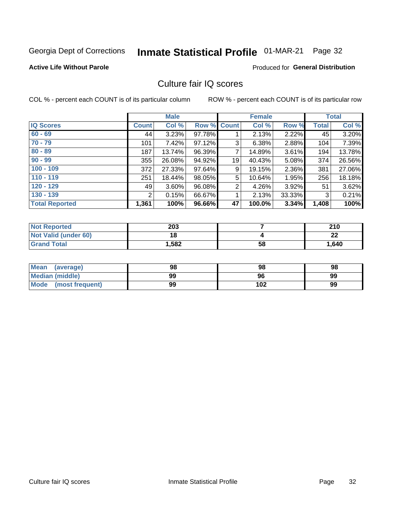# Inmate Statistical Profile 01-MAR-21 Page 32

#### **Active Life Without Parole**

### **Produced for General Distribution**

# Culture fair IQ scores

COL % - percent each COUNT is of its particular column

|                       |              | <b>Male</b> |                    |                | <b>Female</b> |          |              | <b>Total</b> |
|-----------------------|--------------|-------------|--------------------|----------------|---------------|----------|--------------|--------------|
| <b>IQ Scores</b>      | <b>Count</b> | Col %       | <b>Row % Count</b> |                | Col %         | Row %    | <b>Total</b> | Col %        |
| $60 - 69$             | 44           | 3.23%       | 97.78%             |                | 2.13%         | 2.22%    | 45           | 3.20%        |
| $70 - 79$             | 101          | 7.42%       | 97.12%             | 3              | 6.38%         | 2.88%    | 104          | 7.39%        |
| $80 - 89$             | 187          | 13.74%      | 96.39%             | 7              | 14.89%        | 3.61%    | 194          | 13.78%       |
| $90 - 99$             | 355          | 26.08%      | 94.92%             | 19             | 40.43%        | $5.08\%$ | 374          | 26.56%       |
| $100 - 109$           | 372          | 27.33%      | 97.64%             | 9              | 19.15%        | 2.36%    | 381          | 27.06%       |
| $110 - 119$           | 251          | 18.44%      | 98.05%             | 5              | 10.64%        | 1.95%    | 256          | 18.18%       |
| $120 - 129$           | 49           | 3.60%       | 96.08%             | $\overline{2}$ | 4.26%         | $3.92\%$ | 51           | 3.62%        |
| $130 - 139$           | 2            | 0.15%       | 66.67%             | 1              | 2.13%         | 33.33%   | 3            | 0.21%        |
| <b>Total Reported</b> | 1,361        | 100%        | 96.66%             | 47             | 100.0%        | 3.34%    | 1,408        | 100%         |

| <b>Not Reported</b>  | 203   |    | 210     |
|----------------------|-------|----|---------|
| Not Valid (under 60) | 18    |    | ົ<br>44 |
| <b>Grand Total</b>   | 1,582 | 58 | 1,640   |

| <b>Mean</b><br>(average) | 98 | 98  | 98 |
|--------------------------|----|-----|----|
| Median (middle)          | 99 | 96  | 99 |
| Mode (most frequent)     | 99 | 102 | 99 |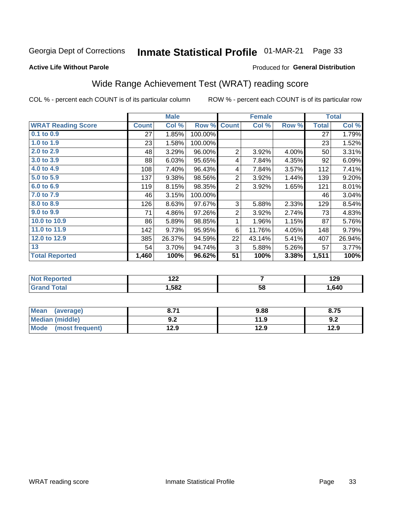#### **Inmate Statistical Profile 01-MAR-21** Page 33

#### **Active Life Without Parole**

### Produced for General Distribution

# Wide Range Achievement Test (WRAT) reading score

COL % - percent each COUNT is of its particular column

|                           |              | <b>Male</b> |         | <b>Female</b>  |        |       | <b>Total</b> |        |
|---------------------------|--------------|-------------|---------|----------------|--------|-------|--------------|--------|
| <b>WRAT Reading Score</b> | <b>Count</b> | Col %       | Row %   | <b>Count</b>   | Col %  | Row % | <b>Total</b> | Col %  |
| $0.1$ to $0.9$            | 27           | 1.85%       | 100.00% |                |        |       | 27           | 1.79%  |
| 1.0 to 1.9                | 23           | 1.58%       | 100.00% |                |        |       | 23           | 1.52%  |
| 2.0 to 2.9                | 48           | 3.29%       | 96.00%  | $\overline{2}$ | 3.92%  | 4.00% | 50           | 3.31%  |
| 3.0 to 3.9                | 88           | 6.03%       | 95.65%  | 4              | 7.84%  | 4.35% | 92           | 6.09%  |
| 4.0 to 4.9                | 108          | 7.40%       | 96.43%  | 4              | 7.84%  | 3.57% | 112          | 7.41%  |
| 5.0 to 5.9                | 137          | 9.38%       | 98.56%  | $\overline{2}$ | 3.92%  | 1.44% | 139          | 9.20%  |
| 6.0 to 6.9                | 119          | 8.15%       | 98.35%  | $\overline{2}$ | 3.92%  | 1.65% | 121          | 8.01%  |
| 7.0 to 7.9                | 46           | 3.15%       | 100.00% |                |        |       | 46           | 3.04%  |
| 8.0 to 8.9                | 126          | 8.63%       | 97.67%  | 3              | 5.88%  | 2.33% | 129          | 8.54%  |
| 9.0 to 9.9                | 71           | 4.86%       | 97.26%  | $\overline{2}$ | 3.92%  | 2.74% | 73           | 4.83%  |
| 10.0 to 10.9              | 86           | 5.89%       | 98.85%  | 1              | 1.96%  | 1.15% | 87           | 5.76%  |
| 11.0 to 11.9              | 142          | 9.73%       | 95.95%  | 6              | 11.76% | 4.05% | 148          | 9.79%  |
| 12.0 to 12.9              | 385          | 26.37%      | 94.59%  | 22             | 43.14% | 5.41% | 407          | 26.94% |
| 13                        | 54           | 3.70%       | 94.74%  | 3              | 5.88%  | 5.26% | 57           | 3.77%  |
| <b>Total Reported</b>     | 1,460        | 100%        | 96.62%  | 51             | 100%   | 3.38% | 1,511        | 100%   |
|                           |              |             |         |                |        |       |              |        |

| <b>Not Reported</b>    | ר ר<br>144 |    | 129  |
|------------------------|------------|----|------|
| <b>Total</b><br>'Grand | 1,582      | 58 | .640 |

| <b>Mean</b><br>(average)       | גי כ<br>o. / I     | 9.88 | 8.75 |
|--------------------------------|--------------------|------|------|
| Median (middle)                | י ה<br><u> ม.∠</u> | 11.9 | 9.2  |
| <b>Mode</b><br>(most frequent) | 12.9               | 12.9 | 12.9 |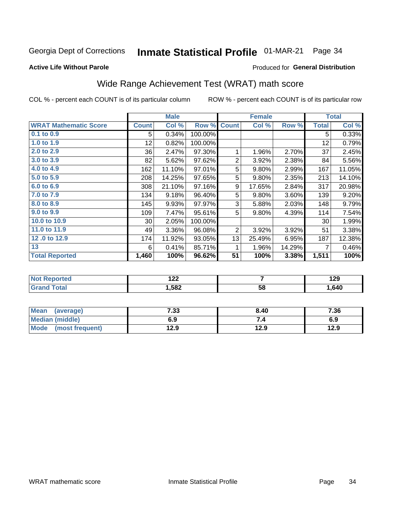#### **Inmate Statistical Profile 01-MAR-21** Page 34

**Active Life Without Parole** 

### Produced for General Distribution

# Wide Range Achievement Test (WRAT) math score

COL % - percent each COUNT is of its particular column

|                              |              | <b>Male</b> |         |                | <b>Female</b> |        |              | <b>Total</b> |
|------------------------------|--------------|-------------|---------|----------------|---------------|--------|--------------|--------------|
| <b>WRAT Mathematic Score</b> | <b>Count</b> | Col %       | Row %   | <b>Count</b>   | Col %         | Row %  | <b>Total</b> | Col %        |
| 0.1 to 0.9                   | 5            | 0.34%       | 100.00% |                |               |        | 5            | 0.33%        |
| 1.0 to 1.9                   | 12           | 0.82%       | 100.00% |                |               |        | 12           | 0.79%        |
| 2.0 to 2.9                   | 36           | 2.47%       | 97.30%  | 1              | 1.96%         | 2.70%  | 37           | 2.45%        |
| 3.0 to 3.9                   | 82           | 5.62%       | 97.62%  | $\overline{2}$ | 3.92%         | 2.38%  | 84           | 5.56%        |
| 4.0 to 4.9                   | 162          | 11.10%      | 97.01%  | 5              | 9.80%         | 2.99%  | 167          | 11.05%       |
| 5.0 to 5.9                   | 208          | 14.25%      | 97.65%  | 5              | 9.80%         | 2.35%  | 213          | 14.10%       |
| 6.0 to 6.9                   | 308          | 21.10%      | 97.16%  | 9              | 17.65%        | 2.84%  | 317          | 20.98%       |
| 7.0 to 7.9                   | 134          | 9.18%       | 96.40%  | 5              | 9.80%         | 3.60%  | 139          | 9.20%        |
| 8.0 to 8.9                   | 145          | 9.93%       | 97.97%  | 3              | 5.88%         | 2.03%  | 148          | 9.79%        |
| 9.0 to 9.9                   | 109          | 7.47%       | 95.61%  | 5              | 9.80%         | 4.39%  | 114          | 7.54%        |
| 10.0 to 10.9                 | 30           | 2.05%       | 100.00% |                |               |        | 30           | 1.99%        |
| 11.0 to 11.9                 | 49           | 3.36%       | 96.08%  | 2              | 3.92%         | 3.92%  | 51           | 3.38%        |
| 12.0 to 12.9                 | 174          | 11.92%      | 93.05%  | 13             | 25.49%        | 6.95%  | 187          | 12.38%       |
| 13                           | 6            | 0.41%       | 85.71%  | 1              | 1.96%         | 14.29% | 7            | 0.46%        |
| <b>Total Reported</b>        | 1,460        | 100%        | 96.62%  | 51             | 100%          | 3.38%  | 1,511        | 100%         |

| <b>Not Reported</b> | ה הו<br>17L |    | 190<br>1 Z J |
|---------------------|-------------|----|--------------|
| Total<br>Grand      | 582. ا      | 58 | .640         |

| Mean (average)       | 7.33 | 8.40 | 7.36 |
|----------------------|------|------|------|
| Median (middle)      | 6.9  | 7.4  | 6.9  |
| Mode (most frequent) | 12.9 | 12.9 | 12.9 |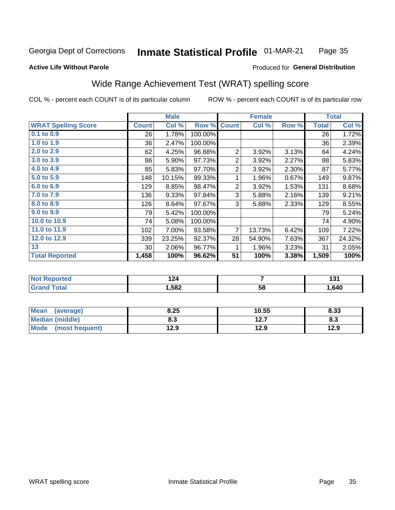#### Inmate Statistical Profile 01-MAR-21 Page 35

#### **Active Life Without Parole**

#### Produced for General Distribution

# Wide Range Achievement Test (WRAT) spelling score

COL % - percent each COUNT is of its particular column

ROW % - percent each COUNT is of its particular row

 $\overline{58}$ 

|                            |                 | <b>Male</b> |         |                | <b>Female</b> |       |       | <b>Total</b> |
|----------------------------|-----------------|-------------|---------|----------------|---------------|-------|-------|--------------|
| <b>WRAT Spelling Score</b> | <b>Count</b>    | Col %       | Row %   | <b>Count</b>   | Col %         | Row % | Total | Col %        |
| 0.1 to 0.9                 | 26              | 1.78%       | 100.00% |                |               |       | 26    | 1.72%        |
| 1.0 to 1.9                 | 36              | 2.47%       | 100.00% |                |               |       | 36    | 2.39%        |
| 2.0 to 2.9                 | 62              | 4.25%       | 96.88%  | 2              | 3.92%         | 3.13% | 64    | 4.24%        |
| 3.0 to 3.9                 | 86              | 5.90%       | 97.73%  | $\overline{2}$ | 3.92%         | 2.27% | 88    | 5.83%        |
| 4.0 to 4.9                 | 85              | 5.83%       | 97.70%  | $\overline{2}$ | 3.92%         | 2.30% | 87    | 5.77%        |
| 5.0 to 5.9                 | 148             | 10.15%      | 99.33%  | 1              | 1.96%         | 0.67% | 149   | 9.87%        |
| 6.0 to 6.9                 | 129             | 8.85%       | 98.47%  | $\overline{c}$ | 3.92%         | 1.53% | 131   | 8.68%        |
| 7.0 to 7.9                 | 136             | 9.33%       | 97.84%  | 3              | 5.88%         | 2.16% | 139   | 9.21%        |
| 8.0 to 8.9                 | 126             | 8.64%       | 97.67%  | 3              | 5.88%         | 2.33% | 129   | 8.55%        |
| 9.0 to 9.9                 | 79              | 5.42%       | 100.00% |                |               |       | 79    | 5.24%        |
| 10.0 to 10.9               | 74              | 5.08%       | 100.00% |                |               |       | 74    | 4.90%        |
| 11.0 to 11.9               | 102             | 7.00%       | 93.58%  | $\overline{7}$ | 13.73%        | 6.42% | 109   | 7.22%        |
| 12.0 to 12.9               | 339             | 23.25%      | 92.37%  | 28             | 54.90%        | 7.63% | 367   | 24.32%       |
| 13                         | 30 <sup>°</sup> | 2.06%       | 96.77%  | 1              | 1.96%         | 3.23% | 31    | 2.05%        |
| <b>Total Reported</b>      | 1,458           | 100%        | 96.62%  | 51             | 100%          | 3.38% | 1,509 | 100%         |
|                            |                 |             |         |                |               |       |       |              |
| <b>Not Reported</b>        |                 | 124         |         |                | 7             |       |       | 131          |

| Mean<br>(average)       | 8.25 | 10.55    | 8.33 |
|-------------------------|------|----------|------|
| <b>Median (middle)</b>  | o.J  | 127<br>. | ი.ა  |
| Mode<br>(most frequent) | 12.9 | 12.9     | 12.9 |

 $1,582$ 

**Grand Total** 

1,640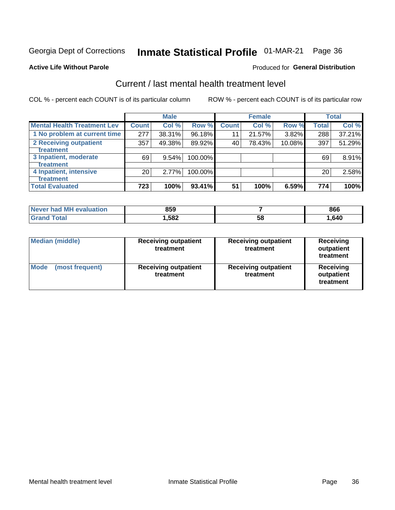# Inmate Statistical Profile 01-MAR-21 Page 36

#### **Active Life Without Parole**

### **Produced for General Distribution**

# Current / last mental health treatment level

COL % - percent each COUNT is of its particular column

|                                    |                 | <b>Male</b> |         |              | <b>Female</b> |        |                 | <b>Total</b> |
|------------------------------------|-----------------|-------------|---------|--------------|---------------|--------|-----------------|--------------|
| <b>Mental Health Treatment Lev</b> | <b>Count</b>    | Col %       | Row %   | <b>Count</b> | Col %         | Row %  | <b>Total</b>    | Col %        |
| 1 No problem at current time       | 277             | 38.31%      | 96.18%  | 11           | 21.57%        | 3.82%  | 288             | 37.21%       |
| 2 Receiving outpatient             | 357             | 49.38%      | 89.92%  | 40           | 78.43%        | 10.08% | 397             | 51.29%       |
| Treatment                          |                 |             |         |              |               |        |                 |              |
| 3 Inpatient, moderate              | 69              | 9.54%       | 100.00% |              |               |        | 69              | 8.91%        |
| <b>Treatment</b>                   |                 |             |         |              |               |        |                 |              |
| 4 Inpatient, intensive             | 20 <sub>1</sub> | 2.77%       | 100.00% |              |               |        | 20 <sup>1</sup> | 2.58%        |
| Treatment                          |                 |             |         |              |               |        |                 |              |
| <b>Total Evaluated</b>             | 723             | 100%        | 93.41%  | 51           | 100%          | 6.59%  | 774             | 100%         |

| Never had MH evaluation | 859   |    | 866  |
|-------------------------|-------|----|------|
| $\sim$ to $\sim$        | .582، | 58 | .640 |

| <b>Median (middle)</b>         | <b>Receiving outpatient</b><br>treatment | <b>Receiving outpatient</b><br>treatment | <b>Receiving</b><br>outpatient<br>treatment |  |
|--------------------------------|------------------------------------------|------------------------------------------|---------------------------------------------|--|
| <b>Mode</b><br>(most frequent) | <b>Receiving outpatient</b><br>treatment | <b>Receiving outpatient</b><br>treatment | <b>Receiving</b><br>outpatient<br>treatment |  |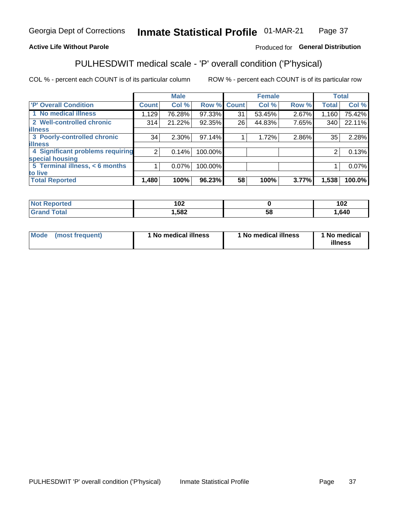#### Inmate Statistical Profile 01-MAR-21 Page 37

### **Active Life Without Parole**

### Produced for General Distribution

# PULHESDWIT medical scale - 'P' overall condition ('P'hysical)

COL % - percent each COUNT is of its particular column

|                                  |                | <b>Male</b> |             |    | <b>Female</b> |       |              | <b>Total</b> |
|----------------------------------|----------------|-------------|-------------|----|---------------|-------|--------------|--------------|
| 'P' Overall Condition            | <b>Count</b>   | Col %       | Row % Count |    | Col %         | Row % | <b>Total</b> | Col %        |
| 1 No medical illness             | 1,129          | 76.28%      | 97.33%      | 31 | 53.45%        | 2.67% | 1,160        | 75.42%       |
| 2 Well-controlled chronic        | 314            | 21.22%      | 92.35%      | 26 | 44.83%        | 7.65% | 340          | 22.11%       |
| <b>illness</b>                   |                |             |             |    |               |       |              |              |
| 3 Poorly-controlled chronic      | 34             | $2.30\%$    | 97.14%      |    | 1.72%         | 2.86% | 35           | 2.28%        |
| <b>illness</b>                   |                |             |             |    |               |       |              |              |
| 4 Significant problems requiring | 2 <sub>1</sub> | 0.14%       | 100.00%     |    |               |       | 2            | 0.13%        |
| special housing                  |                |             |             |    |               |       |              |              |
| 5 Terminal illness, < 6 months   |                | 0.07%       | 100.00%     |    |               |       |              | 0.07%        |
| to live                          |                |             |             |    |               |       |              |              |
| <b>Total Reported</b>            | 1,480          | 100%        | 96.23%      | 58 | 100%          | 3.77% | 1,538        | 100.0%       |

| NO                     | 1 ก า  |    | ィハク   |
|------------------------|--------|----|-------|
| rteo                   | 1 U Z  |    | 1 V 4 |
| $f \wedge f \wedge f'$ | 582, ا | ວດ | ,640  |

|  |  | Mode (most frequent) | 1 No medical illness | 1 No medical illness | 1 No medical<br>illness |
|--|--|----------------------|----------------------|----------------------|-------------------------|
|--|--|----------------------|----------------------|----------------------|-------------------------|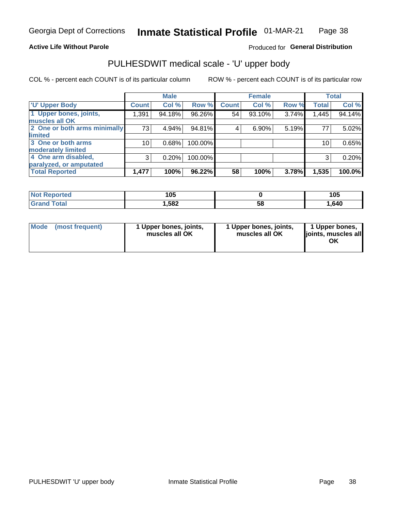#### **Active Life Without Parole**

### Produced for General Distribution

# PULHESDWIT medical scale - 'U' upper body

COL % - percent each COUNT is of its particular column

|                              |                 | <b>Male</b> |         |              | <b>Female</b> |       |              | <b>Total</b> |
|------------------------------|-----------------|-------------|---------|--------------|---------------|-------|--------------|--------------|
| <b>U' Upper Body</b>         | <b>Count</b>    | Col %       | Row %   | <b>Count</b> | Col %         | Row % | <b>Total</b> | Col %        |
| 1 Upper bones, joints,       | 1,391           | 94.18%      | 96.26%  | 54           | 93.10%        | 3.74% | 1,445        | 94.14%       |
| muscles all OK               |                 |             |         |              |               |       |              |              |
| 2 One or both arms minimally | 73              | 4.94%       | 94.81%  | 4            | 6.90%         | 5.19% | 77           | 5.02%        |
| <b>limited</b>               |                 |             |         |              |               |       |              |              |
| 3 One or both arms           | 10 <sub>1</sub> | 0.68%       | 100.00% |              |               |       | 10           | 0.65%        |
| <b>moderately limited</b>    |                 |             |         |              |               |       |              |              |
| 4 One arm disabled,          | 3               | 0.20%       | 100.00% |              |               |       | 3            | 0.20%        |
| paralyzed, or amputated      |                 |             |         |              |               |       |              |              |
| <b>Total Reported</b>        | 1,477           | 100%        | 96.22%  | 58           | 100%          | 3.78% | 1,535        | 100.0%       |

| <b>Not Reported</b> | 105  |    | 105  |
|---------------------|------|----|------|
| <b>Grand Total</b>  | ,582 | 58 | .640 |

| <b>Mode</b> | (most frequent) | 1 Upper bones, joints,<br>muscles all OK | 1 Upper bones, joints,<br>muscles all OK | 1 Upper bones,<br>ljoints, muscles all<br>ОK |
|-------------|-----------------|------------------------------------------|------------------------------------------|----------------------------------------------|
|-------------|-----------------|------------------------------------------|------------------------------------------|----------------------------------------------|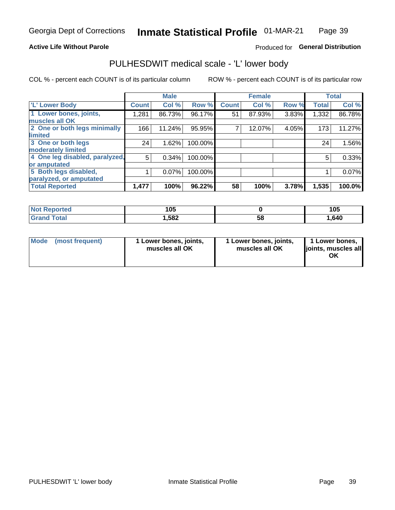#### **Active Life Without Parole**

### Produced for General Distribution

# PULHESDWIT medical scale - 'L' lower body

COL % - percent each COUNT is of its particular column

|                                |              | <b>Male</b> |         |              | <b>Female</b> |       |              | <b>Total</b> |
|--------------------------------|--------------|-------------|---------|--------------|---------------|-------|--------------|--------------|
| 'L' Lower Body                 | <b>Count</b> | Col %       | Row %   | <b>Count</b> | Col %         | Row % | <b>Total</b> | Col %        |
| 1 Lower bones, joints,         | 1,281        | 86.73%      | 96.17%  | 51           | 87.93%        | 3.83% | 1,332        | 86.78%       |
| muscles all OK                 |              |             |         |              |               |       |              |              |
| 2 One or both legs minimally   | 166          | 11.24%      | 95.95%  |              | 12.07%        | 4.05% | 173          | 11.27%       |
| limited                        |              |             |         |              |               |       |              |              |
| 3 One or both legs             | 24           | 1.62%       | 100.00% |              |               |       | 24           | 1.56%        |
| moderately limited             |              |             |         |              |               |       |              |              |
| 4 One leg disabled, paralyzed, | 5            | 0.34%       | 100.00% |              |               |       | 5            | 0.33%        |
| or amputated                   |              |             |         |              |               |       |              |              |
| 5 Both legs disabled,          |              | 0.07%       | 100.00% |              |               |       |              | 0.07%        |
| paralyzed, or amputated        |              |             |         |              |               |       |              |              |
| <b>Total Reported</b>          | 1,477        | 100%        | 96.22%  | 58           | 100%          | 3.78% | 1,535        | 100.0%       |

| <b>Not Reported</b> | 1 N F<br>∪ט |    | 105  |
|---------------------|-------------|----|------|
| <b>Grand Total</b>  | . 582،      | ວັ | .640 |

| Mode (most frequent) | I Lower bones, joints,<br>muscles all OK | 1 Lower bones, joints,<br>muscles all OK | 1 Lower bones,<br>joints, muscles all<br>ΟK |
|----------------------|------------------------------------------|------------------------------------------|---------------------------------------------|
|----------------------|------------------------------------------|------------------------------------------|---------------------------------------------|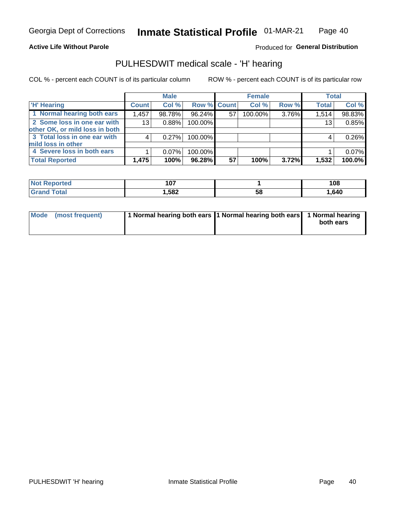#### **Active Life Without Parole**

Produced for General Distribution

## PULHESDWIT medical scale - 'H' hearing

COL % - percent each COUNT is of its particular column

|                                |                 | <b>Male</b> |                    |    | <b>Female</b> |       | <b>Total</b> |        |
|--------------------------------|-----------------|-------------|--------------------|----|---------------|-------|--------------|--------|
| <b>H' Hearing</b>              | <b>Count</b>    | Col %       | <b>Row % Count</b> |    | Col %         | Row % | <b>Total</b> | Col %  |
| 1 Normal hearing both ears     | 1,457           | 98.78%      | 96.24%             | 57 | 100.00%       | 3.76% | 1,514        | 98.83% |
| 2 Some loss in one ear with    | 13 <sub>1</sub> | 0.88%       | 100.00%            |    |               |       | 13           | 0.85%  |
| other OK, or mild loss in both |                 |             |                    |    |               |       |              |        |
| 3 Total loss in one ear with   | 4               | 0.27%       | 100.00%            |    |               |       | 4            | 0.26%  |
| mild loss in other             |                 |             |                    |    |               |       |              |        |
| 4 Severe loss in both ears     |                 | $0.07\%$    | 100.00%            |    |               |       |              | 0.07%  |
| <b>Total Reported</b>          | 1,475           | 100%        | 96.28%             | 57 | 100%          | 3.72% | 1,532        | 100.0% |

| <b>Reported</b><br>NO | 107  |    | 108  |
|-----------------------|------|----|------|
| <b>otal</b>           | ,582 | 58 | ,640 |

| Mode (most frequent) | 1 Normal hearing both ears 1 Normal hearing both ears 1 Normal hearing | both ears |
|----------------------|------------------------------------------------------------------------|-----------|
|                      |                                                                        |           |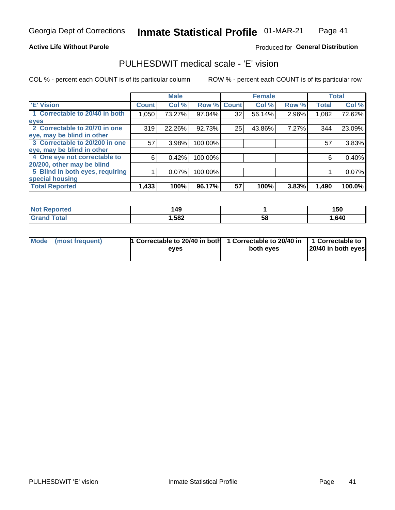#### **Active Life Without Parole**

### Produced for General Distribution

## PULHESDWIT medical scale - 'E' vision

COL % - percent each COUNT is of its particular column

|                                 |              | <b>Male</b> |         |              | <b>Female</b> |       |              | <b>Total</b> |
|---------------------------------|--------------|-------------|---------|--------------|---------------|-------|--------------|--------------|
| <b>E' Vision</b>                | <b>Count</b> | Col %       | Row %   | <b>Count</b> | Col %         | Row % | <b>Total</b> | Col %        |
| 1 Correctable to 20/40 in both  | 1,050        | 73.27%      | 97.04%  | 32           | 56.14%        | 2.96% | 1,082        | 72.62%       |
| eyes                            |              |             |         |              |               |       |              |              |
| 2 Correctable to 20/70 in one   | 319          | 22.26%      | 92.73%  | 25           | 43.86%        | 7.27% | 344          | 23.09%       |
| eye, may be blind in other      |              |             |         |              |               |       |              |              |
| 3 Correctable to 20/200 in one  | 57           | 3.98%       | 100.00% |              |               |       | 57           | 3.83%        |
| eye, may be blind in other      |              |             |         |              |               |       |              |              |
| 4 One eye not correctable to    | 6            | 0.42%       | 100.00% |              |               |       | 6            | 0.40%        |
| 20/200, other may be blind      |              |             |         |              |               |       |              |              |
| 5 Blind in both eyes, requiring |              | 0.07%       | 100.00% |              |               |       |              | 0.07%        |
| special housing                 |              |             |         |              |               |       |              |              |
| <b>Total Reported</b>           | 1,433        | 100%        | 96.17%  | 57           | 100%          | 3.83% | 1,490        | 100.0%       |

| <b>orted</b><br>NOT<br>seno | 49،  |    | 150  |
|-----------------------------|------|----|------|
| $\mathsf{Total}$            | ,582 | 58 | ,640 |

| Mode (most frequent) | 1 Correctable to 20/40 in both<br>eves | 1 Correctable to 20/40 in   1 Correctable to  <br>both eves | 20/40 in both eyes |
|----------------------|----------------------------------------|-------------------------------------------------------------|--------------------|
|                      |                                        |                                                             |                    |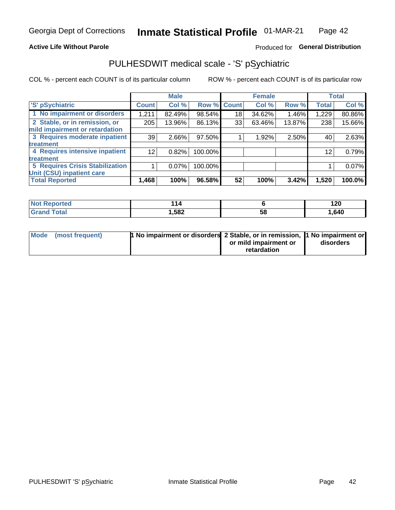#### **Active Life Without Parole**

### Produced for General Distribution

# PULHESDWIT medical scale - 'S' pSychiatric

COL % - percent each COUNT is of its particular column

|                                        |                 | <b>Male</b> |         |                    | <b>Female</b> |        |              | <b>Total</b> |
|----------------------------------------|-----------------|-------------|---------|--------------------|---------------|--------|--------------|--------------|
| 'S' pSychiatric                        | <b>Count</b>    | Col %       |         | <b>Row % Count</b> | Col %         | Row %  | <b>Total</b> | Col %        |
| 1 No impairment or disorders           | 1,211           | 82.49%      | 98.54%  | 18                 | 34.62%        | 1.46%  | 1,229        | 80.86%       |
| 2 Stable, or in remission, or          | 205             | 13.96%      | 86.13%  | 33                 | 63.46%        | 13.87% | 238          | 15.66%       |
| mild impairment or retardation         |                 |             |         |                    |               |        |              |              |
| 3 Requires moderate inpatient          | 39              | 2.66%       | 97.50%  |                    | 1.92%         | 2.50%  | 40           | 2.63%        |
| treatment                              |                 |             |         |                    |               |        |              |              |
| 4 Requires intensive inpatient         | 12 <sub>1</sub> | 0.82%       | 100.00% |                    |               |        | 12           | 0.79%        |
| treatment                              |                 |             |         |                    |               |        |              |              |
| <b>5 Requires Crisis Stabilization</b> |                 | $0.07\%$    | 100.00% |                    |               |        |              | 0.07%        |
| Unit (CSU) inpatient care              |                 |             |         |                    |               |        |              |              |
| <b>Total Reported</b>                  | 1,468           | 100%        | 96.58%  | 52                 | 100%          | 3.42%  | 1,520        | 100.0%       |

| 'Not Reported | 11.   |    | ィクロ<br>14 Y |
|---------------|-------|----|-------------|
| <b>Total</b>  | 1,582 | ວະ | 1,640       |

| Mode | (most frequent) | <b>1 No impairment or disorders</b> 2 Stable, or in remission, 1 No impairment or |                       |           |
|------|-----------------|-----------------------------------------------------------------------------------|-----------------------|-----------|
|      |                 |                                                                                   | or mild impairment or | disorders |
|      |                 |                                                                                   | retardation           |           |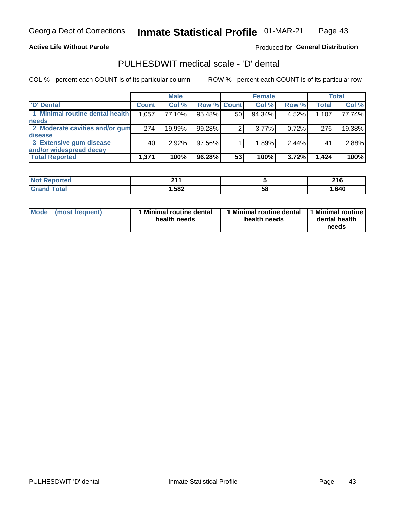**Active Life Without Parole** 

Produced for General Distribution

# PULHESDWIT medical scale - 'D' dental

COL % - percent each COUNT is of its particular column

|                                 |              | <b>Male</b> |                    |    | <b>Female</b> |       |              | <b>Total</b> |
|---------------------------------|--------------|-------------|--------------------|----|---------------|-------|--------------|--------------|
| 'D' Dental                      | <b>Count</b> | Col %       | <b>Row % Count</b> |    | Col %         | Row % | <b>Total</b> | Col %        |
| 1 Minimal routine dental health | 1,057        | 77.10%      | 95.48%             | 50 | 94.34%        | 4.52% | 1,107        | 77.74%       |
| <b>needs</b>                    |              |             |                    |    |               |       |              |              |
| 2 Moderate cavities and/or gum  | 274          | 19.99%      | 99.28%             | 2  | $3.77\%$      | 0.72% | 276          | 19.38%       |
| disease                         |              |             |                    |    |               |       |              |              |
| 3 Extensive gum disease         | 40           | 2.92%       | 97.56%             |    | 1.89%         | 2.44% | 41           | 2.88%        |
| and/or widespread decay         |              |             |                    |    |               |       |              |              |
| <b>Total Reported</b>           | 1,371        | 100%        | 96.28%             | 53 | 100%          | 3.72% | 1.424        | 100%         |

| prtea<br>NOT F<br>. | 24<br>. |    | 24C<br>2 I U |
|---------------------|---------|----|--------------|
| Tota                | 582, ا  | 58 | 640. ا       |

| <b>Mode</b>     | Minimal routine dental | 1 Minimal routine dental 1 Minimal routine | dental health |
|-----------------|------------------------|--------------------------------------------|---------------|
| (most frequent) | health needs           | health needs                               | needs         |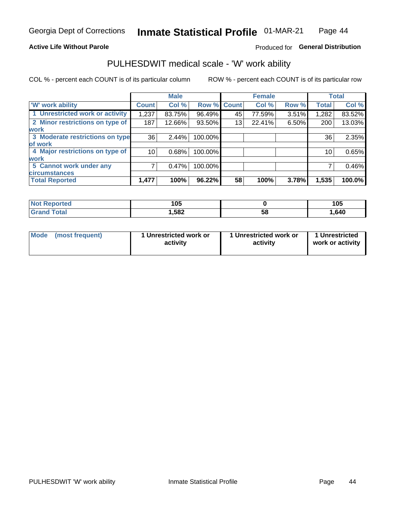#### **Active Life Without Parole**

### Produced for General Distribution

### PULHESDWIT medical scale - 'W' work ability

COL % - percent each COUNT is of its particular column

|                                 |              | <b>Male</b> |         |             | <b>Female</b> |       |              | <b>Total</b> |
|---------------------------------|--------------|-------------|---------|-------------|---------------|-------|--------------|--------------|
| <b>W' work ability</b>          | <b>Count</b> | Col %       |         | Row % Count | Col %         | Row % | <b>Total</b> | Col %        |
| 1 Unrestricted work or activity | 1,237        | 83.75%      | 96.49%  | 45          | 77.59%        | 3.51% | 1,282        | 83.52%       |
| 2 Minor restrictions on type of | 187          | 12.66%      | 93.50%  | 13          | 22.41%        | 6.50% | 200          | 13.03%       |
| <b>work</b>                     |              |             |         |             |               |       |              |              |
| 3 Moderate restrictions on type | 36           | 2.44%       | 100.00% |             |               |       | 36           | 2.35%        |
| lof work                        |              |             |         |             |               |       |              |              |
| 4 Major restrictions on type of | 10           | 0.68%       | 100.00% |             |               |       | 10           | 0.65%        |
| <b>work</b>                     |              |             |         |             |               |       |              |              |
| 5 Cannot work under any         |              | 0.47%       | 100.00% |             |               |       |              | 0.46%        |
| <b>circumstances</b>            |              |             |         |             |               |       |              |              |
| <b>Total Reported</b>           | 1,477        | 100%        | 96.22%  | 58          | 100%          | 3.78% | 1,535        | 100.0%       |

| 'Not Reported | 1 N 5<br>טע |   | 105  |
|---------------|-------------|---|------|
| Гоtal         | 1,582       | ວ | .640 |

| Mode (most frequent) | 1 Unrestricted work or | 1 Unrestricted work or | 1 Unrestricted   |
|----------------------|------------------------|------------------------|------------------|
|                      | activity               | activity               | work or activity |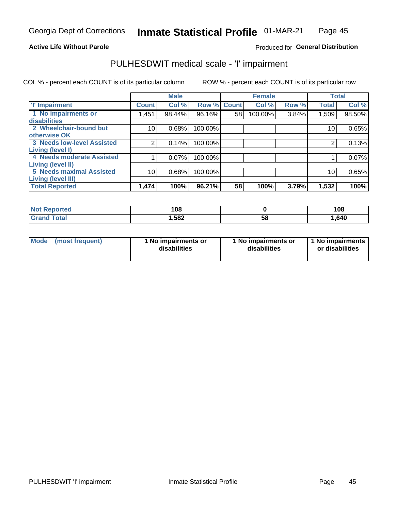#### **Active Life Without Parole**

### Produced for General Distribution

# PULHESDWIT medical scale - 'I' impairment

COL % - percent each COUNT is of its particular column ROW % - percent each COUNT is of its particular row

|                                                    |              | <b>Male</b> |             |    | <b>Female</b> |       |              | <b>Total</b> |
|----------------------------------------------------|--------------|-------------|-------------|----|---------------|-------|--------------|--------------|
| <b>T' Impairment</b>                               | <b>Count</b> | Col %       | Row % Count |    | Col %         | Row % | <b>Total</b> | Col %        |
| 1 No impairments or<br>disabilities                | 1,451        | 98.44%      | 96.16%      | 58 | 100.00%       | 3.84% | 1,509        | 98.50%       |
| 2 Wheelchair-bound but                             | 10           | 0.68%       | 100.00%     |    |               |       | 10           | 0.65%        |
| otherwise OK<br><b>3 Needs low-level Assisted</b>  | 2            | 0.14%       | 100.00%     |    |               |       | 2            | 0.13%        |
| Living (level I)<br>4 Needs moderate Assisted      |              | 0.07%       | 100.00%     |    |               |       |              | 0.07%        |
| <b>Living (level II)</b>                           |              |             |             |    |               |       |              |              |
| <b>5 Needs maximal Assisted</b>                    | 10           | 0.68%       | 100.00%     |    |               |       | 10           | 0.65%        |
| <b>Living (level III)</b><br><b>Total Reported</b> | 1,474        | 100%        | 96.21%      | 58 | 100%          | 3.79% | 1,532        | 100%         |

| orted        | 108    |    | 108   |
|--------------|--------|----|-------|
| <b>Total</b> | 582, ا | ၁၀ | 1,640 |

| <b>Mode</b> | (most frequent) | <b>No impairments or</b><br>disabilities | 1 No impairments or<br>disabilities | 1 No impairments<br>or disabilities |
|-------------|-----------------|------------------------------------------|-------------------------------------|-------------------------------------|
|-------------|-----------------|------------------------------------------|-------------------------------------|-------------------------------------|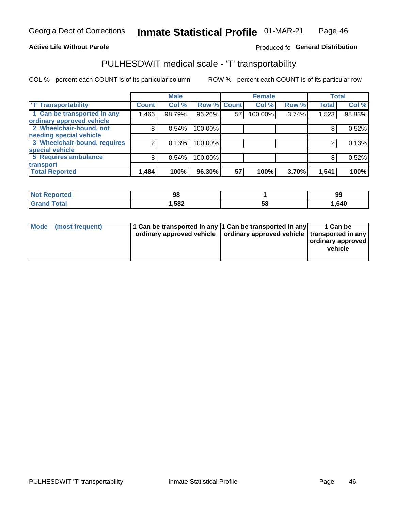#### **Active Life Without Parole**

#### Produced fo General Distribution

# PULHESDWIT medical scale - 'T' transportability

COL % - percent each COUNT is of its particular column

|                              |              | <b>Male</b> |         |             | <b>Female</b> |       |              | <b>Total</b> |
|------------------------------|--------------|-------------|---------|-------------|---------------|-------|--------------|--------------|
| <b>T' Transportability</b>   | <b>Count</b> | Col %       |         | Row % Count | Col %         | Row % | <b>Total</b> | Col %        |
| 1 Can be transported in any  | 1,466        | 98.79%      | 96.26%  | 57          | 100.00%       | 3.74% | 1,523        | 98.83%       |
| ordinary approved vehicle    |              |             |         |             |               |       |              |              |
| 2 Wheelchair-bound, not      | 8            | 0.54%       | 100.00% |             |               |       |              | 0.52%        |
| needing special vehicle      |              |             |         |             |               |       |              |              |
| 3 Wheelchair-bound, requires |              | 0.13%       | 100.00% |             |               |       |              | 0.13%        |
| special vehicle              |              |             |         |             |               |       |              |              |
| 5 Requires ambulance         | 8            | 0.54%       | 100.00% |             |               |       | 8            | 0.52%        |
| transport                    |              |             |         |             |               |       |              |              |
| <b>Total Reported</b>        | 1,484        | 100%        | 96.30%  | 57          | 100%          | 3.70% | 1,541        | 100%         |

| orteo      | 98   |    | 99    |
|------------|------|----|-------|
| <b>ota</b> | ,582 | Ⴢჾ | .640، |

| <b>Mode</b> | (most frequent) | 1 Can be transported in any 1 Can be transported in any | ordinary approved vehicle   ordinary approved vehicle   transported in any | 1 Can be<br>  ordinary approved  <br>vehicle |
|-------------|-----------------|---------------------------------------------------------|----------------------------------------------------------------------------|----------------------------------------------|
|-------------|-----------------|---------------------------------------------------------|----------------------------------------------------------------------------|----------------------------------------------|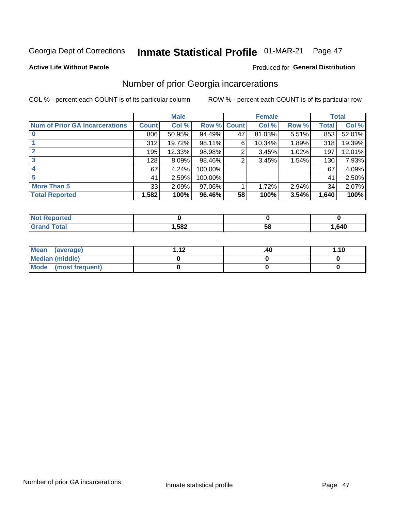# Inmate Statistical Profile 01-MAR-21 Page 47

#### **Active Life Without Parole**

### **Produced for General Distribution**

## Number of prior Georgia incarcerations

COL % - percent each COUNT is of its particular column

|                                       |       | <b>Male</b> |             |    | <b>Female</b> |       |       | <b>Total</b> |
|---------------------------------------|-------|-------------|-------------|----|---------------|-------|-------|--------------|
| <b>Num of Prior GA Incarcerations</b> | Count | Col %       | Row % Count |    | Col %         | Row % | Total | Col %        |
| $\bf{0}$                              | 806   | 50.95%      | 94.49%      | 47 | 81.03%        | 5.51% | 853   | 52.01%       |
|                                       | 312   | 19.72%      | 98.11%      | 6  | 10.34%        | 1.89% | 318   | 19.39%       |
|                                       | 195   | 12.33%      | 98.98%      | 2  | 3.45%         | 1.02% | 197   | 12.01%       |
| 3                                     | 128   | 8.09%       | 98.46%      | 2  | 3.45%         | 1.54% | 130   | 7.93%        |
| 4                                     | 67    | 4.24%       | 100.00%     |    |               |       | 67    | 4.09%        |
| 5                                     | 41    | 2.59%       | 100.00%     |    |               |       | 41    | 2.50%        |
| <b>More Than 5</b>                    | 33    | 2.09%       | $97.06\%$   |    | 1.72%         | 2.94% | 34    | 2.07%        |
| <b>Total Reported</b>                 | 1,582 | 100%        | 96.46%      | 58 | 100%          | 3.54% | 1,640 | 100%         |

| orted<br><b>NOT</b> |        |    |        |
|---------------------|--------|----|--------|
| Total               | 582, ا | ວເ | 640, ا |

| Mean (average)       | 1 1 J | .40 | 1.10 |
|----------------------|-------|-----|------|
| Median (middle)      |       |     |      |
| Mode (most frequent) |       |     |      |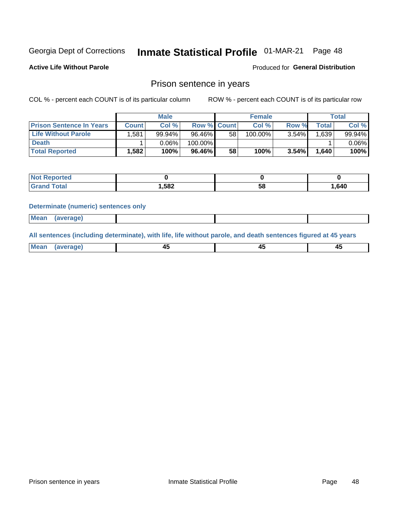# Inmate Statistical Profile 01-MAR-21 Page 48

**Active Life Without Parole** 

Produced for General Distribution

### Prison sentence in years

COL % - percent each COUNT is of its particular column

ROW % - percent each COUNT is of its particular row

|                                 | <b>Male</b> |        |                    | <b>Female</b> |         |          | Total       |          |
|---------------------------------|-------------|--------|--------------------|---------------|---------|----------|-------------|----------|
| <b>Prison Sentence In Years</b> | Count⊺      | Col %  | <b>Row % Count</b> |               | Col %   | Row %    | $\tau$ otal | Col %    |
| <b>Life Without Parole</b>      | .581        | 99.94% | 96.46%             | 58            | 100.00% | $3.54\%$ | 1,639       | 99.94%   |
| <b>Death</b>                    |             | 0.06%  | 100.00%            |               |         |          |             | $0.06\%$ |
| <b>Total Reported</b>           | 1,582       | 100%   | 96.46%             | 58            | 100%    | $3.54\%$ | 1,640       | 100%     |

| ported      |       |    |      |
|-------------|-------|----|------|
| <b>otal</b> | 1,582 | эс | .640 |

#### **Determinate (numeric) sentences only**

| <b>Mean</b> | (average)<br>. . |  |  |
|-------------|------------------|--|--|
|             |                  |  |  |

All sentences (including determinate), with life, life without parole, and death sentences figured at 45 years

| Me:<br>апе<br>᠇<br> | $\sim$<br>$\sim$ |  |
|---------------------|------------------|--|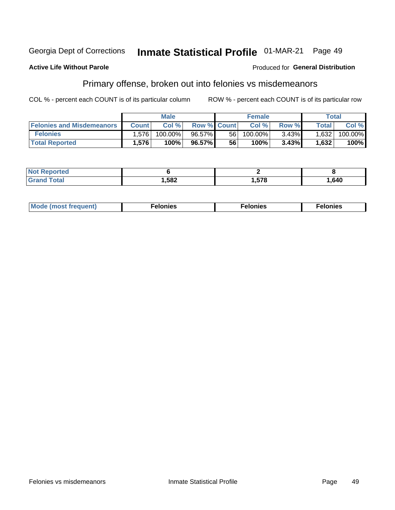#### Inmate Statistical Profile 01-MAR-21 Georgia Dept of Corrections Page 49

#### **Active Life Without Parole**

### **Produced for General Distribution**

# Primary offense, broken out into felonies vs misdemeanors

COL % - percent each COUNT is of its particular column

|                                  | <b>Male</b>  |         |                    | <b>Female</b> |            |          | Total        |         |
|----------------------------------|--------------|---------|--------------------|---------------|------------|----------|--------------|---------|
| <b>Felonies and Misdemeanors</b> | <b>Count</b> | Col%    | <b>Row % Count</b> |               | Col%       | Row %    | <b>Total</b> | Col %   |
| <b>Felonies</b>                  | 1,576        | 100.00% | 96.57%             | 56            | $100.00\%$ | $3.43\%$ | 1,632        | 100.00% |
| <b>Total Reported</b>            | .576         | 100%    | 96.57%             | 56            | 100%       | 3.43%    | 1,632        | 100%    |

| <b>Not Reported</b>   |        |      |          |
|-----------------------|--------|------|----------|
| Total<br><b>Grand</b> | 582, ا | ,578 | . 640، ، |

| <b>Mode</b><br>frequent)<br>nies<br>≧ (most tr.<br>. | onies<br>. | lonies<br>ею<br>____ |
|------------------------------------------------------|------------|----------------------|
|------------------------------------------------------|------------|----------------------|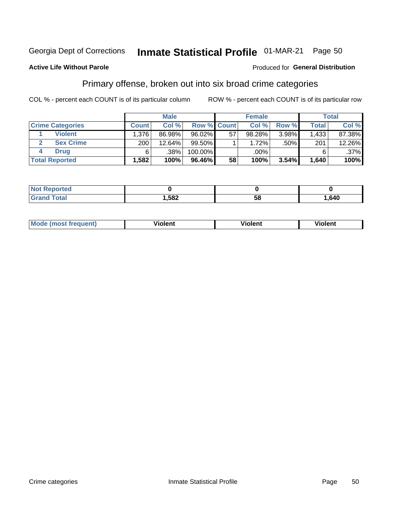#### Inmate Statistical Profile 01-MAR-21 Georgia Dept of Corrections

### Primary offense, broken out into six broad crime categories

COL % - percent each COUNT is of its particular column

ROW % - percent each COUNT is of its particular row

|                         | <b>Male</b>  |        |             | <b>Female</b> |          |       | Total        |         |
|-------------------------|--------------|--------|-------------|---------------|----------|-------|--------------|---------|
| <b>Crime Categories</b> | <b>Count</b> | Col%   | Row % Count |               | Col%     | Row % | <b>Total</b> | Col %   |
| <b>Violent</b>          | .376         | 86.98% | 96.02%      | 57            | 98.28%   | 3.98% | 1,433        | 87.38%  |
| <b>Sex Crime</b>        | 200          | 12.64% | $99.50\%$   |               | $1.72\%$ | .50%  | 201          | 12.26%  |
| <b>Drug</b>             | 6            | .38%   | 100.00%     |               | .00%     |       | 6            | $.37\%$ |
| <b>Total Reported</b>   | 1,582        | 100%   | 96.46%      | 58            | 100%     | 3.54% | 1,640        | 100%    |

| . |      |    |      |
|---|------|----|------|
|   | ,582 | 58 | .640 |

| Mo<br>auenti | --<br>iolent | <br>olent<br>ли | <br>วlent |
|--------------|--------------|-----------------|-----------|
|              |              |                 |           |

### **Active Life Without Parole**

Produced for General Distribution

Page 50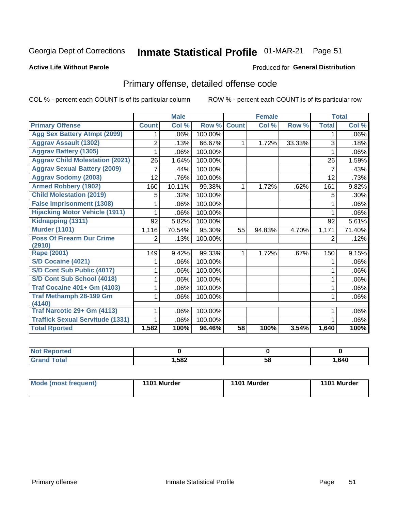# Inmate Statistical Profile 01-MAR-21 Page 51

#### **Active Life Without Parole**

### **Produced for General Distribution**

# Primary offense, detailed offense code

COL % - percent each COUNT is of its particular column

|                                         |              | <b>Male</b>                |         |              | <b>Female</b> |        |              | <b>Total</b> |
|-----------------------------------------|--------------|----------------------------|---------|--------------|---------------|--------|--------------|--------------|
| <b>Primary Offense</b>                  | <b>Count</b> | $\overline{\text{Col }^9}$ | Row %   | <b>Count</b> | Col %         | Row %  | <b>Total</b> | Col %        |
| <b>Agg Sex Battery Atmpt (2099)</b>     |              | .06%                       | 100.00% |              |               |        | 1            | .06%         |
| <b>Aggrav Assault (1302)</b>            | 2            | .13%                       | 66.67%  | 1            | 1.72%         | 33.33% | 3            | .18%         |
| <b>Aggrav Battery (1305)</b>            |              | .06%                       | 100.00% |              |               |        |              | .06%         |
| <b>Aggrav Child Molestation (2021)</b>  | 26           | 1.64%                      | 100.00% |              |               |        | 26           | 1.59%        |
| <b>Aggrav Sexual Battery (2009)</b>     |              | .44%                       | 100.00% |              |               |        | 7            | .43%         |
| <b>Aggrav Sodomy (2003)</b>             | 12           | .76%                       | 100.00% |              |               |        | 12           | .73%         |
| <b>Armed Robbery (1902)</b>             | 160          | 10.11%                     | 99.38%  | 1            | 1.72%         | .62%   | 161          | 9.82%        |
| <b>Child Molestation (2019)</b>         | 5            | .32%                       | 100.00% |              |               |        | 5            | .30%         |
| <b>False Imprisonment (1308)</b>        |              | .06%                       | 100.00% |              |               |        |              | .06%         |
| <b>Hijacking Motor Vehicle (1911)</b>   |              | .06%                       | 100.00% |              |               |        |              | .06%         |
| Kidnapping (1311)                       | 92           | 5.82%                      | 100.00% |              |               |        | 92           | 5.61%        |
| <b>Murder (1101)</b>                    | 1,116        | 70.54%                     | 95.30%  | 55           | 94.83%        | 4.70%  | 1,171        | 71.40%       |
| <b>Poss Of Firearm Dur Crime</b>        | 2            | .13%                       | 100.00% |              |               |        | 2            | .12%         |
| (2910)                                  |              |                            |         |              |               |        |              |              |
| Rape (2001)                             | 149          | 9.42%                      | 99.33%  |              | 1.72%         | .67%   | 150          | 9.15%        |
| S/D Cocaine (4021)                      |              | .06%                       | 100.00% |              |               |        |              | .06%         |
| S/D Cont Sub Public (4017)              |              | .06%                       | 100.00% |              |               |        |              | .06%         |
| S/D Cont Sub School (4018)              |              | .06%                       | 100.00% |              |               |        | 1            | .06%         |
| <b>Traf Cocaine 401+ Gm (4103)</b>      |              | .06%                       | 100.00% |              |               |        | 1            | .06%         |
| <b>Traf Methamph 28-199 Gm</b>          |              | .06%                       | 100.00% |              |               |        | 1            | .06%         |
| (4140)                                  |              |                            |         |              |               |        |              |              |
| Traf Narcotic 29+ Gm (4113)             |              | .06%                       | 100.00% |              |               |        |              | .06%         |
| <b>Traffick Sexual Servitude (1331)</b> |              | .06%                       | 100.00% |              |               |        |              | .06%         |
| <b>Total Rported</b>                    | 1,582        | 100%                       | 96.46%  | 58           | 100%          | 3.54%  | 1,640        | 100%         |

| <b>Not</b><br><b>orted</b><br>мени |      |          |      |
|------------------------------------|------|----------|------|
| <b>Total</b>                       | ,582 | --<br>58 | .640 |

| Mode (most frequent) | 1101 Murder | 1101 Murder | 1101 Murder |
|----------------------|-------------|-------------|-------------|
|----------------------|-------------|-------------|-------------|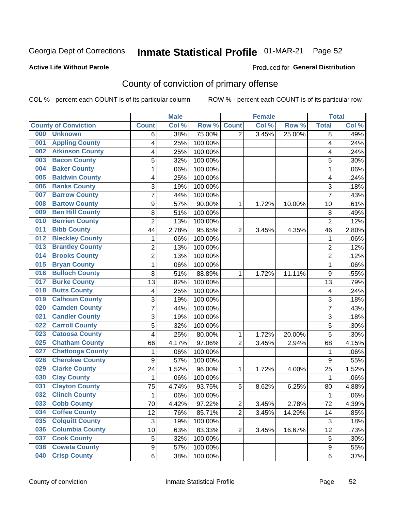# Inmate Statistical Profile 01-MAR-21 Page 52

#### **Active Life Without Parole**

#### Produced for General Distribution

# County of conviction of primary offense

COL % - percent each COUNT is of its particular column

|                                |                  | <b>Male</b> |         |                | <b>Female</b> |        |                | <b>Total</b> |
|--------------------------------|------------------|-------------|---------|----------------|---------------|--------|----------------|--------------|
| <b>County of Conviction</b>    | <b>Count</b>     | Col %       | Row %   | <b>Count</b>   | Col %         | Row %  | <b>Total</b>   | Col %        |
| 000<br><b>Unknown</b>          | 6                | .38%        | 75.00%  | $\overline{2}$ | 3.45%         | 25.00% | 8              | .49%         |
| <b>Appling County</b><br>001   | 4                | .25%        | 100.00% |                |               |        | 4              | .24%         |
| <b>Atkinson County</b><br>002  | 4                | .25%        | 100.00% |                |               |        | 4              | .24%         |
| <b>Bacon County</b><br>003     | 5                | .32%        | 100.00% |                |               |        | 5              | .30%         |
| <b>Baker County</b><br>004     | $\mathbf{1}$     | .06%        | 100.00% |                |               |        | $\mathbf{1}$   | .06%         |
| <b>Baldwin County</b><br>005   | 4                | .25%        | 100.00% |                |               |        | 4              | .24%         |
| <b>Banks County</b><br>006     | 3                | .19%        | 100.00% |                |               |        | 3              | .18%         |
| <b>Barrow County</b><br>007    | $\overline{7}$   | .44%        | 100.00% |                |               |        | $\overline{7}$ | .43%         |
| <b>Bartow County</b><br>008    | 9                | .57%        | 90.00%  | 1              | 1.72%         | 10.00% | 10             | .61%         |
| <b>Ben Hill County</b><br>009  | 8                | .51%        | 100.00% |                |               |        | 8              | .49%         |
| <b>Berrien County</b><br>010   | $\overline{2}$   | .13%        | 100.00% |                |               |        | $\overline{2}$ | .12%         |
| <b>Bibb County</b><br>011      | 44               | 2.78%       | 95.65%  | $\overline{2}$ | 3.45%         | 4.35%  | 46             | 2.80%        |
| <b>Bleckley County</b><br>012  | 1                | .06%        | 100.00% |                |               |        | $\mathbf{1}$   | .06%         |
| <b>Brantley County</b><br>013  | $\overline{2}$   | .13%        | 100.00% |                |               |        | $\overline{2}$ | .12%         |
| <b>Brooks County</b><br>014    | $\overline{2}$   | .13%        | 100.00% |                |               |        | $\overline{2}$ | .12%         |
| <b>Bryan County</b><br>015     | $\mathbf{1}$     | .06%        | 100.00% |                |               |        | $\mathbf{1}$   | .06%         |
| <b>Bulloch County</b><br>016   | 8                | .51%        | 88.89%  | 1              | 1.72%         | 11.11% | 9              | .55%         |
| <b>Burke County</b><br>017     | 13               | .82%        | 100.00% |                |               |        | 13             | .79%         |
| <b>Butts County</b><br>018     | 4                | .25%        | 100.00% |                |               |        | 4              | .24%         |
| <b>Calhoun County</b><br>019   | 3                | .19%        | 100.00% |                |               |        | $\sqrt{3}$     | .18%         |
| <b>Camden County</b><br>020    | 7                | .44%        | 100.00% |                |               |        | 7              | .43%         |
| <b>Candler County</b><br>021   | 3                | .19%        | 100.00% |                |               |        | 3              | .18%         |
| <b>Carroll County</b><br>022   | 5                | .32%        | 100.00% |                |               |        | 5              | .30%         |
| <b>Catoosa County</b><br>023   | 4                | .25%        | 80.00%  | 1              | 1.72%         | 20.00% | 5              | .30%         |
| <b>Chatham County</b><br>025   | 66               | 4.17%       | 97.06%  | $\overline{2}$ | 3.45%         | 2.94%  | 68             | 4.15%        |
| <b>Chattooga County</b><br>027 | 1                | .06%        | 100.00% |                |               |        | 1              | .06%         |
| <b>Cherokee County</b><br>028  | $\boldsymbol{9}$ | .57%        | 100.00% |                |               |        | 9              | .55%         |
| <b>Clarke County</b><br>029    | 24               | 1.52%       | 96.00%  | 1              | 1.72%         | 4.00%  | 25             | 1.52%        |
| <b>Clay County</b><br>030      | 1                | .06%        | 100.00% |                |               |        | $\mathbf 1$    | .06%         |
| <b>Clayton County</b><br>031   | 75               | 4.74%       | 93.75%  | 5              | 8.62%         | 6.25%  | 80             | 4.88%        |
| <b>Clinch County</b><br>032    | 1                | .06%        | 100.00% |                |               |        | 1              | .06%         |
| <b>Cobb County</b><br>033      | 70               | 4.42%       | 97.22%  | 2              | 3.45%         | 2.78%  | 72             | 4.39%        |
| <b>Coffee County</b><br>034    | 12               | .76%        | 85.71%  | $\overline{2}$ | 3.45%         | 14.29% | 14             | .85%         |
| 035<br><b>Colquitt County</b>  | $\sqrt{3}$       | .19%        | 100.00% |                |               |        | $\sqrt{3}$     | .18%         |
| <b>Columbia County</b><br>036  | 10               | .63%        | 83.33%  | $\overline{2}$ | 3.45%         | 16.67% | 12             | .73%         |
| <b>Cook County</b><br>037      | 5                | .32%        | 100.00% |                |               |        | 5              | .30%         |
| <b>Coweta County</b><br>038    | $\boldsymbol{9}$ | .57%        | 100.00% |                |               |        | 9              | .55%         |
| <b>Crisp County</b><br>040     | 6                | .38%        | 100.00% |                |               |        | 6              | .37%         |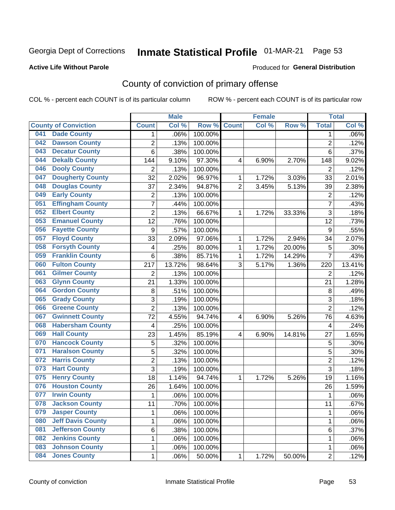# Inmate Statistical Profile 01-MAR-21 Page 53

#### **Active Life Without Parole**

#### Produced for General Distribution

# County of conviction of primary offense

COL % - percent each COUNT is of its particular column

|     |                             |                  | <b>Male</b> |         |                | <b>Female</b> |        |                | <b>Total</b> |
|-----|-----------------------------|------------------|-------------|---------|----------------|---------------|--------|----------------|--------------|
|     | <b>County of Conviction</b> | <b>Count</b>     | Col %       | Row %   | <b>Count</b>   | Col %         | Row %  | <b>Total</b>   | Col %        |
| 041 | <b>Dade County</b>          | 1                | .06%        | 100.00% |                |               |        | 1              | $.06\%$      |
| 042 | <b>Dawson County</b>        | $\overline{2}$   | .13%        | 100.00% |                |               |        | $\overline{2}$ | .12%         |
| 043 | <b>Decatur County</b>       | 6                | .38%        | 100.00% |                |               |        | 6              | .37%         |
| 044 | <b>Dekalb County</b>        | 144              | 9.10%       | 97.30%  | 4              | 6.90%         | 2.70%  | 148            | 9.02%        |
| 046 | <b>Dooly County</b>         | $\overline{2}$   | .13%        | 100.00% |                |               |        | $\overline{2}$ | .12%         |
| 047 | <b>Dougherty County</b>     | 32               | 2.02%       | 96.97%  | 1              | 1.72%         | 3.03%  | 33             | 2.01%        |
| 048 | <b>Douglas County</b>       | 37               | 2.34%       | 94.87%  | $\overline{2}$ | 3.45%         | 5.13%  | 39             | 2.38%        |
| 049 | <b>Early County</b>         | 2                | .13%        | 100.00% |                |               |        | $\overline{2}$ | .12%         |
| 051 | <b>Effingham County</b>     | 7                | .44%        | 100.00% |                |               |        | $\overline{7}$ | .43%         |
| 052 | <b>Elbert County</b>        | $\overline{2}$   | .13%        | 66.67%  | 1              | 1.72%         | 33.33% | 3              | .18%         |
| 053 | <b>Emanuel County</b>       | 12               | .76%        | 100.00% |                |               |        | 12             | .73%         |
| 056 | <b>Fayette County</b>       | $\boldsymbol{9}$ | .57%        | 100.00% |                |               |        | 9              | .55%         |
| 057 | <b>Floyd County</b>         | 33               | 2.09%       | 97.06%  | $\mathbf{1}$   | 1.72%         | 2.94%  | 34             | 2.07%        |
| 058 | <b>Forsyth County</b>       | 4                | .25%        | 80.00%  | 1              | 1.72%         | 20.00% | 5              | .30%         |
| 059 | <b>Franklin County</b>      | 6                | .38%        | 85.71%  | 1              | 1.72%         | 14.29% | $\overline{7}$ | .43%         |
| 060 | <b>Fulton County</b>        | 217              | 13.72%      | 98.64%  | 3              | 5.17%         | 1.36%  | 220            | 13.41%       |
| 061 | <b>Gilmer County</b>        | $\overline{2}$   | .13%        | 100.00% |                |               |        | $\overline{2}$ | .12%         |
| 063 | <b>Glynn County</b>         | 21               | 1.33%       | 100.00% |                |               |        | 21             | 1.28%        |
| 064 | <b>Gordon County</b>        | 8                | .51%        | 100.00% |                |               |        | 8              | .49%         |
| 065 | <b>Grady County</b>         | 3                | .19%        | 100.00% |                |               |        | 3              | .18%         |
| 066 | <b>Greene County</b>        | $\overline{2}$   | .13%        | 100.00% |                |               |        | $\overline{2}$ | .12%         |
| 067 | <b>Gwinnett County</b>      | 72               | 4.55%       | 94.74%  | 4              | 6.90%         | 5.26%  | 76             | 4.63%        |
| 068 | <b>Habersham County</b>     | $\overline{4}$   | .25%        | 100.00% |                |               |        | 4              | .24%         |
| 069 | <b>Hall County</b>          | 23               | 1.45%       | 85.19%  | 4              | 6.90%         | 14.81% | 27             | 1.65%        |
| 070 | <b>Hancock County</b>       | 5                | .32%        | 100.00% |                |               |        | 5              | .30%         |
| 071 | <b>Haralson County</b>      | 5                | .32%        | 100.00% |                |               |        | 5              | .30%         |
| 072 | <b>Harris County</b>        | $\overline{2}$   | .13%        | 100.00% |                |               |        | $\overline{2}$ | .12%         |
| 073 | <b>Hart County</b>          | 3                | .19%        | 100.00% |                |               |        | $\overline{3}$ | .18%         |
| 075 | <b>Henry County</b>         | 18               | 1.14%       | 94.74%  | $\mathbf{1}$   | 1.72%         | 5.26%  | 19             | 1.16%        |
| 076 | <b>Houston County</b>       | 26               | 1.64%       | 100.00% |                |               |        | 26             | 1.59%        |
| 077 | <b>Irwin County</b>         | $\mathbf{1}$     | .06%        | 100.00% |                |               |        | 1              | .06%         |
| 078 | <b>Jackson County</b>       | 11               | .70%        | 100.00% |                |               |        | 11             | $.67\%$      |
| 079 | <b>Jasper County</b>        | $\mathbf{1}$     | .06%        | 100.00% |                |               |        | $\mathbf{1}$   | .06%         |
| 080 | <b>Jeff Davis County</b>    | 1                | .06%        | 100.00% |                |               |        | $\mathbf{1}$   | .06%         |
| 081 | <b>Jefferson County</b>     | 6                | .38%        | 100.00% |                |               |        | 6              | .37%         |
| 082 | <b>Jenkins County</b>       | 1                | .06%        | 100.00% |                |               |        | 1              | .06%         |
| 083 | <b>Johnson County</b>       | $\mathbf 1$      | .06%        | 100.00% |                |               |        | 1              | .06%         |
| 084 | <b>Jones County</b>         | $\mathbf 1$      | .06%        | 50.00%  | 1              | 1.72%         | 50.00% | $\overline{2}$ | .12%         |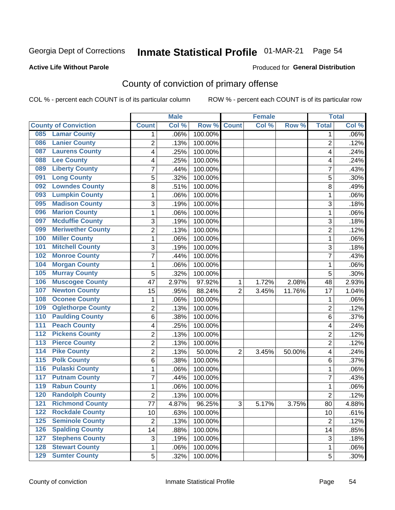# Inmate Statistical Profile 01-MAR-21 Page 54

#### **Active Life Without Parole**

#### Produced for General Distribution

# County of conviction of primary offense

COL % - percent each COUNT is of its particular column

|                                           |                | <b>Male</b> |         |                | <b>Female</b> |        |                | <b>Total</b> |
|-------------------------------------------|----------------|-------------|---------|----------------|---------------|--------|----------------|--------------|
| <b>County of Conviction</b>               | <b>Count</b>   | Col %       | Row %   | <b>Count</b>   | Col %         | Row %  | <b>Total</b>   | Col %        |
| <b>Lamar County</b><br>085                | 1              | .06%        | 100.00% |                |               |        | 1              | $.06\%$      |
| <b>Lanier County</b><br>086               | $\overline{2}$ | .13%        | 100.00% |                |               |        | $\overline{2}$ | .12%         |
| <b>Laurens County</b><br>087              | 4              | .25%        | 100.00% |                |               |        | 4              | .24%         |
| <b>Lee County</b><br>088                  | 4              | .25%        | 100.00% |                |               |        | 4              | .24%         |
| <b>Liberty County</b><br>089              | 7              | .44%        | 100.00% |                |               |        | 7              | .43%         |
| <b>Long County</b><br>091                 | 5              | .32%        | 100.00% |                |               |        | 5              | .30%         |
| <b>Lowndes County</b><br>092              | 8              | .51%        | 100.00% |                |               |        | 8              | .49%         |
| <b>Lumpkin County</b><br>093              | 1              | .06%        | 100.00% |                |               |        | $\mathbf{1}$   | .06%         |
| <b>Madison County</b><br>095              | 3              | .19%        | 100.00% |                |               |        | 3              | .18%         |
| <b>Marion County</b><br>096               | 1              | .06%        | 100.00% |                |               |        | $\mathbf{1}$   | .06%         |
| <b>Mcduffie County</b><br>097             | 3              | .19%        | 100.00% |                |               |        | 3              | .18%         |
| <b>Meriwether County</b><br>099           | $\overline{2}$ | .13%        | 100.00% |                |               |        | $\overline{2}$ | .12%         |
| <b>Miller County</b><br>100               | 1              | .06%        | 100.00% |                |               |        | $\mathbf{1}$   | .06%         |
| <b>Mitchell County</b><br>101             | 3              | .19%        | 100.00% |                |               |        | 3              | .18%         |
| <b>Monroe County</b><br>102               | 7              | .44%        | 100.00% |                |               |        | $\overline{7}$ | .43%         |
| <b>Morgan County</b><br>104               | 1              | .06%        | 100.00% |                |               |        | $\mathbf{1}$   | .06%         |
| <b>Murray County</b><br>105               | 5              | .32%        | 100.00% |                |               |        | 5              | .30%         |
| <b>Muscogee County</b><br>106             | 47             | 2.97%       | 97.92%  | 1              | 1.72%         | 2.08%  | 48             | 2.93%        |
| <b>Newton County</b><br>107               | 15             | .95%        | 88.24%  | $\overline{2}$ | 3.45%         | 11.76% | 17             | 1.04%        |
| <b>Oconee County</b><br>108               | 1              | .06%        | 100.00% |                |               |        | 1              | .06%         |
| <b>Oglethorpe County</b><br>109           | 2              | .13%        | 100.00% |                |               |        | $\overline{2}$ | .12%         |
| <b>Paulding County</b><br>110             | 6              | .38%        | 100.00% |                |               |        | 6              | .37%         |
| <b>Peach County</b><br>111                | 4              | .25%        | 100.00% |                |               |        | 4              | .24%         |
| <b>Pickens County</b><br>$\overline{112}$ | $\overline{2}$ | .13%        | 100.00% |                |               |        | $\overline{2}$ | .12%         |
| <b>Pierce County</b><br>113               | 2              | .13%        | 100.00% |                |               |        | $\overline{2}$ | .12%         |
| <b>Pike County</b><br>$\overline{114}$    | $\overline{2}$ | .13%        | 50.00%  | $\overline{2}$ | 3.45%         | 50.00% | 4              | .24%         |
| <b>Polk County</b><br>$\overline{115}$    | 6              | .38%        | 100.00% |                |               |        | 6              | .37%         |
| <b>Pulaski County</b><br>116              | 1              | .06%        | 100.00% |                |               |        | 1              | .06%         |
| <b>Putnam County</b><br>117               | 7              | .44%        | 100.00% |                |               |        | 7              | .43%         |
| <b>Rabun County</b><br>119                | 1              | .06%        | 100.00% |                |               |        | $\mathbf{1}$   | .06%         |
| <b>Randolph County</b><br>120             | $\overline{2}$ | .13%        | 100.00% |                |               |        | $\overline{2}$ | .12%         |
| <b>Richmond County</b><br>121             | 77             | 4.87%       | 96.25%  | 3              | 5.17%         | 3.75%  | 80             | 4.88%        |
| <b>Rockdale County</b><br>122             | 10             | .63%        | 100.00% |                |               |        | 10             | .61%         |
| <b>Seminole County</b><br>$125$           | $\overline{2}$ | .13%        | 100.00% |                |               |        | $\overline{2}$ | .12%         |
| <b>Spalding County</b><br>126             | 14             | .88%        | 100.00% |                |               |        | 14             | .85%         |
| <b>Stephens County</b><br>127             | 3              | .19%        | 100.00% |                |               |        | 3              | .18%         |
| <b>Stewart County</b><br>128              | 1              | .06%        | 100.00% |                |               |        | 1              | .06%         |
| <b>Sumter County</b><br>129               | 5              | .32%        | 100.00% |                |               |        | 5              | .30%         |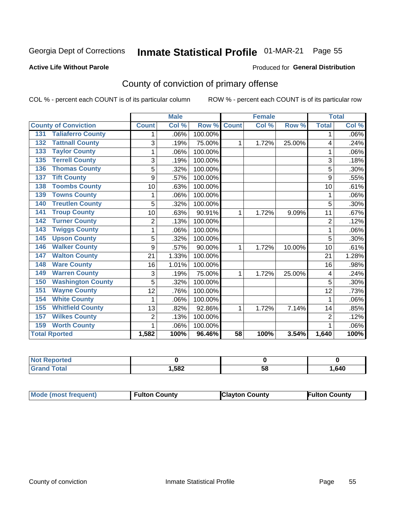# Inmate Statistical Profile 01-MAR-21 Page 55

#### **Active Life Without Parole**

#### Produced for General Distribution

# County of conviction of primary offense

COL % - percent each COUNT is of its particular column

|                                 |                | <b>Male</b> |         |              | <b>Female</b> |        |                | <b>Total</b> |
|---------------------------------|----------------|-------------|---------|--------------|---------------|--------|----------------|--------------|
| <b>County of Conviction</b>     | <b>Count</b>   | Col %       | Row %   | <b>Count</b> | Col %         | Row %  | <b>Total</b>   | Col %        |
| <b>Taliaferro County</b><br>131 |                | .06%        | 100.00% |              |               |        | 1              | .06%         |
| <b>Tattnall County</b><br>132   | 3              | .19%        | 75.00%  | 1            | 1.72%         | 25.00% | 4              | .24%         |
| <b>Taylor County</b><br>133     | 1              | .06%        | 100.00% |              |               |        | 1              | .06%         |
| <b>Terrell County</b><br>135    | 3              | .19%        | 100.00% |              |               |        | 3              | .18%         |
| <b>Thomas County</b><br>136     | 5              | .32%        | 100.00% |              |               |        | 5              | .30%         |
| <b>Tift County</b><br>137       | 9              | .57%        | 100.00% |              |               |        | 9              | .55%         |
| <b>Toombs County</b><br>138     | 10             | .63%        | 100.00% |              |               |        | 10             | .61%         |
| <b>Towns County</b><br>139      | 1              | .06%        | 100.00% |              |               |        | 1              | .06%         |
| <b>Treutlen County</b><br>140   | 5              | .32%        | 100.00% |              |               |        | 5              | .30%         |
| <b>Troup County</b><br>141      | 10             | .63%        | 90.91%  | 1            | 1.72%         | 9.09%  | 11             | .67%         |
| <b>Turner County</b><br>142     | $\overline{2}$ | .13%        | 100.00% |              |               |        | $\overline{2}$ | .12%         |
| <b>Twiggs County</b><br>143     | 1              | .06%        | 100.00% |              |               |        | 1              | .06%         |
| <b>Upson County</b><br>145      | 5              | .32%        | 100.00% |              |               |        | 5              | .30%         |
| <b>Walker County</b><br>146     | 9              | .57%        | 90.00%  | 1            | 1.72%         | 10.00% | 10             | .61%         |
| <b>Walton County</b><br>147     | 21             | 1.33%       | 100.00% |              |               |        | 21             | 1.28%        |
| <b>Ware County</b><br>148       | 16             | 1.01%       | 100.00% |              |               |        | 16             | .98%         |
| <b>Warren County</b><br>149     | 3              | .19%        | 75.00%  | 1            | 1.72%         | 25.00% | 4              | .24%         |
| <b>Washington County</b><br>150 | 5              | .32%        | 100.00% |              |               |        | 5              | .30%         |
| <b>Wayne County</b><br>151      | 12             | .76%        | 100.00% |              |               |        | 12             | .73%         |
| <b>White County</b><br>154      | 1              | .06%        | 100.00% |              |               |        | 1              | .06%         |
| <b>Whitfield County</b><br>155  | 13             | .82%        | 92.86%  | 1            | 1.72%         | 7.14%  | 14             | .85%         |
| <b>Wilkes County</b><br>157     | $\overline{2}$ | .13%        | 100.00% |              |               |        | $\overline{2}$ | .12%         |
| <b>Worth County</b><br>159      | 1              | .06%        | 100.00% |              |               |        |                | .06%         |
| <b>Total Rported</b>            | 1,582          | 100%        | 96.46%  | 58           | 100%          | 3.54%  | 1,640          | 100%         |

| rtea        |       |   |      |
|-------------|-------|---|------|
| $6 - 6 - 7$ | 1,582 | u | ,640 |

| <b>Mode (most frequent)</b> | <b>Fulton County</b> | <b>Clayton County</b> | <b>Fulton County</b> |
|-----------------------------|----------------------|-----------------------|----------------------|
|-----------------------------|----------------------|-----------------------|----------------------|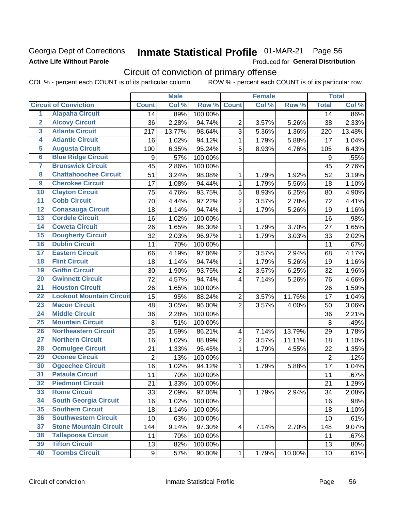### Georgia Dept of Corrections **Active Life Without Parole**

# Inmate Statistical Profile 01-MAR-21 Page 56

Produced for General Distribution

# Circuit of conviction of primary offense

COL % - percent each COUNT is of its particular column ROW % - percent each COUNT is of its particular row

|                         |                                 |                | <b>Male</b> |         |                         | <b>Female</b> |        |                | <b>Total</b> |
|-------------------------|---------------------------------|----------------|-------------|---------|-------------------------|---------------|--------|----------------|--------------|
|                         | <b>Circuit of Conviction</b>    | <b>Count</b>   | Col %       | Row %   | <b>Count</b>            | Col %         | Row %  | <b>Total</b>   | Col %        |
| 1                       | <b>Alapaha Circuit</b>          | 14             | .89%        | 100.00% |                         |               |        | 14             | .86%         |
| $\overline{2}$          | <b>Alcovy Circuit</b>           | 36             | 2.28%       | 94.74%  | $\overline{2}$          | 3.57%         | 5.26%  | 38             | 2.33%        |
| $\overline{3}$          | <b>Atlanta Circuit</b>          | 217            | 13.77%      | 98.64%  | 3                       | 5.36%         | 1.36%  | 220            | 13.48%       |
| 4                       | <b>Atlantic Circuit</b>         | 16             | 1.02%       | 94.12%  | 1                       | 1.79%         | 5.88%  | 17             | 1.04%        |
| $\overline{5}$          | <b>Augusta Circuit</b>          | 100            | 6.35%       | 95.24%  | 5                       | 8.93%         | 4.76%  | 105            | 6.43%        |
| $\overline{\bf{6}}$     | <b>Blue Ridge Circuit</b>       | 9              | .57%        | 100.00% |                         |               |        | 9              | .55%         |
| 7                       | <b>Brunswick Circuit</b>        | 45             | 2.86%       | 100.00% |                         |               |        | 45             | 2.76%        |
| $\overline{\mathbf{8}}$ | <b>Chattahoochee Circuit</b>    | 51             | 3.24%       | 98.08%  | 1                       | 1.79%         | 1.92%  | 52             | 3.19%        |
| $\overline{9}$          | <b>Cherokee Circuit</b>         | 17             | 1.08%       | 94.44%  | 1                       | 1.79%         | 5.56%  | 18             | 1.10%        |
| 10                      | <b>Clayton Circuit</b>          | 75             | 4.76%       | 93.75%  | 5                       | 8.93%         | 6.25%  | 80             | 4.90%        |
| $\overline{11}$         | <b>Cobb Circuit</b>             | 70             | 4.44%       | 97.22%  | $\overline{2}$          | 3.57%         | 2.78%  | 72             | 4.41%        |
| $\overline{12}$         | <b>Conasauga Circuit</b>        | 18             | 1.14%       | 94.74%  | 1                       | 1.79%         | 5.26%  | 19             | 1.16%        |
| 13                      | <b>Cordele Circuit</b>          | 16             | 1.02%       | 100.00% |                         |               |        | 16             | .98%         |
| 14                      | <b>Coweta Circuit</b>           | 26             | 1.65%       | 96.30%  | 1                       | 1.79%         | 3.70%  | 27             | 1.65%        |
| 15                      | <b>Dougherty Circuit</b>        | 32             | 2.03%       | 96.97%  | $\mathbf{1}$            | 1.79%         | 3.03%  | 33             | 2.02%        |
| 16                      | <b>Dublin Circuit</b>           | 11             | .70%        | 100.00% |                         |               |        | 11             | .67%         |
| 17                      | <b>Eastern Circuit</b>          | 66             | 4.19%       | 97.06%  | $\overline{2}$          | 3.57%         | 2.94%  | 68             | 4.17%        |
| $\overline{18}$         | <b>Flint Circuit</b>            | 18             | 1.14%       | 94.74%  | 1                       | 1.79%         | 5.26%  | 19             | 1.16%        |
| 19                      | <b>Griffin Circuit</b>          | 30             | 1.90%       | 93.75%  | $\mathbf 2$             | 3.57%         | 6.25%  | 32             | 1.96%        |
| $\overline{20}$         | <b>Gwinnett Circuit</b>         | 72             | 4.57%       | 94.74%  | 4                       | 7.14%         | 5.26%  | 76             | 4.66%        |
| $\overline{21}$         | <b>Houston Circuit</b>          | 26             | 1.65%       | 100.00% |                         |               |        | 26             | 1.59%        |
| $\overline{22}$         | <b>Lookout Mountain Circuit</b> | 15             | .95%        | 88.24%  | $\overline{2}$          | 3.57%         | 11.76% | 17             | 1.04%        |
| 23                      | <b>Macon Circuit</b>            | 48             | 3.05%       | 96.00%  | $\overline{2}$          | 3.57%         | 4.00%  | 50             | 3.06%        |
| $\overline{24}$         | <b>Middle Circuit</b>           | 36             | 2.28%       | 100.00% |                         |               |        | 36             | 2.21%        |
| $\overline{25}$         | <b>Mountain Circuit</b>         | 8              | .51%        | 100.00% |                         |               |        | 8              | .49%         |
| 26                      | <b>Northeastern Circuit</b>     | 25             | 1.59%       | 86.21%  | $\overline{4}$          | 7.14%         | 13.79% | 29             | 1.78%        |
| $\overline{27}$         | <b>Northern Circuit</b>         | 16             | 1.02%       | 88.89%  | $\overline{2}$          | 3.57%         | 11.11% | 18             | 1.10%        |
| 28                      | <b>Ocmulgee Circuit</b>         | 21             | 1.33%       | 95.45%  | 1                       | 1.79%         | 4.55%  | 22             | 1.35%        |
| 29                      | <b>Oconee Circuit</b>           | $\overline{2}$ | .13%        | 100.00% |                         |               |        | $\overline{2}$ | .12%         |
| 30                      | <b>Ogeechee Circuit</b>         | 16             | 1.02%       | 94.12%  | 1                       | 1.79%         | 5.88%  | 17             | 1.04%        |
| $\overline{31}$         | <b>Pataula Circuit</b>          | 11             | .70%        | 100.00% |                         |               |        | 11             | .67%         |
| 32                      | <b>Piedmont Circuit</b>         | 21             | 1.33%       | 100.00% |                         |               |        | 21             | 1.29%        |
| 33                      | <b>Rome Circuit</b>             | 33             | 2.09%       | 97.06%  | $\mathbf{1}$            | 1.79%         | 2.94%  | 34             | 2.08%        |
| 34                      | <b>South Georgia Circuit</b>    | 16             | 1.02%       | 100.00% |                         |               |        | 16             | .98%         |
| 35                      | <b>Southern Circuit</b>         | 18             | 1.14%       | 100.00% |                         |               |        | 18             | 1.10%        |
| 36                      | <b>Southwestern Circuit</b>     | 10             | .63%        | 100.00% |                         |               |        | 10             | .61%         |
| 37                      | <b>Stone Mountain Circuit</b>   | 144            | 9.14%       | 97.30%  | $\overline{\mathbf{4}}$ | 7.14%         | 2.70%  | 148            | 9.07%        |
| 38                      | <b>Tallapoosa Circuit</b>       | 11             | .70%        | 100.00% |                         |               |        | 11             | .67%         |
| 39                      | <b>Tifton Circuit</b>           | 13             | .82%        | 100.00% |                         |               |        | 13             | .80%         |
| 40                      | <b>Toombs Circuit</b>           | 9              | .57%        | 90.00%  | $\mathbf{1}$            | 1.79%         | 10.00% | 10             | .61%         |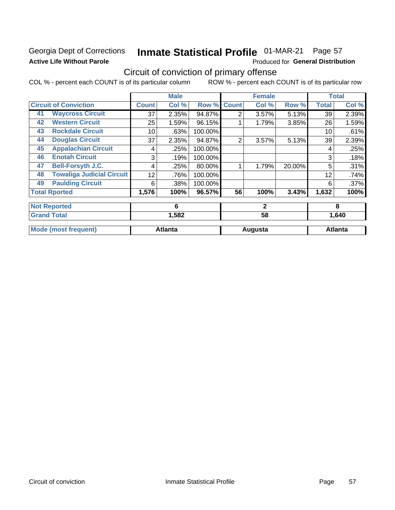## Georgia Dept of Corrections **Active Life Without Parole**

# Inmate Statistical Profile 01-MAR-21 Page 57

Produced for General Distribution

# Circuit of conviction of primary offense

COL % - percent each COUNT is of its particular column ROW % - percent each COUNT is of its particular row

|    |                                  |              | <b>Male</b>    |         |                | <b>Female</b> |        |              | <b>Total</b>   |
|----|----------------------------------|--------------|----------------|---------|----------------|---------------|--------|--------------|----------------|
|    | <b>Circuit of Conviction</b>     | <b>Count</b> | Col %          | Row %   | <b>Count</b>   | Col %         | Row %  | <b>Total</b> | Col %          |
| 41 | <b>Waycross Circuit</b>          | 37           | 2.35%          | 94.87%  | $\overline{2}$ | 3.57%         | 5.13%  | 39           | 2.39%          |
| 42 | <b>Western Circuit</b>           | 25           | 1.59%          | 96.15%  |                | 1.79%         | 3.85%  | 26           | 1.59%          |
| 43 | <b>Rockdale Circuit</b>          | 10           | .63%           | 100.00% |                |               |        | 10           | .61%           |
| 44 | <b>Douglas Circuit</b>           | 37           | 2.35%          | 94.87%  | $\overline{2}$ | 3.57%         | 5.13%  | 39           | 2.39%          |
| 45 | <b>Appalachian Circuit</b>       | 4            | .25%           | 100.00% |                |               |        | 4            | .25%           |
| 46 | <b>Enotah Circuit</b>            | 3            | .19%           | 100.00% |                |               |        | 3            | .18%           |
| 47 | <b>Bell-Forsyth J.C.</b>         | 4            | .25%           | 80.00%  |                | 1.79%         | 20.00% | 5            | .31%           |
| 48 | <b>Towaliga Judicial Circuit</b> | 12           | .76%           | 100.00% |                |               |        | 12           | .74%           |
| 49 | <b>Paulding Circuit</b>          | 6            | .38%           | 100.00% |                |               |        | 6            | .37%           |
|    | <b>Total Rported</b>             | 1,576        | 100%           | 96.57%  | 56             | 100%          | 3.43%  | 1,632        | 100%           |
|    | <b>Not Reported</b>              |              | 6              |         |                | $\mathbf{2}$  |        |              | 8              |
|    | <b>Grand Total</b>               |              | 1,582          |         |                | 58            |        |              | 1,640          |
|    | <b>Mode (most frequent)</b>      |              | <b>Atlanta</b> |         |                | Augusta       |        |              | <b>Atlanta</b> |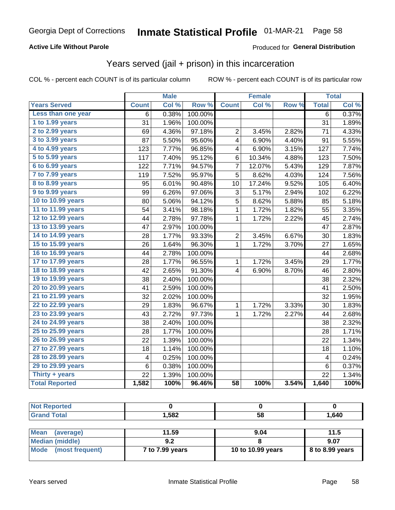### **Active Life Without Parole**

### Produced for General Distribution

# Years served (jail + prison) in this incarceration

COL % - percent each COUNT is of its particular column

|                        |              | <b>Male</b> |                  |                         | <b>Female</b> |       |                | <b>Total</b> |
|------------------------|--------------|-------------|------------------|-------------------------|---------------|-------|----------------|--------------|
| <b>Years Served</b>    | <b>Count</b> | Col %       | Row <sup>%</sup> | <b>Count</b>            | Col %         | Row % | <b>Total</b>   | Col %        |
| Less than one year     | 6            | 0.38%       | 100.00%          |                         |               |       | $\overline{6}$ | 0.37%        |
| 1 to 1.99 years        | 31           | 1.96%       | 100.00%          |                         |               |       | 31             | 1.89%        |
| 2 to 2.99 years        | 69           | 4.36%       | 97.18%           | $\overline{2}$          | 3.45%         | 2.82% | 71             | 4.33%        |
| 3 to 3.99 years        | 87           | 5.50%       | 95.60%           | 4                       | 6.90%         | 4.40% | 91             | 5.55%        |
| 4 to 4.99 years        | 123          | 7.77%       | 96.85%           | $\overline{\mathbf{4}}$ | 6.90%         | 3.15% | 127            | 7.74%        |
| 5 to 5.99 years        | 117          | 7.40%       | 95.12%           | 6                       | 10.34%        | 4.88% | 123            | 7.50%        |
| 6 to 6.99 years        | 122          | 7.71%       | 94.57%           | $\overline{7}$          | 12.07%        | 5.43% | 129            | 7.87%        |
| 7 to 7.99 years        | 119          | 7.52%       | 95.97%           | 5                       | 8.62%         | 4.03% | 124            | 7.56%        |
| <b>8 to 8.99 years</b> | 95           | 6.01%       | 90.48%           | 10                      | 17.24%        | 9.52% | 105            | 6.40%        |
| 9 to 9.99 years        | 99           | 6.26%       | 97.06%           | 3                       | 5.17%         | 2.94% | 102            | 6.22%        |
| 10 to 10.99 years      | 80           | 5.06%       | 94.12%           | $\overline{5}$          | 8.62%         | 5.88% | 85             | 5.18%        |
| 11 to 11.99 years      | 54           | 3.41%       | 98.18%           | $\mathbf{1}$            | 1.72%         | 1.82% | 55             | 3.35%        |
| 12 to 12.99 years      | 44           | 2.78%       | 97.78%           | $\mathbf{1}$            | 1.72%         | 2.22% | 45             | 2.74%        |
| 13 to 13.99 years      | 47           | 2.97%       | 100.00%          |                         |               |       | 47             | 2.87%        |
| 14 to 14.99 years      | 28           | 1.77%       | 93.33%           | $\overline{c}$          | 3.45%         | 6.67% | 30             | 1.83%        |
| 15 to 15.99 years      | 26           | 1.64%       | 96.30%           | $\mathbf{1}$            | 1.72%         | 3.70% | 27             | 1.65%        |
| 16 to 16.99 years      | 44           | 2.78%       | 100.00%          |                         |               |       | 44             | 2.68%        |
| 17 to 17.99 years      | 28           | 1.77%       | 96.55%           | $\mathbf{1}$            | 1.72%         | 3.45% | 29             | 1.77%        |
| 18 to 18.99 years      | 42           | 2.65%       | 91.30%           | $\overline{\mathbf{4}}$ | 6.90%         | 8.70% | 46             | 2.80%        |
| 19 to 19.99 years      | 38           | 2.40%       | 100.00%          |                         |               |       | 38             | 2.32%        |
| 20 to 20.99 years      | 41           | 2.59%       | 100.00%          |                         |               |       | 41             | 2.50%        |
| 21 to 21.99 years      | 32           | 2.02%       | 100.00%          |                         |               |       | 32             | 1.95%        |
| 22 to 22.99 years      | 29           | 1.83%       | 96.67%           | 1                       | 1.72%         | 3.33% | 30             | 1.83%        |
| 23 to 23.99 years      | 43           | 2.72%       | 97.73%           | 1                       | 1.72%         | 2.27% | 44             | 2.68%        |
| 24 to 24.99 years      | 38           | 2.40%       | 100.00%          |                         |               |       | 38             | 2.32%        |
| 25 to 25.99 years      | 28           | 1.77%       | 100.00%          |                         |               |       | 28             | 1.71%        |
| 26 to 26.99 years      | 22           | 1.39%       | 100.00%          |                         |               |       | 22             | 1.34%        |
| 27 to 27.99 years      | 18           | 1.14%       | 100.00%          |                         |               |       | 18             | 1.10%        |
| 28 to 28.99 years      | 4            | 0.25%       | 100.00%          |                         |               |       | 4              | 0.24%        |
| 29 to 29.99 years      | 6            | 0.38%       | 100.00%          |                         |               |       | 6              | 0.37%        |
| Thirty + years         | 22           | 1.39%       | 100.00%          |                         |               |       | 22             | 1.34%        |
| <b>Total Reported</b>  | 1,582        | 100%        | 96.46%           | $\overline{58}$         | 100%          | 3.54% | 1,640          | 100%         |

| <b>Not Reported</b>      |                 |                   |                 |
|--------------------------|-----------------|-------------------|-----------------|
| <b>Grand Total</b>       | 1.582           | 58                | 1,640           |
|                          |                 |                   |                 |
| <b>Mean</b><br>(average) | 11.59           | 9.04              | 11.5            |
| <b>Median (middle)</b>   | 9.2             |                   | 9.07            |
| Mode<br>(most frequent)  | 7 to 7.99 years | 10 to 10.99 years | 8 to 8.99 years |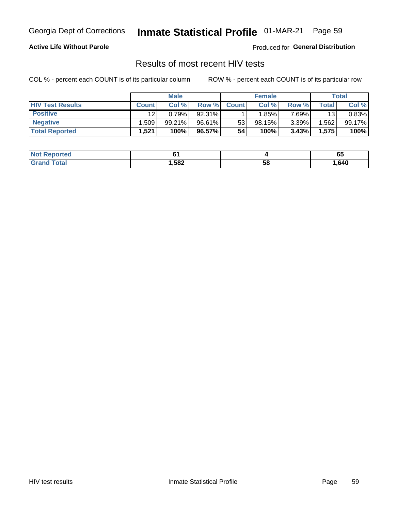# Inmate Statistical Profile 01-MAR-21 Page 59

### **Active Life Without Parole**

Produced for General Distribution

## Results of most recent HIV tests

COL % - percent each COUNT is of its particular column

|                         | <b>Male</b>  |        |        | <b>Female</b> |          |          | Total              |        |
|-------------------------|--------------|--------|--------|---------------|----------|----------|--------------------|--------|
| <b>HIV Test Results</b> | <b>Count</b> | Col %  | Row %I | <b>Count</b>  | Col %    | Row %    | Total <sub>1</sub> | Col %  |
| <b>Positive</b>         | 12           | 0.79%  | 92.31% |               | $1.85\%$ | 7.69%    | 13                 | 0.83%  |
| <b>Negative</b>         | .509         | 99.21% | 96.61% | 53            | 98.15%   | $3.39\%$ | .562               | 99.17% |
| <b>Total Reported</b>   | .521         | 100%   | 96.57% | 54            | 100%     | 3.43%    | 1,575              | 100%   |

| <b>Not Reported</b> |      |    | uu   |
|---------------------|------|----|------|
| Total               | ,582 | 58 | .640 |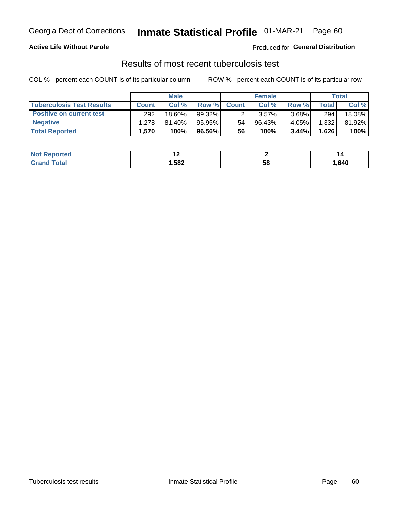# Georgia Dept of Corrections **Inmate Statistical Profile** 01-MAR-21 Page 60

### **Active Life Without Parole**

Produced for **General Distribution**

# Results of most recent tuberculosis test

COL % - percent each COUNT is of its particular column ROW % - percent each COUNT is of its particular row

|                                  | <b>Male</b>  |           |           | <b>Female</b> |           |          | Total |        |
|----------------------------------|--------------|-----------|-----------|---------------|-----------|----------|-------|--------|
| <b>Tuberculosis Test Results</b> | <b>Count</b> | Col %     | Row %I    | <b>Count</b>  | Col %     | Row %    | Total | Col %  |
| <b>Positive on current test</b>  | 292          | $18.60\%$ | 99.32%    |               | 3.57%     | $0.68\%$ | 294   | 18.08% |
| <b>Negative</b>                  | 1.278        | $81.40\%$ | $95.95\%$ | 54            | $96.43\%$ | 4.05%    | 1,332 | 81.92% |
| <b>Total Reported</b>            | .570         | 100%      | 96.56%    | 56            | 100%      | 3.44%    | 1,626 | 100%   |

| <b>Not Reported</b> | . .  |    | 14     |
|---------------------|------|----|--------|
| <b>Total</b><br>.C. | ,582 | эŏ | 640, ا |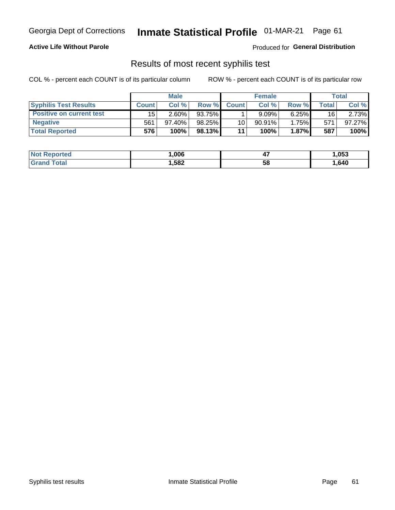# Georgia Dept of Corrections **Inmate Statistical Profile** 01-MAR-21 Page 61

### **Active Life Without Parole**

Produced for **General Distribution**

### Results of most recent syphilis test

COL % - percent each COUNT is of its particular column ROW % - percent each COUNT is of its particular row

|                                 | <b>Male</b>  |           |           | <b>Female</b> |           |          | Total |        |
|---------------------------------|--------------|-----------|-----------|---------------|-----------|----------|-------|--------|
| <b>Syphilis Test Results</b>    | <b>Count</b> | Col%      | Row %     | <b>Count</b>  | Col %     | Row %    | Total | Col %  |
| <b>Positive on current test</b> | 15           | $2.60\%$  | 93.75%    |               | 9.09%     | $6.25\%$ | 16    | 2.73%  |
| <b>Negative</b>                 | 561          | $97.40\%$ | $98.25\%$ | 10            | $90.91\%$ | 1.75%    | 571   | 97.27% |
| <b>Total Reported</b>           | 576          | 100%      | 98.13% L  | 11            | 100%      | $1.87\%$ | 587   | 100%   |

| <b>Not Reported</b>     | .006 | . .<br>−. | ,053   |
|-------------------------|------|-----------|--------|
| <b>Total</b><br>' Grand | ,582 | 58        | 640. ا |